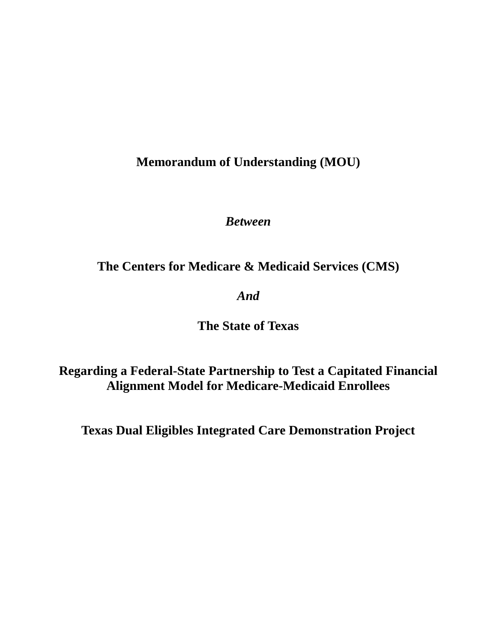**Memorandum of Understanding (MOU)**

*Between*

**The Centers for Medicare & Medicaid Services (CMS)** 

*And*

**The State of Texas** 

**Regarding a Federal-State Partnership to Test a Capitated Financial Alignment Model for Medicare-Medicaid Enrollees**

**Texas Dual Eligibles Integrated Care Demonstration Project**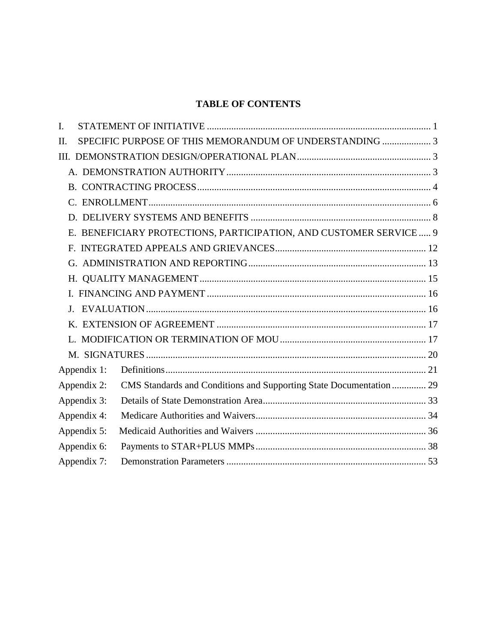# **TABLE OF CONTENTS**

| I. |             |                                                                     |  |
|----|-------------|---------------------------------------------------------------------|--|
| Π. |             | SPECIFIC PURPOSE OF THIS MEMORANDUM OF UNDERSTANDING  3             |  |
|    |             |                                                                     |  |
|    |             |                                                                     |  |
|    |             |                                                                     |  |
|    |             |                                                                     |  |
|    |             |                                                                     |  |
|    |             | E. BENEFICIARY PROTECTIONS, PARTICIPATION, AND CUSTOMER SERVICE  9  |  |
|    |             |                                                                     |  |
|    |             |                                                                     |  |
|    |             |                                                                     |  |
|    |             |                                                                     |  |
|    |             |                                                                     |  |
|    |             |                                                                     |  |
|    |             |                                                                     |  |
|    |             |                                                                     |  |
|    | Appendix 1: |                                                                     |  |
|    | Appendix 2: | CMS Standards and Conditions and Supporting State Documentation  29 |  |
|    | Appendix 3: |                                                                     |  |
|    | Appendix 4: |                                                                     |  |
|    | Appendix 5: |                                                                     |  |
|    | Appendix 6: |                                                                     |  |
|    | Appendix 7: |                                                                     |  |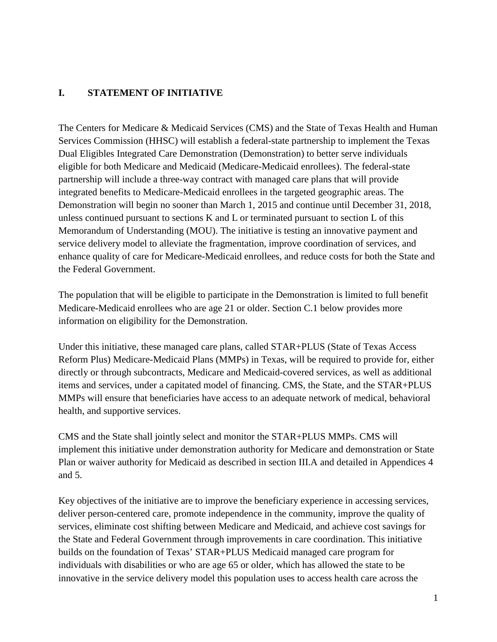# <span id="page-2-0"></span>**I. STATEMENT OF INITIATIVE**

The Centers for Medicare & Medicaid Services (CMS) and the State of Texas Health and Human Services Commission (HHSC) will establish a federal-state partnership to implement the Texas Dual Eligibles Integrated Care Demonstration (Demonstration) to better serve individuals eligible for both Medicare and Medicaid (Medicare-Medicaid enrollees). The federal-state partnership will include a three-way contract with managed care plans that will provide integrated benefits to Medicare-Medicaid enrollees in the targeted geographic areas. The Demonstration will begin no sooner than March 1, 2015 and continue until December 31, 2018, unless continued pursuant to sections K and L or terminated pursuant to section L of this Memorandum of Understanding (MOU). The initiative is testing an innovative payment and service delivery model to alleviate the fragmentation, improve coordination of services, and enhance quality of care for Medicare-Medicaid enrollees, and reduce costs for both the State and the Federal Government.

The population that will be eligible to participate in the Demonstration is limited to full benefit Medicare-Medicaid enrollees who are age 21 or older. Section C.1 below provides more information on eligibility for the Demonstration.

Under this initiative, these managed care plans, called STAR+PLUS (State of Texas Access Reform Plus) Medicare-Medicaid Plans (MMPs) in Texas, will be required to provide for, either directly or through subcontracts, Medicare and Medicaid-covered services, as well as additional items and services, under a capitated model of financing. CMS, the State, and the STAR+PLUS MMPs will ensure that beneficiaries have access to an adequate network of medical, behavioral health, and supportive services.

CMS and the State shall jointly select and monitor the STAR+PLUS MMPs. CMS will implement this initiative under demonstration authority for Medicare and demonstration or State Plan or waiver authority for Medicaid as described in section III.A and detailed in Appendices 4 and 5.

Key objectives of the initiative are to improve the beneficiary experience in accessing services, deliver person-centered care, promote independence in the community, improve the quality of services, eliminate cost shifting between Medicare and Medicaid, and achieve cost savings for the State and Federal Government through improvements in care coordination. This initiative builds on the foundation of Texas' STAR+PLUS Medicaid managed care program for individuals with disabilities or who are age 65 or older, which has allowed the state to be innovative in the service delivery model this population uses to access health care across the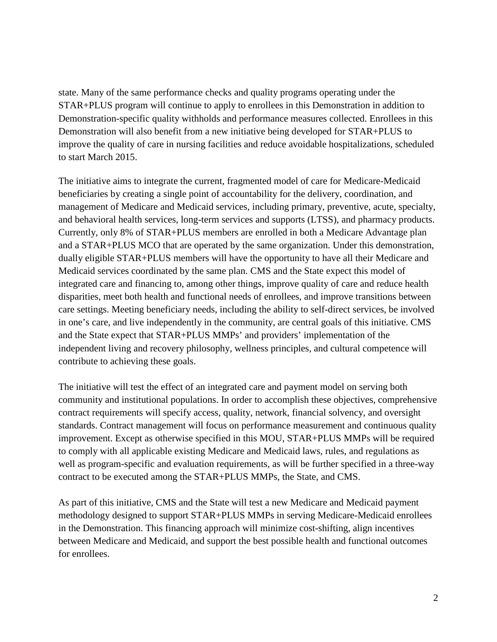state. Many of the same performance checks and quality programs operating under the STAR+PLUS program will continue to apply to enrollees in this Demonstration in addition to Demonstration-specific quality withholds and performance measures collected. Enrollees in this Demonstration will also benefit from a new initiative being developed for STAR+PLUS to improve the quality of care in nursing facilities and reduce avoidable hospitalizations, scheduled to start March 2015.

The initiative aims to integrate the current, fragmented model of care for Medicare-Medicaid beneficiaries by creating a single point of accountability for the delivery, coordination, and management of Medicare and Medicaid services, including primary, preventive, acute, specialty, and behavioral health services, long-term services and supports (LTSS), and pharmacy products. Currently, only 8% of STAR+PLUS members are enrolled in both a Medicare Advantage plan and a STAR+PLUS MCO that are operated by the same organization. Under this demonstration, dually eligible STAR+PLUS members will have the opportunity to have all their Medicare and Medicaid services coordinated by the same plan. CMS and the State expect this model of integrated care and financing to, among other things, improve quality of care and reduce health disparities, meet both health and functional needs of enrollees, and improve transitions between care settings. Meeting beneficiary needs, including the ability to self-direct services, be involved in one's care, and live independently in the community, are central goals of this initiative. CMS and the State expect that STAR+PLUS MMPs' and providers' implementation of the independent living and recovery philosophy, wellness principles, and cultural competence will contribute to achieving these goals.

The initiative will test the effect of an integrated care and payment model on serving both community and institutional populations. In order to accomplish these objectives, comprehensive contract requirements will specify access, quality, network, financial solvency, and oversight standards. Contract management will focus on performance measurement and continuous quality improvement. Except as otherwise specified in this MOU, STAR+PLUS MMPs will be required to comply with all applicable existing Medicare and Medicaid laws, rules, and regulations as well as program-specific and evaluation requirements, as will be further specified in a three-way contract to be executed among the STAR+PLUS MMPs, the State, and CMS.

As part of this initiative, CMS and the State will test a new Medicare and Medicaid payment methodology designed to support STAR+PLUS MMPs in serving Medicare-Medicaid enrollees in the Demonstration. This financing approach will minimize cost-shifting, align incentives between Medicare and Medicaid, and support the best possible health and functional outcomes for enrollees.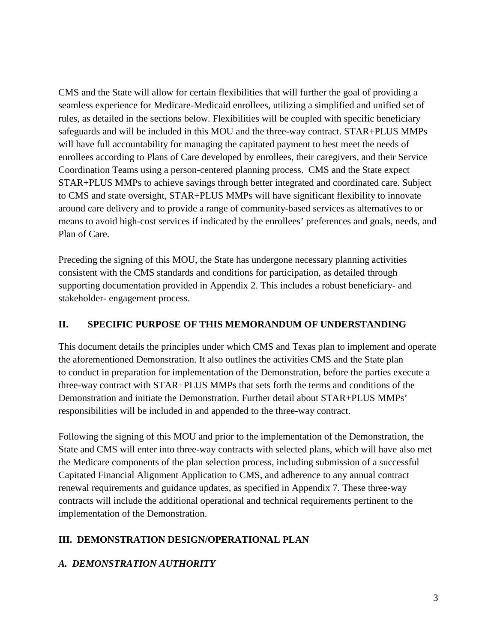CMS and the State will allow for certain flexibilities that will further the goal of providing a seamless experience for Medicare-Medicaid enrollees, utilizing a simplified and unified set of rules, as detailed in the sections below. Flexibilities will be coupled with specific beneficiary safeguards and will be included in this MOU and the three-way contract. STAR+PLUS MMPs will have full accountability for managing the capitated payment to best meet the needs of enrollees according to Plans of Care developed by enrollees, their caregivers, and their Service Coordination Teams using a person-centered planning process. CMS and the State expect STAR+PLUS MMPs to achieve savings through better integrated and coordinated care. Subject to CMS and state oversight, STAR+PLUS MMPs will have significant flexibility to innovate around care delivery and to provide a range of community-based services as alternatives to or means to avoid high-cost services if indicated by the enrollees' preferences and goals, needs, and Plan of Care.

Preceding the signing of this MOU, the State has undergone necessary planning activities consistent with the CMS standards and conditions for participation, as detailed through supporting documentation provided in Appendix 2. This includes a robust beneficiary- and stakeholder- engagement process.

# <span id="page-4-0"></span>**II. SPECIFIC PURPOSE OF THIS MEMORANDUM OF UNDERSTANDING**

This document details the principles under which CMS and Texas plan to implement and operate the aforementioned Demonstration. It also outlines the activities CMS and the State plan to conduct in preparation for implementation of the Demonstration, before the parties execute a three-way contract with STAR+PLUS MMPs that sets forth the terms and conditions of the Demonstration and initiate the Demonstration. Further detail about STAR+PLUS MMPs' responsibilities will be included in and appended to the three-way contract.

Following the signing of this MOU and prior to the implementation of the Demonstration, the State and CMS will enter into three-way contracts with selected plans, which will have also met the Medicare components of the plan selection process, including submission of a successful Capitated Financial Alignment Application to CMS, and adherence to any annual contract renewal requirements and guidance updates, as specified in Appendix 7. These three-way contracts will include the additional operational and technical requirements pertinent to the implementation of the Demonstration.

# <span id="page-4-1"></span>**III. DEMONSTRATION DESIGN/OPERATIONAL PLAN**

# <span id="page-4-2"></span>*A. DEMONSTRATION AUTHORITY*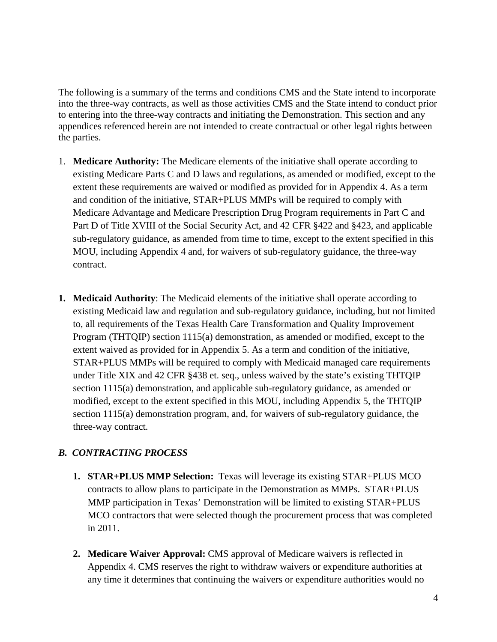The following is a summary of the terms and conditions CMS and the State intend to incorporate into the three-way contracts, as well as those activities CMS and the State intend to conduct prior to entering into the three-way contracts and initiating the Demonstration. This section and any appendices referenced herein are not intended to create contractual or other legal rights between the parties.

- 1. **Medicare Authority:** The Medicare elements of the initiative shall operate according to existing Medicare Parts C and D laws and regulations, as amended or modified, except to the extent these requirements are waived or modified as provided for in Appendix 4. As a term and condition of the initiative, STAR+PLUS MMPs will be required to comply with Medicare Advantage and Medicare Prescription Drug Program requirements in Part C and Part D of Title XVIII of the Social Security Act, and 42 CFR §422 and §423, and applicable sub-regulatory guidance, as amended from time to time, except to the extent specified in this MOU, including Appendix 4 and, for waivers of sub-regulatory guidance, the three-way contract.
- **1. Medicaid Authority**: The Medicaid elements of the initiative shall operate according to existing Medicaid law and regulation and sub-regulatory guidance, including, but not limited to, all requirements of the Texas Health Care Transformation and Quality Improvement Program (THTQIP) section 1115(a) demonstration, as amended or modified, except to the extent waived as provided for in Appendix 5. As a term and condition of the initiative, STAR+PLUS MMPs will be required to comply with Medicaid managed care requirements under Title XIX and 42 CFR §438 et. seq., unless waived by the state's existing THTQIP section 1115(a) demonstration, and applicable sub-regulatory guidance, as amended or modified, except to the extent specified in this MOU, including Appendix 5, the THTQIP section 1115(a) demonstration program, and, for waivers of sub-regulatory guidance, the three-way contract.

# <span id="page-5-0"></span>*B. CONTRACTING PROCESS*

- **1. STAR+PLUS MMP Selection:** Texas will leverage its existing STAR+PLUS MCO contracts to allow plans to participate in the Demonstration as MMPs. STAR+PLUS MMP participation in Texas' Demonstration will be limited to existing STAR+PLUS MCO contractors that were selected though the procurement process that was completed in 2011.
- **2. Medicare Waiver Approval:** CMS approval of Medicare waivers is reflected in Appendix 4. CMS reserves the right to withdraw waivers or expenditure authorities at any time it determines that continuing the waivers or expenditure authorities would no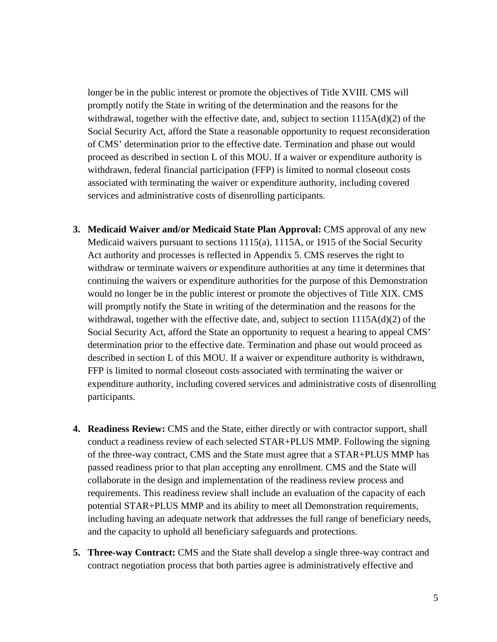longer be in the public interest or promote the objectives of Title XVIII. CMS will promptly notify the State in writing of the determination and the reasons for the withdrawal, together with the effective date, and, subject to section  $1115A(d)(2)$  of the Social Security Act, afford the State a reasonable opportunity to request reconsideration of CMS' determination prior to the effective date. Termination and phase out would proceed as described in section L of this MOU. If a waiver or expenditure authority is withdrawn, federal financial participation (FFP) is limited to normal closeout costs associated with terminating the waiver or expenditure authority, including covered services and administrative costs of disenrolling participants.

- **3. Medicaid Waiver and/or Medicaid State Plan Approval:** CMS approval of any new Medicaid waivers pursuant to sections 1115(a), 1115A, or 1915 of the Social Security Act authority and processes is reflected in Appendix 5. CMS reserves the right to withdraw or terminate waivers or expenditure authorities at any time it determines that continuing the waivers or expenditure authorities for the purpose of this Demonstration would no longer be in the public interest or promote the objectives of Title XIX. CMS will promptly notify the State in writing of the determination and the reasons for the withdrawal, together with the effective date, and, subject to section  $1115A(d)(2)$  of the Social Security Act, afford the State an opportunity to request a hearing to appeal CMS' determination prior to the effective date. Termination and phase out would proceed as described in section L of this MOU. If a waiver or expenditure authority is withdrawn, FFP is limited to normal closeout costs associated with terminating the waiver or expenditure authority, including covered services and administrative costs of disenrolling participants.
- **4. Readiness Review:** CMS and the State, either directly or with contractor support, shall conduct a readiness review of each selected STAR+PLUS MMP. Following the signing of the three-way contract, CMS and the State must agree that a STAR+PLUS MMP has passed readiness prior to that plan accepting any enrollment. CMS and the State will collaborate in the design and implementation of the readiness review process and requirements. This readiness review shall include an evaluation of the capacity of each potential STAR+PLUS MMP and its ability to meet all Demonstration requirements, including having an adequate network that addresses the full range of beneficiary needs, and the capacity to uphold all beneficiary safeguards and protections.
- **5. Three-way Contract:** CMS and the State shall develop a single three-way contract and contract negotiation process that both parties agree is administratively effective and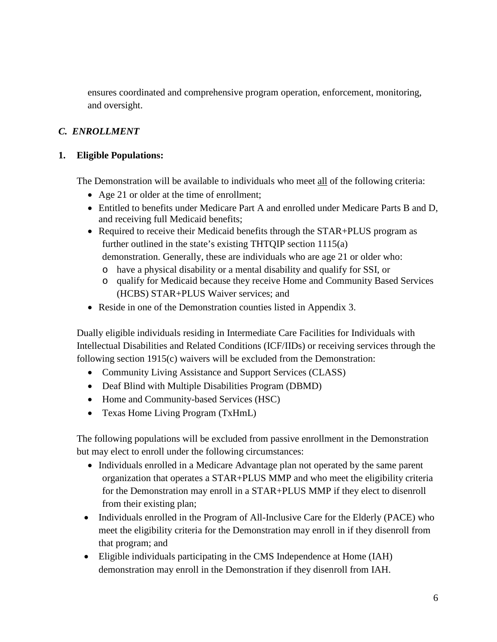ensures coordinated and comprehensive program operation, enforcement, monitoring, and oversight.

# <span id="page-7-0"></span>*C. ENROLLMENT*

# **1. Eligible Populations:**

The Demonstration will be available to individuals who meet all of the following criteria:

- Age 21 or older at the time of enrollment;
- Entitled to benefits under Medicare Part A and enrolled under Medicare Parts B and D, and receiving full Medicaid benefits;
- Required to receive their Medicaid benefits through the STAR+PLUS program as further outlined in the state's existing THTQIP section 1115(a) demonstration. Generally, these are individuals who are age 21 or older who:
	- o have a physical disability or a mental disability and qualify for SSI, or
	- o qualify for Medicaid because they receive Home and Community Based Services (HCBS) STAR+PLUS Waiver services; and
- Reside in one of the Demonstration counties listed in Appendix 3.

Dually eligible individuals residing in Intermediate Care Facilities for Individuals with Intellectual Disabilities and Related Conditions (ICF/IIDs) or receiving services through the following section 1915(c) waivers will be excluded from the Demonstration:

- Community Living Assistance and Support Services (CLASS)
- Deaf Blind with Multiple Disabilities Program (DBMD)
- Home and Community-based Services (HSC)
- Texas Home Living Program (TxHmL)

The following populations will be excluded from passive enrollment in the Demonstration but may elect to enroll under the following circumstances:

- Individuals enrolled in a Medicare Advantage plan not operated by the same parent organization that operates a STAR+PLUS MMP and who meet the eligibility criteria for the Demonstration may enroll in a STAR+PLUS MMP if they elect to disenroll from their existing plan;
- Individuals enrolled in the Program of All-Inclusive Care for the Elderly (PACE) who meet the eligibility criteria for the Demonstration may enroll in if they disenroll from that program; and
- Eligible individuals participating in the CMS Independence at Home (IAH) demonstration may enroll in the Demonstration if they disenroll from IAH.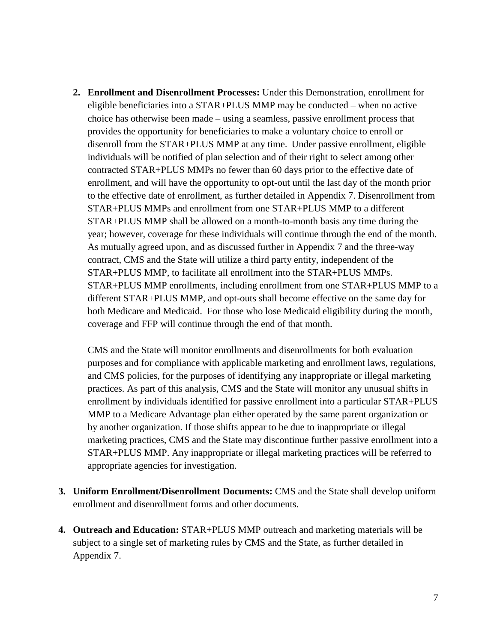**2. Enrollment and Disenrollment Processes:** Under this Demonstration, enrollment for eligible beneficiaries into a STAR+PLUS MMP may be conducted – when no active choice has otherwise been made – using a seamless, passive enrollment process that provides the opportunity for beneficiaries to make a voluntary choice to enroll or disenroll from the STAR+PLUS MMP at any time. Under passive enrollment, eligible individuals will be notified of plan selection and of their right to select among other contracted STAR+PLUS MMPs no fewer than 60 days prior to the effective date of enrollment, and will have the opportunity to opt-out until the last day of the month prior to the effective date of enrollment, as further detailed in Appendix 7. Disenrollment from STAR+PLUS MMPs and enrollment from one STAR+PLUS MMP to a different STAR+PLUS MMP shall be allowed on a month-to-month basis any time during the year; however, coverage for these individuals will continue through the end of the month. As mutually agreed upon, and as discussed further in Appendix 7 and the three-way contract, CMS and the State will utilize a third party entity, independent of the STAR+PLUS MMP, to facilitate all enrollment into the STAR+PLUS MMPs. STAR+PLUS MMP enrollments, including enrollment from one STAR+PLUS MMP to a different STAR+PLUS MMP, and opt-outs shall become effective on the same day for both Medicare and Medicaid. For those who lose Medicaid eligibility during the month, coverage and FFP will continue through the end of that month.

CMS and the State will monitor enrollments and disenrollments for both evaluation purposes and for compliance with applicable marketing and enrollment laws, regulations, and CMS policies, for the purposes of identifying any inappropriate or illegal marketing practices. As part of this analysis, CMS and the State will monitor any unusual shifts in enrollment by individuals identified for passive enrollment into a particular STAR+PLUS MMP to a Medicare Advantage plan either operated by the same parent organization or by another organization. If those shifts appear to be due to inappropriate or illegal marketing practices, CMS and the State may discontinue further passive enrollment into a STAR+PLUS MMP. Any inappropriate or illegal marketing practices will be referred to appropriate agencies for investigation.

- **3. Uniform Enrollment/Disenrollment Documents:** CMS and the State shall develop uniform enrollment and disenrollment forms and other documents.
- **4. Outreach and Education:** STAR+PLUS MMP outreach and marketing materials will be subject to a single set of marketing rules by CMS and the State, as further detailed in Appendix 7.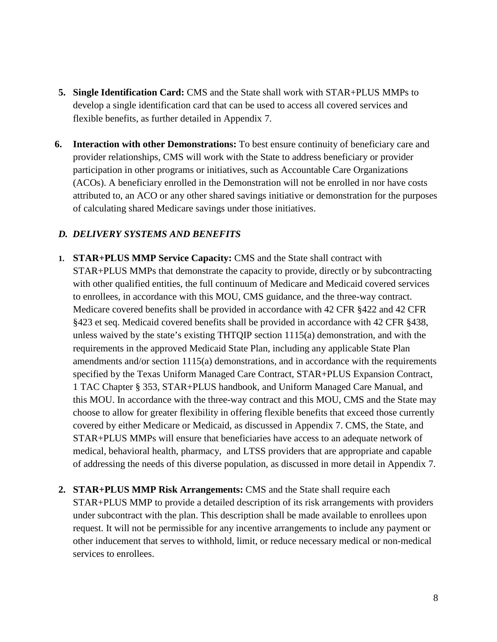- **5. Single Identification Card:** CMS and the State shall work with STAR+PLUS MMPs to develop a single identification card that can be used to access all covered services and flexible benefits, as further detailed in Appendix 7.
- **6. Interaction with other Demonstrations:** To best ensure continuity of beneficiary care and provider relationships, CMS will work with the State to address beneficiary or provider participation in other programs or initiatives, such as Accountable Care Organizations (ACOs). A beneficiary enrolled in the Demonstration will not be enrolled in nor have costs attributed to, an ACO or any other shared savings initiative or demonstration for the purposes of calculating shared Medicare savings under those initiatives.

### <span id="page-9-0"></span>*D. DELIVERY SYSTEMS AND BENEFITS*

- **1. STAR+PLUS MMP Service Capacity:** CMS and the State shall contract with STAR+PLUS MMPs that demonstrate the capacity to provide, directly or by subcontracting with other qualified entities, the full continuum of Medicare and Medicaid covered services to enrollees, in accordance with this MOU, CMS guidance, and the three-way contract. Medicare covered benefits shall be provided in accordance with 42 CFR §422 and 42 CFR §423 et seq. Medicaid covered benefits shall be provided in accordance with 42 CFR §438, unless waived by the state's existing THTQIP section 1115(a) demonstration, and with the requirements in the approved Medicaid State Plan, including any applicable State Plan amendments and/or section 1115(a) demonstrations, and in accordance with the requirements specified by the Texas Uniform Managed Care Contract, STAR+PLUS Expansion Contract, 1 TAC Chapter § 353, STAR+PLUS handbook, and Uniform Managed Care Manual, and this MOU. In accordance with the three-way contract and this MOU, CMS and the State may choose to allow for greater flexibility in offering flexible benefits that exceed those currently covered by either Medicare or Medicaid, as discussed in Appendix 7. CMS, the State, and STAR+PLUS MMPs will ensure that beneficiaries have access to an adequate network of medical, behavioral health, pharmacy, and LTSS providers that are appropriate and capable of addressing the needs of this diverse population, as discussed in more detail in Appendix 7.
- **2. STAR+PLUS MMP Risk Arrangements:** CMS and the State shall require each STAR+PLUS MMP to provide a detailed description of its risk arrangements with providers under subcontract with the plan. This description shall be made available to enrollees upon request. It will not be permissible for any incentive arrangements to include any payment or other inducement that serves to withhold, limit, or reduce necessary medical or non-medical services to enrollees.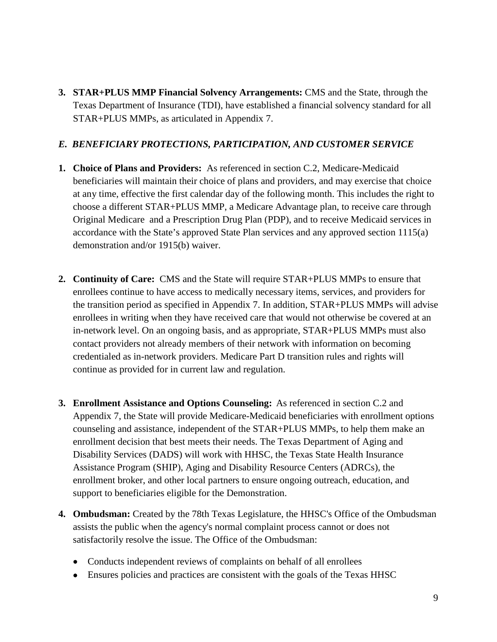**3. STAR+PLUS MMP Financial Solvency Arrangements:** CMS and the State, through the Texas Department of Insurance (TDI), have established a financial solvency standard for all STAR+PLUS MMPs, as articulated in Appendix 7.

# <span id="page-10-0"></span>*E. BENEFICIARY PROTECTIONS, PARTICIPATION, AND CUSTOMER SERVICE*

- **1. Choice of Plans and Providers:** As referenced in section C.2, Medicare-Medicaid beneficiaries will maintain their choice of plans and providers, and may exercise that choice at any time, effective the first calendar day of the following month. This includes the right to choose a different STAR+PLUS MMP, a Medicare Advantage plan, to receive care through Original Medicare and a Prescription Drug Plan (PDP), and to receive Medicaid services in accordance with the State's approved State Plan services and any approved section 1115(a) demonstration and/or 1915(b) waiver.
- **2. Continuity of Care:** CMS and the State will require STAR+PLUS MMPs to ensure that enrollees continue to have access to medically necessary items, services, and providers for the transition period as specified in Appendix 7. In addition, STAR+PLUS MMPs will advise enrollees in writing when they have received care that would not otherwise be covered at an in-network level. On an ongoing basis, and as appropriate, STAR+PLUS MMPs must also contact providers not already members of their network with information on becoming credentialed as in-network providers. Medicare Part D transition rules and rights will continue as provided for in current law and regulation.
- **3. Enrollment Assistance and Options Counseling:** As referenced in section C.2 and Appendix 7, the State will provide Medicare-Medicaid beneficiaries with enrollment options counseling and assistance, independent of the STAR+PLUS MMPs, to help them make an enrollment decision that best meets their needs. The Texas Department of Aging and Disability Services (DADS) will work with HHSC, the Texas State Health Insurance Assistance Program (SHIP), Aging and Disability Resource Centers (ADRCs), the enrollment broker, and other local partners to ensure ongoing outreach, education, and support to beneficiaries eligible for the Demonstration.
- **4. Ombudsman:** Created by the 78th Texas Legislature, the HHSC's Office of the Ombudsman assists the public when the agency's normal complaint process cannot or does not satisfactorily resolve the issue. The Office of the Ombudsman:
	- Conducts independent reviews of complaints on behalf of all enrollees
	- Ensures policies and practices are consistent with the goals of the Texas HHSC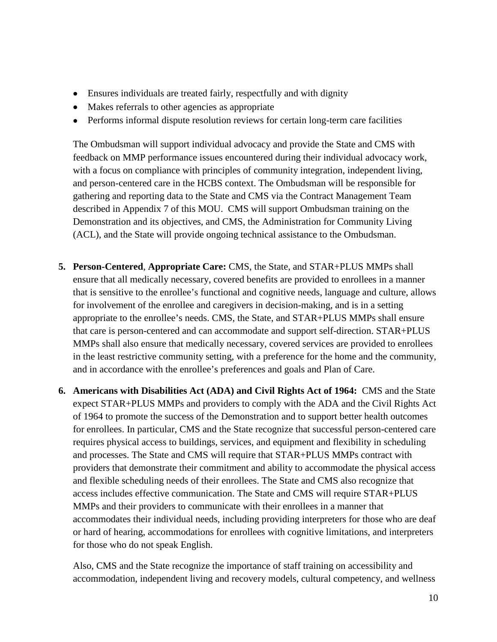- Ensures individuals are treated fairly, respectfully and with dignity
- Makes referrals to other agencies as appropriate
- Performs informal dispute resolution reviews for certain long-term care facilities

The Ombudsman will support individual advocacy and provide the State and CMS with feedback on MMP performance issues encountered during their individual advocacy work, with a focus on compliance with principles of community integration, independent living, and person-centered care in the HCBS context. The Ombudsman will be responsible for gathering and reporting data to the State and CMS via the Contract Management Team described in Appendix 7 of this MOU. CMS will support Ombudsman training on the Demonstration and its objectives, and CMS, the Administration for Community Living (ACL), and the State will provide ongoing technical assistance to the Ombudsman.

- **5. Person-Centered**, **Appropriate Care:** CMS, the State, and STAR+PLUS MMPs shall ensure that all medically necessary, covered benefits are provided to enrollees in a manner that is sensitive to the enrollee's functional and cognitive needs, language and culture, allows for involvement of the enrollee and caregivers in decision-making, and is in a setting appropriate to the enrollee's needs. CMS, the State, and STAR+PLUS MMPs shall ensure that care is person-centered and can accommodate and support self-direction. STAR+PLUS MMPs shall also ensure that medically necessary, covered services are provided to enrollees in the least restrictive community setting, with a preference for the home and the community, and in accordance with the enrollee's preferences and goals and Plan of Care.
- **6. Americans with Disabilities Act (ADA) and Civil Rights Act of 1964:** CMS and the State expect STAR+PLUS MMPs and providers to comply with the ADA and the Civil Rights Act of 1964 to promote the success of the Demonstration and to support better health outcomes for enrollees. In particular, CMS and the State recognize that successful person-centered care requires physical access to buildings, services, and equipment and flexibility in scheduling and processes. The State and CMS will require that STAR+PLUS MMPs contract with providers that demonstrate their commitment and ability to accommodate the physical access and flexible scheduling needs of their enrollees. The State and CMS also recognize that access includes effective communication. The State and CMS will require STAR+PLUS MMPs and their providers to communicate with their enrollees in a manner that accommodates their individual needs, including providing interpreters for those who are deaf or hard of hearing, accommodations for enrollees with cognitive limitations, and interpreters for those who do not speak English.

Also, CMS and the State recognize the importance of staff training on accessibility and accommodation, independent living and recovery models, cultural competency, and wellness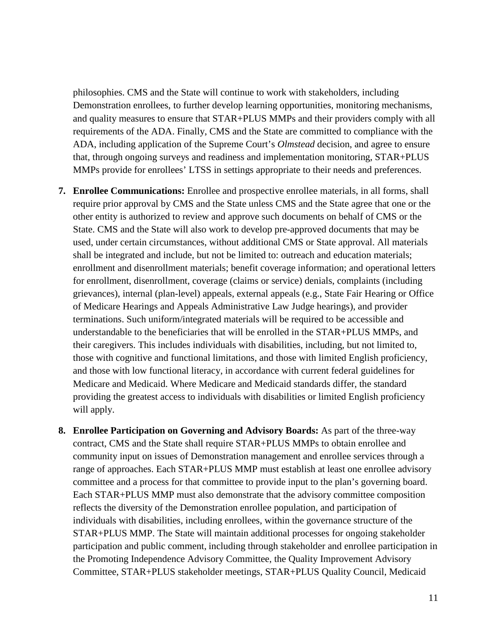philosophies. CMS and the State will continue to work with stakeholders, including Demonstration enrollees, to further develop learning opportunities, monitoring mechanisms, and quality measures to ensure that STAR+PLUS MMPs and their providers comply with all requirements of the ADA. Finally, CMS and the State are committed to compliance with the ADA, including application of the Supreme Court's *Olmstead* decision, and agree to ensure that, through ongoing surveys and readiness and implementation monitoring, STAR+PLUS MMPs provide for enrollees' LTSS in settings appropriate to their needs and preferences.

- **7. Enrollee Communications:** Enrollee and prospective enrollee materials, in all forms, shall require prior approval by CMS and the State unless CMS and the State agree that one or the other entity is authorized to review and approve such documents on behalf of CMS or the State. CMS and the State will also work to develop pre-approved documents that may be used, under certain circumstances, without additional CMS or State approval. All materials shall be integrated and include, but not be limited to: outreach and education materials; enrollment and disenrollment materials; benefit coverage information; and operational letters for enrollment, disenrollment, coverage (claims or service) denials, complaints (including grievances), internal (plan-level) appeals, external appeals (e.g., State Fair Hearing or Office of Medicare Hearings and Appeals Administrative Law Judge hearings), and provider terminations. Such uniform/integrated materials will be required to be accessible and understandable to the beneficiaries that will be enrolled in the STAR+PLUS MMPs, and their caregivers. This includes individuals with disabilities, including, but not limited to, those with cognitive and functional limitations, and those with limited English proficiency, and those with low functional literacy, in accordance with current federal guidelines for Medicare and Medicaid. Where Medicare and Medicaid standards differ, the standard providing the greatest access to individuals with disabilities or limited English proficiency will apply.
- **8. Enrollee Participation on Governing and Advisory Boards:** As part of the three-way contract, CMS and the State shall require STAR+PLUS MMPs to obtain enrollee and community input on issues of Demonstration management and enrollee services through a range of approaches. Each STAR+PLUS MMP must establish at least one enrollee advisory committee and a process for that committee to provide input to the plan's governing board. Each STAR+PLUS MMP must also demonstrate that the advisory committee composition reflects the diversity of the Demonstration enrollee population, and participation of individuals with disabilities, including enrollees, within the governance structure of the STAR+PLUS MMP. The State will maintain additional processes for ongoing stakeholder participation and public comment, including through stakeholder and enrollee participation in the Promoting Independence Advisory Committee, the Quality Improvement Advisory Committee, STAR+PLUS stakeholder meetings, STAR+PLUS Quality Council, Medicaid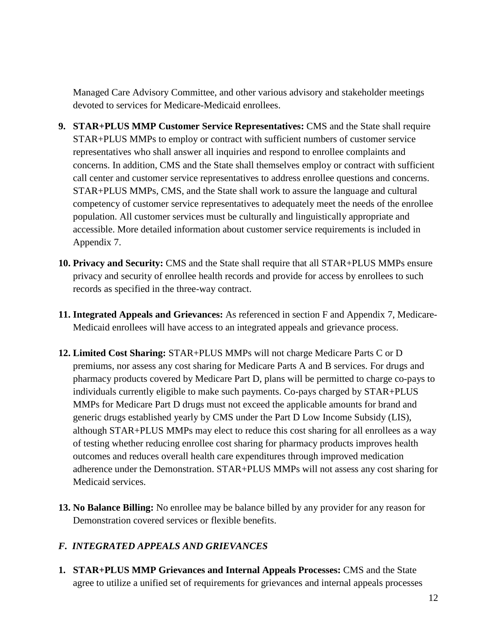Managed Care Advisory Committee, and other various advisory and stakeholder meetings devoted to services for Medicare-Medicaid enrollees.

- **9. STAR+PLUS MMP Customer Service Representatives:** CMS and the State shall require STAR+PLUS MMPs to employ or contract with sufficient numbers of customer service representatives who shall answer all inquiries and respond to enrollee complaints and concerns. In addition, CMS and the State shall themselves employ or contract with sufficient call center and customer service representatives to address enrollee questions and concerns. STAR+PLUS MMPs, CMS, and the State shall work to assure the language and cultural competency of customer service representatives to adequately meet the needs of the enrollee population. All customer services must be culturally and linguistically appropriate and accessible. More detailed information about customer service requirements is included in Appendix 7.
- **10. Privacy and Security:** CMS and the State shall require that all STAR+PLUS MMPs ensure privacy and security of enrollee health records and provide for access by enrollees to such records as specified in the three-way contract.
- **11. Integrated Appeals and Grievances:** As referenced in section F and Appendix 7, Medicare-Medicaid enrollees will have access to an integrated appeals and grievance process.
- **12. Limited Cost Sharing:** STAR+PLUS MMPs will not charge Medicare Parts C or D premiums, nor assess any cost sharing for Medicare Parts A and B services. For drugs and pharmacy products covered by Medicare Part D, plans will be permitted to charge co-pays to individuals currently eligible to make such payments. Co-pays charged by STAR+PLUS MMPs for Medicare Part D drugs must not exceed the applicable amounts for brand and generic drugs established yearly by CMS under the Part D Low Income Subsidy (LIS), although STAR+PLUS MMPs may elect to reduce this cost sharing for all enrollees as a way of testing whether reducing enrollee cost sharing for pharmacy products improves health outcomes and reduces overall health care expenditures through improved medication adherence under the Demonstration. STAR+PLUS MMPs will not assess any cost sharing for Medicaid services.
- **13. No Balance Billing:** No enrollee may be balance billed by any provider for any reason for Demonstration covered services or flexible benefits.

# <span id="page-13-0"></span>*F. INTEGRATED APPEALS AND GRIEVANCES*

**1. STAR+PLUS MMP Grievances and Internal Appeals Processes:** CMS and the State agree to utilize a unified set of requirements for grievances and internal appeals processes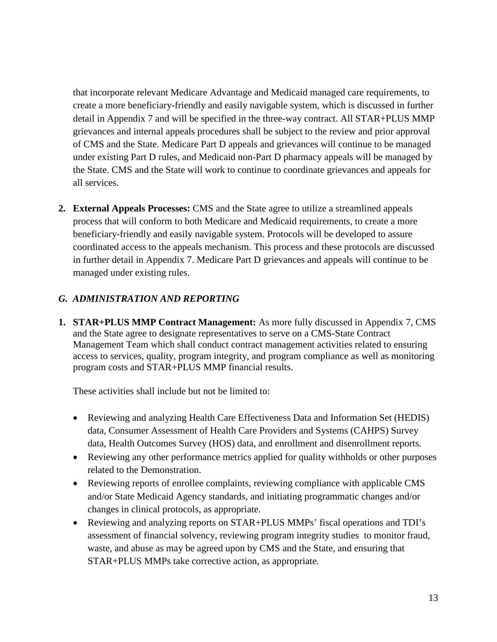that incorporate relevant Medicare Advantage and Medicaid managed care requirements, to create a more beneficiary-friendly and easily navigable system, which is discussed in further detail in Appendix 7 and will be specified in the three-way contract. All STAR+PLUS MMP grievances and internal appeals procedures shall be subject to the review and prior approval of CMS and the State. Medicare Part D appeals and grievances will continue to be managed under existing Part D rules, and Medicaid non-Part D pharmacy appeals will be managed by the State. CMS and the State will work to continue to coordinate grievances and appeals for all services.

**2. External Appeals Processes:** CMS and the State agree to utilize a streamlined appeals process that will conform to both Medicare and Medicaid requirements, to create a more beneficiary-friendly and easily navigable system. Protocols will be developed to assure coordinated access to the appeals mechanism. This process and these protocols are discussed in further detail in Appendix 7. Medicare Part D grievances and appeals will continue to be managed under existing rules.

# <span id="page-14-0"></span>*G. ADMINISTRATION AND REPORTING*

**1. STAR+PLUS MMP Contract Management:** As more fully discussed in Appendix 7, CMS and the State agree to designate representatives to serve on a CMS-State Contract Management Team which shall conduct contract management activities related to ensuring access to services, quality, program integrity, and program compliance as well as monitoring program costs and STAR+PLUS MMP financial results.

These activities shall include but not be limited to:

- Reviewing and analyzing Health Care Effectiveness Data and Information Set (HEDIS) data, Consumer Assessment of Health Care Providers and Systems (CAHPS) Survey data, Health Outcomes Survey (HOS) data, and enrollment and disenrollment reports.
- Reviewing any other performance metrics applied for quality withholds or other purposes related to the Demonstration.
- Reviewing reports of enrollee complaints, reviewing compliance with applicable CMS and/or State Medicaid Agency standards, and initiating programmatic changes and/or changes in clinical protocols, as appropriate.
- Reviewing and analyzing reports on STAR+PLUS MMPs' fiscal operations and TDI's assessment of financial solvency, reviewing program integrity studies to monitor fraud, waste, and abuse as may be agreed upon by CMS and the State, and ensuring that STAR+PLUS MMPs take corrective action, as appropriate.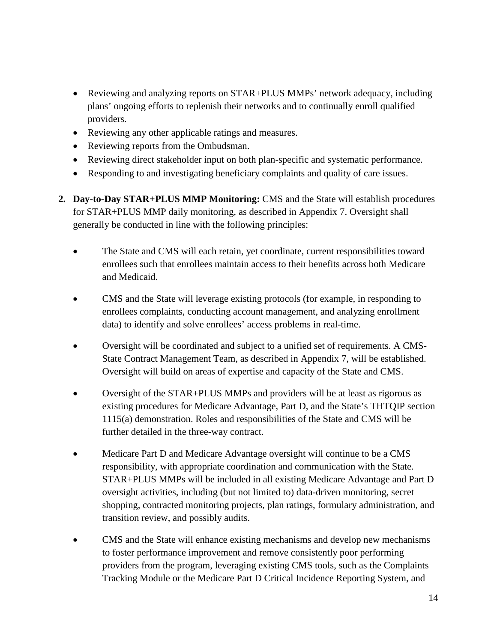- Reviewing and analyzing reports on STAR+PLUS MMPs' network adequacy, including plans' ongoing efforts to replenish their networks and to continually enroll qualified providers.
- Reviewing any other applicable ratings and measures.
- Reviewing reports from the Ombudsman.
- Reviewing direct stakeholder input on both plan-specific and systematic performance.
- Responding to and investigating beneficiary complaints and quality of care issues.
- **2. Day-to-Day STAR+PLUS MMP Monitoring:** CMS and the State will establish procedures for STAR+PLUS MMP daily monitoring, as described in Appendix 7. Oversight shall generally be conducted in line with the following principles:
	- The State and CMS will each retain, yet coordinate, current responsibilities toward enrollees such that enrollees maintain access to their benefits across both Medicare and Medicaid.
	- CMS and the State will leverage existing protocols (for example, in responding to enrollees complaints, conducting account management, and analyzing enrollment data) to identify and solve enrollees' access problems in real-time.
	- Oversight will be coordinated and subject to a unified set of requirements. A CMS-State Contract Management Team, as described in Appendix 7, will be established. Oversight will build on areas of expertise and capacity of the State and CMS.
	- Oversight of the STAR+PLUS MMPs and providers will be at least as rigorous as existing procedures for Medicare Advantage, Part D, and the State's THTQIP section 1115(a) demonstration. Roles and responsibilities of the State and CMS will be further detailed in the three-way contract.
	- Medicare Part D and Medicare Advantage oversight will continue to be a CMS responsibility, with appropriate coordination and communication with the State. STAR+PLUS MMPs will be included in all existing Medicare Advantage and Part D oversight activities, including (but not limited to) data-driven monitoring, secret shopping, contracted monitoring projects, plan ratings, formulary administration, and transition review, and possibly audits.
	- CMS and the State will enhance existing mechanisms and develop new mechanisms to foster performance improvement and remove consistently poor performing providers from the program, leveraging existing CMS tools, such as the Complaints Tracking Module or the Medicare Part D Critical Incidence Reporting System, and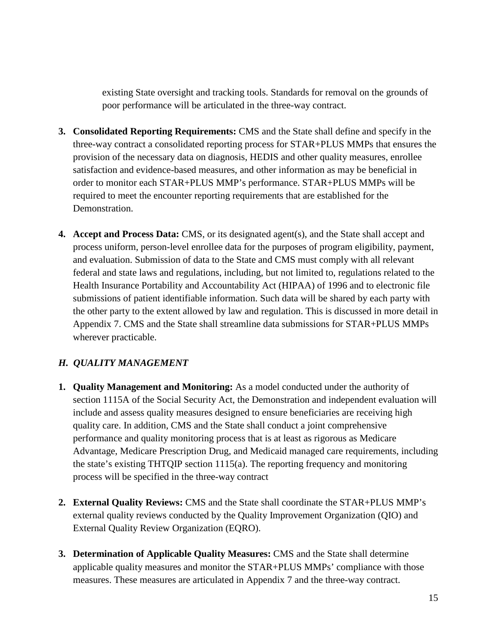existing State oversight and tracking tools. Standards for removal on the grounds of poor performance will be articulated in the three-way contract.

- **3. Consolidated Reporting Requirements:** CMS and the State shall define and specify in the three-way contract a consolidated reporting process for STAR+PLUS MMPs that ensures the provision of the necessary data on diagnosis, HEDIS and other quality measures, enrollee satisfaction and evidence-based measures, and other information as may be beneficial in order to monitor each STAR+PLUS MMP's performance. STAR+PLUS MMPs will be required to meet the encounter reporting requirements that are established for the Demonstration.
- **4. Accept and Process Data:** CMS, or its designated agent(s), and the State shall accept and process uniform, person-level enrollee data for the purposes of program eligibility, payment, and evaluation. Submission of data to the State and CMS must comply with all relevant federal and state laws and regulations, including, but not limited to, regulations related to the Health Insurance Portability and Accountability Act (HIPAA) of 1996 and to electronic file submissions of patient identifiable information. Such data will be shared by each party with the other party to the extent allowed by law and regulation. This is discussed in more detail in Appendix 7. CMS and the State shall streamline data submissions for STAR+PLUS MMPs wherever practicable.

# <span id="page-16-0"></span>*H. QUALITY MANAGEMENT*

- **1. Quality Management and Monitoring:** As a model conducted under the authority of section 1115A of the Social Security Act, the Demonstration and independent evaluation will include and assess quality measures designed to ensure beneficiaries are receiving high quality care. In addition, CMS and the State shall conduct a joint comprehensive performance and quality monitoring process that is at least as rigorous as Medicare Advantage, Medicare Prescription Drug, and Medicaid managed care requirements, including the state's existing THTQIP section 1115(a). The reporting frequency and monitoring process will be specified in the three-way contract
- **2. External Quality Reviews:** CMS and the State shall coordinate the STAR+PLUS MMP's external quality reviews conducted by the Quality Improvement Organization (QIO) and External Quality Review Organization (EQRO).
- **3. Determination of Applicable Quality Measures:** CMS and the State shall determine applicable quality measures and monitor the STAR+PLUS MMPs' compliance with those measures. These measures are articulated in Appendix 7 and the three-way contract.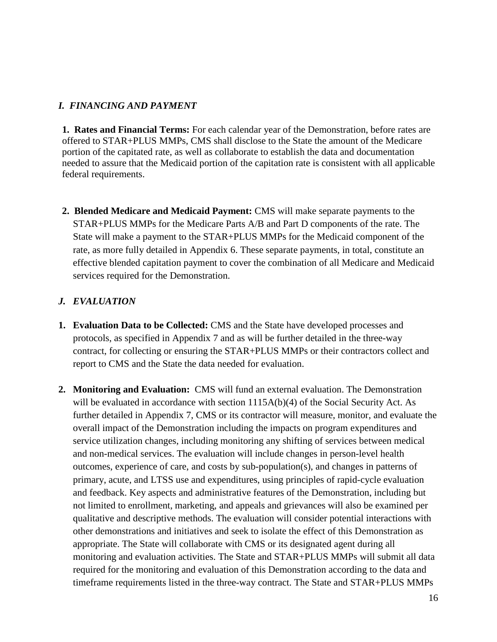### <span id="page-17-0"></span>*I. FINANCING AND PAYMENT*

**1. Rates and Financial Terms:** For each calendar year of the Demonstration, before rates are offered to STAR+PLUS MMPs, CMS shall disclose to the State the amount of the Medicare portion of the capitated rate, as well as collaborate to establish the data and documentation needed to assure that the Medicaid portion of the capitation rate is consistent with all applicable federal requirements.

**2. Blended Medicare and Medicaid Payment:** CMS will make separate payments to the STAR+PLUS MMPs for the Medicare Parts A/B and Part D components of the rate. The State will make a payment to the STAR+PLUS MMPs for the Medicaid component of the rate, as more fully detailed in Appendix 6. These separate payments, in total, constitute an effective blended capitation payment to cover the combination of all Medicare and Medicaid services required for the Demonstration.

# <span id="page-17-1"></span>*J. EVALUATION*

- **1. Evaluation Data to be Collected:** CMS and the State have developed processes and protocols, as specified in Appendix 7 and as will be further detailed in the three-way contract, for collecting or ensuring the STAR+PLUS MMPs or their contractors collect and report to CMS and the State the data needed for evaluation.
- **2. Monitoring and Evaluation:** CMS will fund an external evaluation. The Demonstration will be evaluated in accordance with section 1115A(b)(4) of the Social Security Act. As further detailed in Appendix 7, CMS or its contractor will measure, monitor, and evaluate the overall impact of the Demonstration including the impacts on program expenditures and service utilization changes, including monitoring any shifting of services between medical and non-medical services. The evaluation will include changes in person-level health outcomes, experience of care, and costs by sub-population(s), and changes in patterns of primary, acute, and LTSS use and expenditures, using principles of rapid-cycle evaluation and feedback. Key aspects and administrative features of the Demonstration, including but not limited to enrollment, marketing, and appeals and grievances will also be examined per qualitative and descriptive methods. The evaluation will consider potential interactions with other demonstrations and initiatives and seek to isolate the effect of this Demonstration as appropriate. The State will collaborate with CMS or its designated agent during all monitoring and evaluation activities. The State and STAR+PLUS MMPs will submit all data required for the monitoring and evaluation of this Demonstration according to the data and timeframe requirements listed in the three-way contract. The State and STAR+PLUS MMPs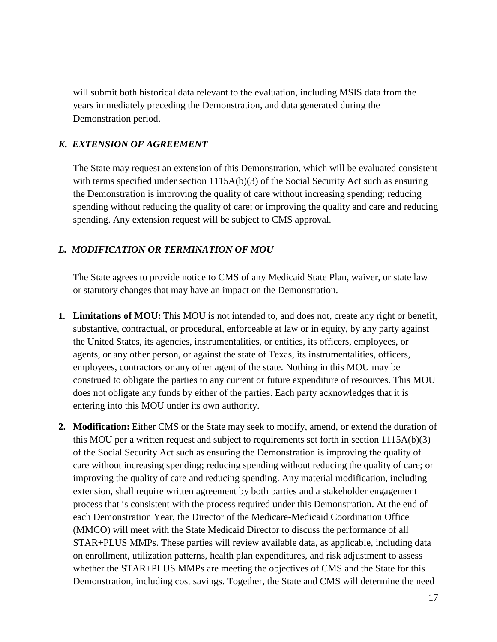will submit both historical data relevant to the evaluation, including MSIS data from the years immediately preceding the Demonstration, and data generated during the Demonstration period.

### <span id="page-18-0"></span>*K. EXTENSION OF AGREEMENT*

The State may request an extension of this Demonstration, which will be evaluated consistent with terms specified under section  $1115A(b)(3)$  of the Social Security Act such as ensuring the Demonstration is improving the quality of care without increasing spending; reducing spending without reducing the quality of care; or improving the quality and care and reducing spending. Any extension request will be subject to CMS approval.

### <span id="page-18-1"></span>*L. MODIFICATION OR TERMINATION OF MOU*

The State agrees to provide notice to CMS of any Medicaid State Plan, waiver, or state law or statutory changes that may have an impact on the Demonstration.

- **1. Limitations of MOU:** This MOU is not intended to, and does not, create any right or benefit, substantive, contractual, or procedural, enforceable at law or in equity, by any party against the United States, its agencies, instrumentalities, or entities, its officers, employees, or agents, or any other person, or against the state of Texas, its instrumentalities, officers, employees, contractors or any other agent of the state. Nothing in this MOU may be construed to obligate the parties to any current or future expenditure of resources. This MOU does not obligate any funds by either of the parties. Each party acknowledges that it is entering into this MOU under its own authority.
- **2. Modification:** Either CMS or the State may seek to modify, amend, or extend the duration of this MOU per a written request and subject to requirements set forth in section 1115A(b)(3) of the Social Security Act such as ensuring the Demonstration is improving the quality of care without increasing spending; reducing spending without reducing the quality of care; or improving the quality of care and reducing spending. Any material modification, including extension, shall require written agreement by both parties and a stakeholder engagement process that is consistent with the process required under this Demonstration. At the end of each Demonstration Year, the Director of the Medicare-Medicaid Coordination Office (MMCO) will meet with the State Medicaid Director to discuss the performance of all STAR+PLUS MMPs. These parties will review available data, as applicable, including data on enrollment, utilization patterns, health plan expenditures, and risk adjustment to assess whether the STAR+PLUS MMPs are meeting the objectives of CMS and the State for this Demonstration, including cost savings. Together, the State and CMS will determine the need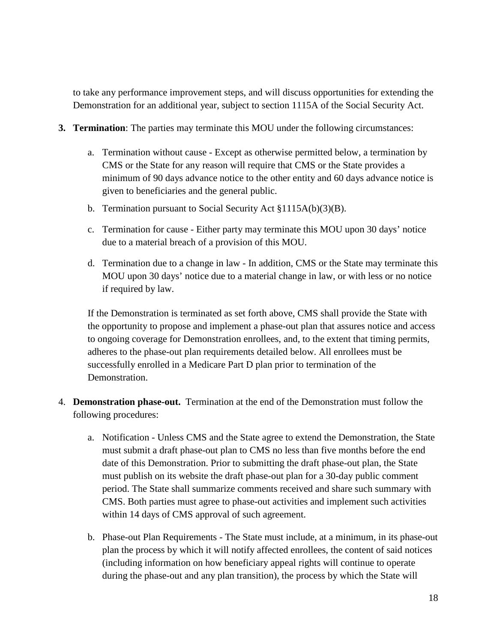to take any performance improvement steps, and will discuss opportunities for extending the Demonstration for an additional year, subject to section 1115A of the Social Security Act.

- **3. Termination**: The parties may terminate this MOU under the following circumstances:
	- a. Termination without cause Except as otherwise permitted below, a termination by CMS or the State for any reason will require that CMS or the State provides a minimum of 90 days advance notice to the other entity and 60 days advance notice is given to beneficiaries and the general public.
	- b. Termination pursuant to Social Security Act §1115A(b)(3)(B).
	- c. Termination for cause Either party may terminate this MOU upon 30 days' notice due to a material breach of a provision of this MOU.
	- d. Termination due to a change in law In addition, CMS or the State may terminate this MOU upon 30 days' notice due to a material change in law, or with less or no notice if required by law.

If the Demonstration is terminated as set forth above, CMS shall provide the State with the opportunity to propose and implement a phase-out plan that assures notice and access to ongoing coverage for Demonstration enrollees, and, to the extent that timing permits, adheres to the phase-out plan requirements detailed below. All enrollees must be successfully enrolled in a Medicare Part D plan prior to termination of the Demonstration.

- 4. **Demonstration phase-out.** Termination at the end of the Demonstration must follow the following procedures:
	- a. Notification Unless CMS and the State agree to extend the Demonstration, the State must submit a draft phase-out plan to CMS no less than five months before the end date of this Demonstration. Prior to submitting the draft phase-out plan, the State must publish on its website the draft phase-out plan for a 30-day public comment period. The State shall summarize comments received and share such summary with CMS. Both parties must agree to phase-out activities and implement such activities within 14 days of CMS approval of such agreement.
	- b. Phase-out Plan Requirements The State must include, at a minimum, in its phase-out plan the process by which it will notify affected enrollees, the content of said notices (including information on how beneficiary appeal rights will continue to operate during the phase-out and any plan transition), the process by which the State will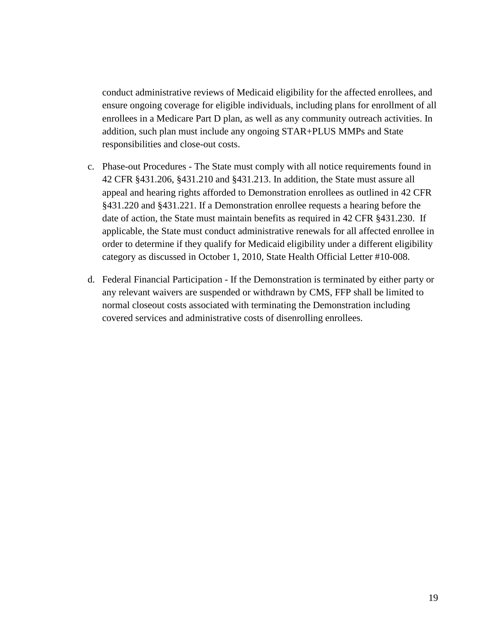conduct administrative reviews of Medicaid eligibility for the affected enrollees, and ensure ongoing coverage for eligible individuals, including plans for enrollment of all enrollees in a Medicare Part D plan, as well as any community outreach activities. In addition, such plan must include any ongoing STAR+PLUS MMPs and State responsibilities and close-out costs.

- c. Phase-out Procedures The State must comply with all notice requirements found in 42 CFR §431.206, §431.210 and §431.213. In addition, the State must assure all appeal and hearing rights afforded to Demonstration enrollees as outlined in 42 CFR §431.220 and §431.221. If a Demonstration enrollee requests a hearing before the date of action, the State must maintain benefits as required in 42 CFR §431.230. If applicable, the State must conduct administrative renewals for all affected enrollee in order to determine if they qualify for Medicaid eligibility under a different eligibility category as discussed in October 1, 2010, State Health Official Letter #10-008.
- d. Federal Financial Participation If the Demonstration is terminated by either party or any relevant waivers are suspended or withdrawn by CMS, FFP shall be limited to normal closeout costs associated with terminating the Demonstration including covered services and administrative costs of disenrolling enrollees.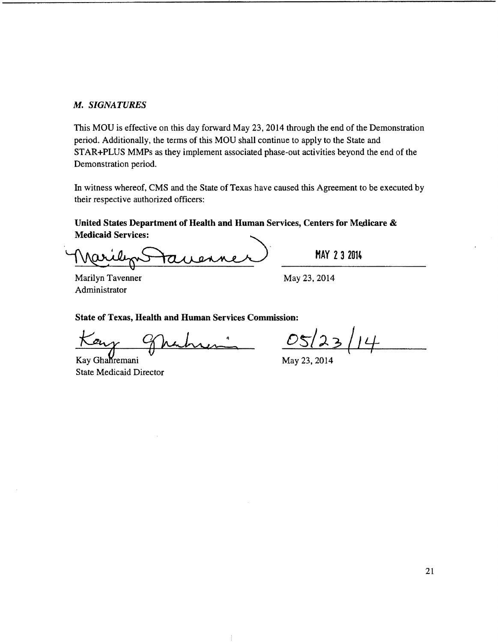#### *M. SIGNATURES*

This MOU is effective on this day forward May 23, 2014 through the end of the Demonstration period. Additionally, the terms of this MOU shall continue to apply to the State and STAR+PLUS MMPs as they implement associated phase-out activities beyond the end of the Demonstration period.

In witness whereof, CMS and the State of Texas have caused this Agreement to be executed by their respective authorized officers: In witness whereof, CMS and the State of Texas have caused this Agreement to<br>their respective authorized officers:<br>United States Department of Health and Human Services, Centers for Medi<br>Medicaid Services:<br>Marilyn Tavenner

# United States Department of Health and Human Services, Centers for Medicare & **Medicaid Services:**

Marilyn Tavenner Administrator

MAY 23 2014

May 23,2014

State of Texas, Health and Human Services Commission:

 $\mathbf{z}$ 

Kay Ghahremani  $\frac{1}{2}$  May 23, 2014 State Medicaid Director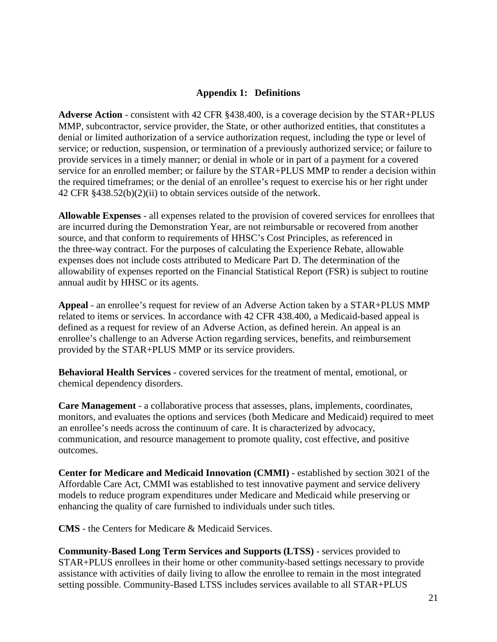### **Appendix 1: Definitions**

<span id="page-22-0"></span>**Adverse Action** - consistent with 42 CFR §438.400, is a coverage decision by the STAR+PLUS MMP, subcontractor, service provider, the State, or other authorized entities, that constitutes a denial or limited authorization of a service authorization request, including the type or level of service; or reduction, suspension, or termination of a previously authorized service; or failure to provide services in a timely manner; or denial in whole or in part of a payment for a covered service for an enrolled member; or failure by the STAR+PLUS MMP to render a decision within the required timeframes; or the denial of an enrollee's request to exercise his or her right under 42 CFR §438.52(b)(2)(ii) to obtain services outside of the network.

**Allowable Expenses** - all expenses related to the provision of covered services for enrollees that are incurred during the Demonstration Year, are not reimbursable or recovered from another source, and that conform to requirements of HHSC's Cost Principles, as referenced in the three-way contract. For the purposes of calculating the Experience Rebate, allowable expenses does not include costs attributed to Medicare Part D. The determination of the allowability of expenses reported on the Financial Statistical Report (FSR) is subject to routine annual audit by HHSC or its agents.

**Appeal** - an enrollee's request for review of an Adverse Action taken by a STAR+PLUS MMP related to items or services. In accordance with 42 CFR 438.400, a Medicaid-based appeal is defined as a request for review of an Adverse Action, as defined herein. An appeal is an enrollee's challenge to an Adverse Action regarding services, benefits, and reimbursement provided by the STAR+PLUS MMP or its service providers.

**Behavioral Health Services** - covered services for the treatment of mental, emotional, or chemical dependency disorders.

**Care Management** - a collaborative process that assesses, plans, implements, coordinates, monitors, and evaluates the options and services (both Medicare and Medicaid) required to meet an enrollee's needs across the continuum of care. It is characterized by advocacy, communication, and resource management to promote quality, cost effective, and positive outcomes.

**Center for Medicare and Medicaid Innovation (CMMI)** - established by section 3021 of the Affordable Care Act, CMMI was established to test innovative payment and service delivery models to reduce program expenditures under Medicare and Medicaid while preserving or enhancing the quality of care furnished to individuals under such titles.

**CMS** - the Centers for Medicare & Medicaid Services.

**Community-Based Long Term Services and Supports (LTSS)** - services provided to STAR+PLUS enrollees in their home or other community-based settings necessary to provide assistance with activities of daily living to allow the enrollee to remain in the most integrated setting possible. Community-Based LTSS includes services available to all STAR+PLUS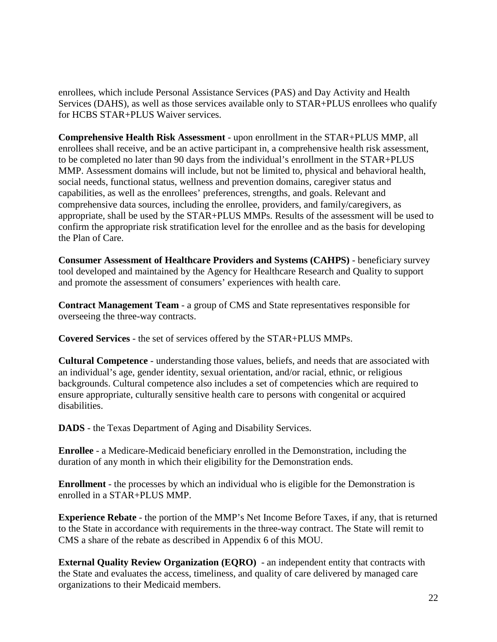enrollees, which include Personal Assistance Services (PAS) and Day Activity and Health Services (DAHS), as well as those services available only to STAR+PLUS enrollees who qualify for HCBS STAR+PLUS Waiver services.

**Comprehensive Health Risk Assessment** - upon enrollment in the STAR+PLUS MMP, all enrollees shall receive, and be an active participant in, a comprehensive health risk assessment, to be completed no later than 90 days from the individual's enrollment in the STAR+PLUS MMP. Assessment domains will include, but not be limited to, physical and behavioral health, social needs, functional status, wellness and prevention domains, caregiver status and capabilities, as well as the enrollees' preferences, strengths, and goals. Relevant and comprehensive data sources, including the enrollee, providers, and family/caregivers, as appropriate, shall be used by the STAR+PLUS MMPs. Results of the assessment will be used to confirm the appropriate risk stratification level for the enrollee and as the basis for developing the Plan of Care.

**Consumer Assessment of Healthcare Providers and Systems (CAHPS)** - beneficiary survey tool developed and maintained by the Agency for Healthcare Research and Quality to support and promote the assessment of consumers' experiences with health care.

**Contract Management Team** - a group of CMS and State representatives responsible for overseeing the three-way contracts.

**Covered Services** - the set of services offered by the STAR+PLUS MMPs.

**Cultural Competence** - understanding those values, beliefs, and needs that are associated with an individual's age, gender identity, sexual orientation, and/or racial, ethnic, or religious backgrounds. Cultural competence also includes a set of competencies which are required to ensure appropriate, culturally sensitive health care to persons with congenital or acquired disabilities.

**DADS** - the Texas Department of Aging and Disability Services.

**Enrollee** - a Medicare-Medicaid beneficiary enrolled in the Demonstration, including the duration of any month in which their eligibility for the Demonstration ends.

**Enrollment** - the processes by which an individual who is eligible for the Demonstration is enrolled in a STAR+PLUS MMP.

**Experience Rebate** - the portion of the MMP's Net Income Before Taxes, if any, that is returned to the State in accordance with requirements in the three-way contract. The State will remit to CMS a share of the rebate as described in Appendix 6 of this MOU.

**External Quality Review Organization (EQRO)** - an independent entity that contracts with the State and evaluates the access, timeliness, and quality of care delivered by managed care organizations to their Medicaid members.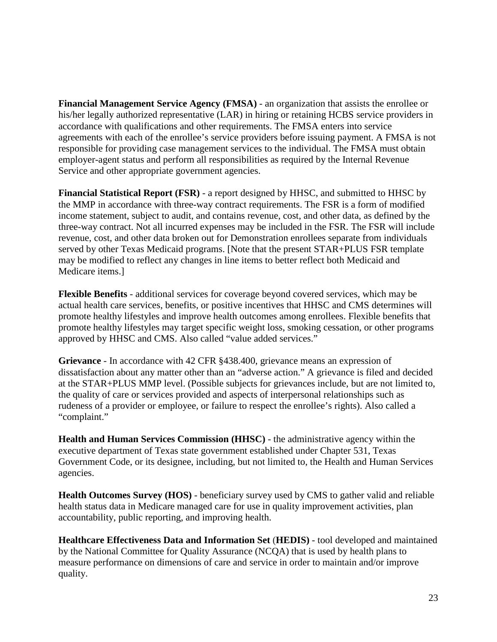**Financial Management Service Agency (FMSA)** - an organization that assists the enrollee or his/her legally authorized representative (LAR) in hiring or retaining HCBS service providers in accordance with qualifications and other requirements. The FMSA enters into service agreements with each of the enrollee's service providers before issuing payment. A FMSA is not responsible for providing case management services to the individual. The FMSA must obtain employer-agent status and perform all responsibilities as required by the Internal Revenue Service and other appropriate government agencies.

**Financial Statistical Report (FSR)** - a report designed by HHSC, and submitted to HHSC by the MMP in accordance with three-way contract requirements. The FSR is a form of modified income statement, subject to audit, and contains revenue, cost, and other data, as defined by the three-way contract. Not all incurred expenses may be included in the FSR. The FSR will include revenue, cost, and other data broken out for Demonstration enrollees separate from individuals served by other Texas Medicaid programs. [Note that the present STAR+PLUS FSR template may be modified to reflect any changes in line items to better reflect both Medicaid and Medicare items.]

**Flexible Benefits** - additional services for coverage beyond covered services, which may be actual health care services, benefits, or positive incentives that HHSC and CMS determines will promote healthy lifestyles and improve health outcomes among enrollees. Flexible benefits that promote healthy lifestyles may target specific weight loss, smoking cessation, or other programs approved by HHSC and CMS. Also called "value added services."

**Grievance** - In accordance with 42 CFR §438.400, grievance means an expression of dissatisfaction about any matter other than an "adverse action." A grievance is filed and decided at the STAR+PLUS MMP level. (Possible subjects for grievances include, but are not limited to, the quality of care or services provided and aspects of interpersonal relationships such as rudeness of a provider or employee, or failure to respect the enrollee's rights). Also called a "complaint."

**Health and Human Services Commission (HHSC)** - the administrative agency within the executive department of Texas state government established under Chapter 531, Texas Government Code, or its designee, including, but not limited to, the Health and Human Services agencies.

**Health Outcomes Survey (HOS)** - beneficiary survey used by CMS to gather valid and reliable health status data in Medicare managed care for use in quality improvement activities, plan accountability, public reporting, and improving health.

**Healthcare Effectiveness Data and Information Set** (**HEDIS)** - tool developed and maintained by the National Committee for Quality Assurance (NCQA) that is used by health plans to measure performance on dimensions of care and service in order to maintain and/or improve quality.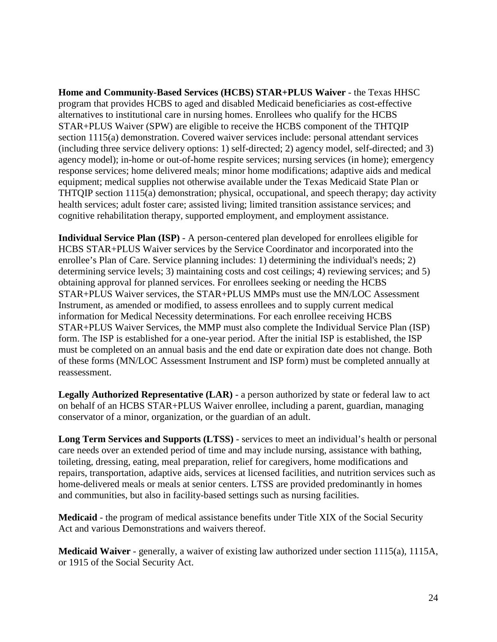**Home and Community-Based Services (HCBS) STAR+PLUS Waiver** - the Texas HHSC program that provides HCBS to aged and disabled Medicaid beneficiaries as cost-effective alternatives to institutional care in nursing homes. Enrollees who qualify for the HCBS STAR+PLUS Waiver (SPW) are eligible to receive the HCBS component of the THTQIP section 1115(a) demonstration. Covered waiver services include: personal attendant services (including three service delivery options: 1) self-directed; 2) agency model, self-directed; and 3) agency model); in-home or out-of-home respite services; nursing services (in home); emergency response services; home delivered meals; minor home modifications; adaptive aids and medical equipment; medical supplies not otherwise available under the Texas Medicaid State Plan or THTQIP section 1115(a) demonstration; physical, occupational, and speech therapy; day activity health services; adult foster care; assisted living; limited transition assistance services; and cognitive rehabilitation therapy, supported employment, and employment assistance.

**Individual Service Plan (ISP)** - A person-centered plan developed for enrollees eligible for HCBS STAR+PLUS Waiver services by the Service Coordinator and incorporated into the enrollee's Plan of Care. Service planning includes: 1) determining the individual's needs; 2) determining service levels; 3) maintaining costs and cost ceilings; 4) reviewing services; and 5) obtaining approval for planned services. For enrollees seeking or needing the HCBS STAR+PLUS Waiver services, the STAR+PLUS MMPs must use the MN/LOC Assessment Instrument, as amended or modified, to assess enrollees and to supply current medical information for Medical Necessity determinations. For each enrollee receiving HCBS STAR+PLUS Waiver Services, the MMP must also complete the Individual Service Plan (ISP) form. The ISP is established for a one-year period. After the initial ISP is established, the ISP must be completed on an annual basis and the end date or expiration date does not change. Both of these forms (MN/LOC Assessment Instrument and ISP form) must be completed annually at reassessment.

**Legally Authorized Representative (LAR)** - a person authorized by state or federal law to act on behalf of an HCBS STAR+PLUS Waiver enrollee, including a parent, guardian, managing conservator of a minor, organization, or the guardian of an adult.

**Long Term Services and Supports (LTSS)** - services to meet an individual's health or personal care needs over an extended period of time and may include nursing, assistance with bathing, toileting, dressing, eating, meal preparation, relief for caregivers, home modifications and repairs, transportation, adaptive aids, services at licensed facilities, and nutrition services such as home-delivered meals or meals at senior centers. LTSS are provided predominantly in homes and communities, but also in facility-based settings such as nursing facilities.

**Medicaid** - the program of medical assistance benefits under Title XIX of the Social Security Act and various Demonstrations and waivers thereof.

**Medicaid Waiver** - generally, a waiver of existing law authorized under section 1115(a), 1115A, or 1915 of the Social Security Act.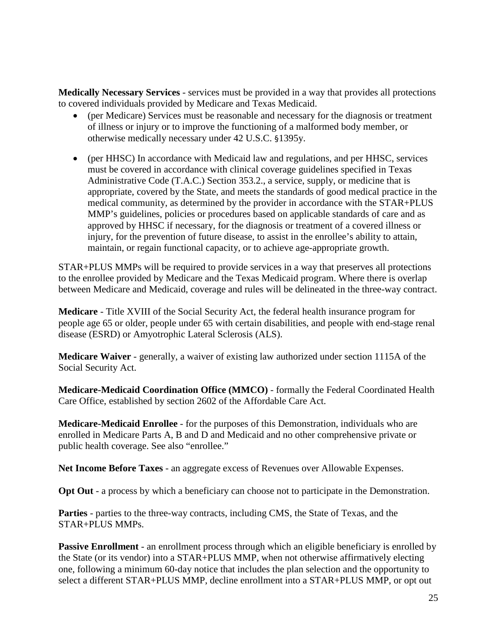**Medically Necessary Services** - services must be provided in a way that provides all protections to covered individuals provided by Medicare and Texas Medicaid.

- (per Medicare) Services must be reasonable and necessary for the diagnosis or treatment of illness or injury or to improve the functioning of a malformed body member, or otherwise medically necessary under 42 U.S.C. §1395y.
- (per HHSC) In accordance with Medicaid law and regulations, and per HHSC, services must be covered in accordance with clinical coverage guidelines specified in Texas Administrative Code (T.A.C.) Section 353.2., a service, supply, or medicine that is appropriate, covered by the State, and meets the standards of good medical practice in the medical community, as determined by the provider in accordance with the STAR+PLUS MMP's guidelines, policies or procedures based on applicable standards of care and as approved by HHSC if necessary, for the diagnosis or treatment of a covered illness or injury, for the prevention of future disease, to assist in the enrollee's ability to attain, maintain, or regain functional capacity, or to achieve age-appropriate growth.

STAR+PLUS MMPs will be required to provide services in a way that preserves all protections to the enrollee provided by Medicare and the Texas Medicaid program. Where there is overlap between Medicare and Medicaid, coverage and rules will be delineated in the three-way contract.

**Medicare** - Title XVIII of the Social Security Act, the federal health insurance program for people age 65 or older, people under 65 with certain disabilities, and people with end-stage renal disease (ESRD) or Amyotrophic Lateral Sclerosis (ALS).

**Medicare Waiver** - generally, a waiver of existing law authorized under section 1115A of the Social Security Act.

**Medicare-Medicaid Coordination Office (MMCO)** - formally the Federal Coordinated Health Care Office, established by section 2602 of the Affordable Care Act.

**Medicare-Medicaid Enrollee** - for the purposes of this Demonstration, individuals who are enrolled in Medicare Parts A, B and D and Medicaid and no other comprehensive private or public health coverage. See also "enrollee."

**Net Income Before Taxes** - an aggregate excess of Revenues over Allowable Expenses.

**Opt Out** - a process by which a beneficiary can choose not to participate in the Demonstration.

**Parties** - parties to the three-way contracts, including CMS, the State of Texas, and the STAR+PLUS MMPs.

**Passive Enrollment** - an enrollment process through which an eligible beneficiary is enrolled by the State (or its vendor) into a STAR+PLUS MMP, when not otherwise affirmatively electing one, following a minimum 60-day notice that includes the plan selection and the opportunity to select a different STAR+PLUS MMP, decline enrollment into a STAR+PLUS MMP, or opt out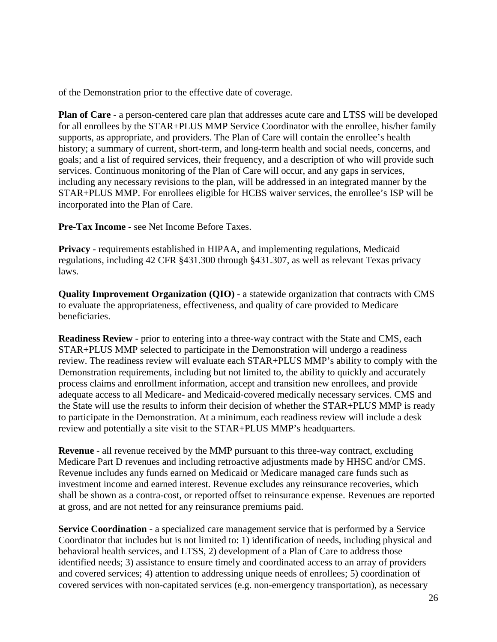of the Demonstration prior to the effective date of coverage.

**Plan of Care** - a person-centered care plan that addresses acute care and LTSS will be developed for all enrollees by the STAR+PLUS MMP Service Coordinator with the enrollee, his/her family supports, as appropriate, and providers. The Plan of Care will contain the enrollee's health history; a summary of current, short-term, and long-term health and social needs, concerns, and goals; and a list of required services, their frequency, and a description of who will provide such services. Continuous monitoring of the Plan of Care will occur, and any gaps in services, including any necessary revisions to the plan, will be addressed in an integrated manner by the STAR+PLUS MMP. For enrollees eligible for HCBS waiver services, the enrollee's ISP will be incorporated into the Plan of Care.

**Pre-Tax Income** - see Net Income Before Taxes.

**Privacy** - requirements established in HIPAA, and implementing regulations, Medicaid regulations, including 42 CFR §431.300 through §431.307, as well as relevant Texas privacy laws.

**Quality Improvement Organization (QIO)** - a statewide organization that contracts with CMS to evaluate the appropriateness, effectiveness, and quality of care provided to Medicare beneficiaries.

**Readiness Review** - prior to entering into a three-way contract with the State and CMS, each STAR+PLUS MMP selected to participate in the Demonstration will undergo a readiness review. The readiness review will evaluate each STAR+PLUS MMP's ability to comply with the Demonstration requirements, including but not limited to, the ability to quickly and accurately process claims and enrollment information, accept and transition new enrollees, and provide adequate access to all Medicare- and Medicaid‐covered medically necessary services. CMS and the State will use the results to inform their decision of whether the STAR+PLUS MMP is ready to participate in the Demonstration. At a minimum, each readiness review will include a desk review and potentially a site visit to the STAR+PLUS MMP's headquarters.

**Revenue** - all revenue received by the MMP pursuant to this three-way contract, excluding Medicare Part D revenues and including retroactive adjustments made by HHSC and/or CMS. Revenue includes any funds earned on Medicaid or Medicare managed care funds such as investment income and earned interest. Revenue excludes any reinsurance recoveries, which shall be shown as a contra-cost, or reported offset to reinsurance expense. Revenues are reported at gross, and are not netted for any reinsurance premiums paid.

**Service Coordination** - a specialized care management service that is performed by a Service Coordinator that includes but is not limited to: 1) identification of needs, including physical and behavioral health services, and LTSS, 2) development of a Plan of Care to address those identified needs; 3) assistance to ensure timely and coordinated access to an array of providers and covered services; 4) attention to addressing unique needs of enrollees; 5) coordination of covered services with non-capitated services (e.g. non-emergency transportation), as necessary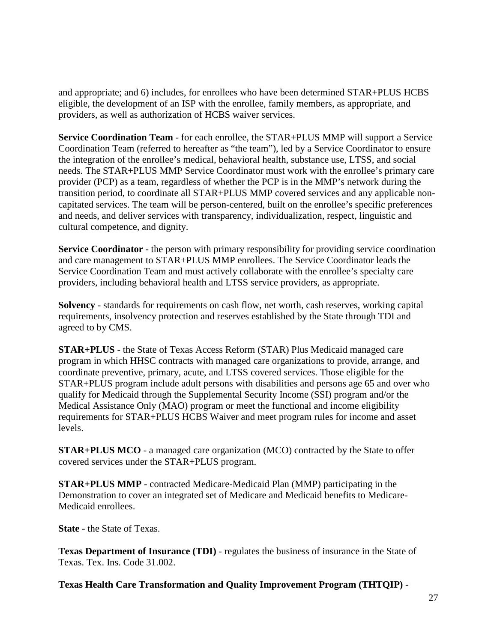and appropriate; and 6) includes, for enrollees who have been determined STAR+PLUS HCBS eligible, the development of an ISP with the enrollee, family members, as appropriate, and providers, as well as authorization of HCBS waiver services.

**Service Coordination Team** - for each enrollee, the STAR+PLUS MMP will support a Service Coordination Team (referred to hereafter as "the team"), led by a Service Coordinator to ensure the integration of the enrollee's medical, behavioral health, substance use, LTSS, and social needs. The STAR+PLUS MMP Service Coordinator must work with the enrollee's primary care provider (PCP) as a team, regardless of whether the PCP is in the MMP's network during the transition period, to coordinate all STAR+PLUS MMP covered services and any applicable noncapitated services. The team will be person-centered, built on the enrollee's specific preferences and needs, and deliver services with transparency, individualization, respect, linguistic and cultural competence, and dignity.

**Service Coordinator** - the person with primary responsibility for providing service coordination and care management to STAR+PLUS MMP enrollees. The Service Coordinator leads the Service Coordination Team and must actively collaborate with the enrollee's specialty care providers, including behavioral health and LTSS service providers, as appropriate.

**Solvency** - standards for requirements on cash flow, net worth, cash reserves, working capital requirements, insolvency protection and reserves established by the State through TDI and agreed to by CMS.

**STAR+PLUS** - the State of Texas Access Reform (STAR) Plus Medicaid managed care program in which HHSC contracts with managed care organizations to provide, arrange, and coordinate preventive, primary, acute, and LTSS covered services. Those eligible for the STAR+PLUS program include adult persons with disabilities and persons age 65 and over who qualify for Medicaid through the Supplemental Security Income (SSI) program and/or the Medical Assistance Only (MAO) program or meet the functional and income eligibility requirements for STAR+PLUS HCBS Waiver and meet program rules for income and asset levels.

**STAR+PLUS MCO** - a managed care organization (MCO) contracted by the State to offer covered services under the STAR+PLUS program.

**STAR+PLUS MMP** - contracted Medicare-Medicaid Plan (MMP) participating in the Demonstration to cover an integrated set of Medicare and Medicaid benefits to Medicare-Medicaid enrollees.

**State** - the State of Texas.

**Texas Department of Insurance (TDI)** - regulates the business of insurance in the State of Texas. Tex. Ins. Code 31.002.

**Texas Health Care Transformation and Quality Improvement Program (THTQIP)** -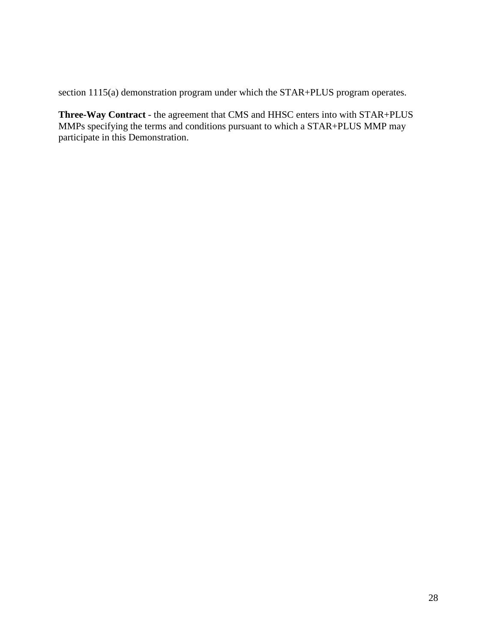section 1115(a) demonstration program under which the STAR+PLUS program operates.

**Three-Way Contract** - the agreement that CMS and HHSC enters into with STAR+PLUS MMPs specifying the terms and conditions pursuant to which a STAR+PLUS MMP may participate in this Demonstration.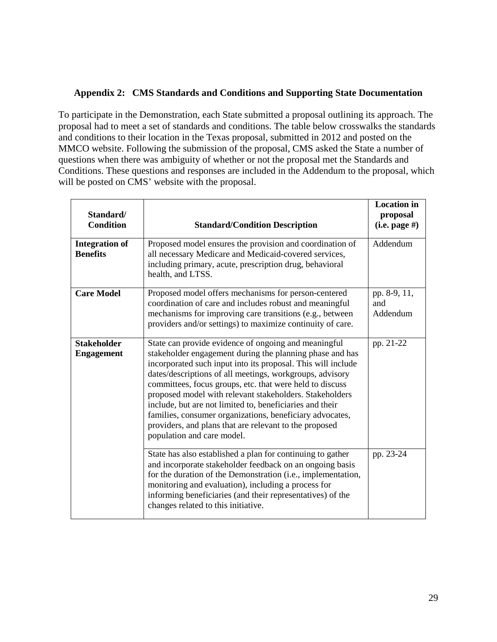### <span id="page-30-0"></span>**Appendix 2: CMS Standards and Conditions and Supporting State Documentation**

To participate in the Demonstration, each State submitted a proposal outlining its approach. The proposal had to meet a set of standards and conditions. The table below crosswalks the standards and conditions to their location in the Texas proposal, submitted in 2012 and posted on the MMCO website. Following the submission of the proposal, CMS asked the State a number of questions when there was ambiguity of whether or not the proposal met the Standards and Conditions. These questions and responses are included in the Addendum to the proposal, which will be posted on CMS' website with the proposal.

| Standard/<br><b>Condition</b>            | <b>Standard/Condition Description</b>                                                                                                                                                                                                                                                                                                                                                                                                                                                                                                                                               | <b>Location</b> in<br>proposal<br>$(i.e. page \#)$ |
|------------------------------------------|-------------------------------------------------------------------------------------------------------------------------------------------------------------------------------------------------------------------------------------------------------------------------------------------------------------------------------------------------------------------------------------------------------------------------------------------------------------------------------------------------------------------------------------------------------------------------------------|----------------------------------------------------|
| <b>Integration of</b><br><b>Benefits</b> | Proposed model ensures the provision and coordination of<br>all necessary Medicare and Medicaid-covered services,<br>including primary, acute, prescription drug, behavioral<br>health, and LTSS.                                                                                                                                                                                                                                                                                                                                                                                   | Addendum                                           |
| <b>Care Model</b>                        | Proposed model offers mechanisms for person-centered<br>coordination of care and includes robust and meaningful<br>mechanisms for improving care transitions (e.g., between<br>providers and/or settings) to maximize continuity of care.                                                                                                                                                                                                                                                                                                                                           | pp. 8-9, 11,<br>and<br>Addendum                    |
| <b>Stakeholder</b><br><b>Engagement</b>  | State can provide evidence of ongoing and meaningful<br>stakeholder engagement during the planning phase and has<br>incorporated such input into its proposal. This will include<br>dates/descriptions of all meetings, workgroups, advisory<br>committees, focus groups, etc. that were held to discuss<br>proposed model with relevant stakeholders. Stakeholders<br>include, but are not limited to, beneficiaries and their<br>families, consumer organizations, beneficiary advocates,<br>providers, and plans that are relevant to the proposed<br>population and care model. | pp. 21-22                                          |
|                                          | State has also established a plan for continuing to gather<br>and incorporate stakeholder feedback on an ongoing basis<br>for the duration of the Demonstration (i.e., implementation,<br>monitoring and evaluation), including a process for<br>informing beneficiaries (and their representatives) of the<br>changes related to this initiative.                                                                                                                                                                                                                                  | pp. 23-24                                          |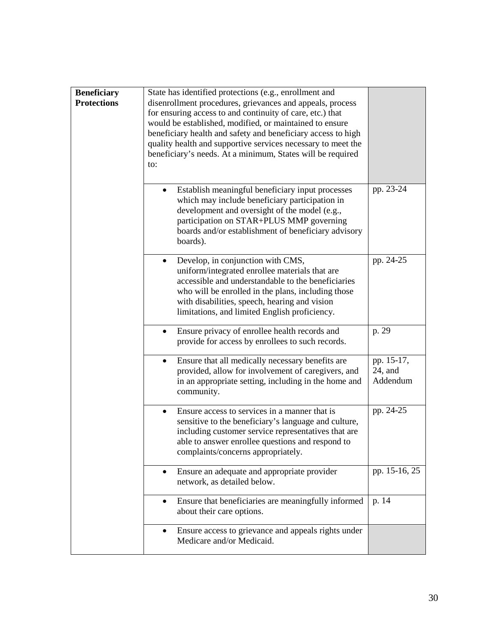| <b>Beneficiary</b><br><b>Protections</b> | State has identified protections (e.g., enrollment and<br>disenrollment procedures, grievances and appeals, process<br>for ensuring access to and continuity of care, etc.) that<br>would be established, modified, or maintained to ensure<br>beneficiary health and safety and beneficiary access to high<br>quality health and supportive services necessary to meet the<br>beneficiary's needs. At a minimum, States will be required<br>to: |                                      |
|------------------------------------------|--------------------------------------------------------------------------------------------------------------------------------------------------------------------------------------------------------------------------------------------------------------------------------------------------------------------------------------------------------------------------------------------------------------------------------------------------|--------------------------------------|
|                                          | Establish meaningful beneficiary input processes<br>$\bullet$<br>which may include beneficiary participation in<br>development and oversight of the model (e.g.,<br>participation on STAR+PLUS MMP governing<br>boards and/or establishment of beneficiary advisory<br>boards).                                                                                                                                                                  | pp. 23-24                            |
|                                          | Develop, in conjunction with CMS,<br>$\bullet$<br>uniform/integrated enrollee materials that are<br>accessible and understandable to the beneficiaries<br>who will be enrolled in the plans, including those<br>with disabilities, speech, hearing and vision<br>limitations, and limited English proficiency.                                                                                                                                   | pp. 24-25                            |
|                                          | Ensure privacy of enrollee health records and<br>$\bullet$<br>provide for access by enrollees to such records.                                                                                                                                                                                                                                                                                                                                   | p. 29                                |
|                                          | Ensure that all medically necessary benefits are<br>$\bullet$<br>provided, allow for involvement of caregivers, and<br>in an appropriate setting, including in the home and<br>community.                                                                                                                                                                                                                                                        | pp. 15-17,<br>$24$ , and<br>Addendum |
|                                          | Ensure access to services in a manner that is<br>$\bullet$<br>sensitive to the beneficiary's language and culture,<br>including customer service representatives that are<br>able to answer enrollee questions and respond to<br>complaints/concerns appropriately.                                                                                                                                                                              | pp. 24-25                            |
|                                          | Ensure an adequate and appropriate provider<br>$\bullet$<br>network, as detailed below.                                                                                                                                                                                                                                                                                                                                                          | pp. 15-16, 25                        |
|                                          | Ensure that beneficiaries are meaningfully informed<br>$\bullet$<br>about their care options.                                                                                                                                                                                                                                                                                                                                                    | p. 14                                |
|                                          | Ensure access to grievance and appeals rights under<br>Medicare and/or Medicaid.                                                                                                                                                                                                                                                                                                                                                                 |                                      |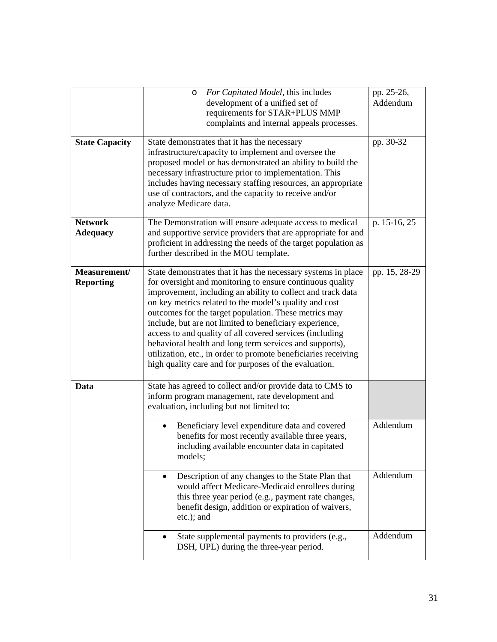| <b>State Capacity</b>             | For Capitated Model, this includes<br>$\circ$<br>development of a unified set of<br>requirements for STAR+PLUS MMP<br>complaints and internal appeals processes.<br>State demonstrates that it has the necessary<br>infrastructure/capacity to implement and oversee the<br>proposed model or has demonstrated an ability to build the<br>necessary infrastructure prior to implementation. This<br>includes having necessary staffing resources, an appropriate<br>use of contractors, and the capacity to receive and/or<br>analyze Medicare data.                                                                      | pp. 25-26,<br>Addendum<br>pp. 30-32 |
|-----------------------------------|---------------------------------------------------------------------------------------------------------------------------------------------------------------------------------------------------------------------------------------------------------------------------------------------------------------------------------------------------------------------------------------------------------------------------------------------------------------------------------------------------------------------------------------------------------------------------------------------------------------------------|-------------------------------------|
| <b>Network</b><br><b>Adequacy</b> | The Demonstration will ensure adequate access to medical<br>and supportive service providers that are appropriate for and<br>proficient in addressing the needs of the target population as<br>further described in the MOU template.                                                                                                                                                                                                                                                                                                                                                                                     | p. 15-16, 25                        |
| Measurement/<br><b>Reporting</b>  | State demonstrates that it has the necessary systems in place<br>for oversight and monitoring to ensure continuous quality<br>improvement, including an ability to collect and track data<br>on key metrics related to the model's quality and cost<br>outcomes for the target population. These metrics may<br>include, but are not limited to beneficiary experience,<br>access to and quality of all covered services (including<br>behavioral health and long term services and supports),<br>utilization, etc., in order to promote beneficiaries receiving<br>high quality care and for purposes of the evaluation. | pp. 15, 28-29                       |
| Data                              | State has agreed to collect and/or provide data to CMS to<br>inform program management, rate development and<br>evaluation, including but not limited to:                                                                                                                                                                                                                                                                                                                                                                                                                                                                 |                                     |
|                                   | Beneficiary level expenditure data and covered<br>benefits for most recently available three years,<br>including available encounter data in capitated<br>models;                                                                                                                                                                                                                                                                                                                                                                                                                                                         | Addendum                            |
|                                   | Description of any changes to the State Plan that<br>$\bullet$<br>would affect Medicare-Medicaid enrollees during<br>this three year period (e.g., payment rate changes,<br>benefit design, addition or expiration of waivers,<br>etc.); and                                                                                                                                                                                                                                                                                                                                                                              | Addendum                            |
|                                   | State supplemental payments to providers (e.g.,<br>DSH, UPL) during the three-year period.                                                                                                                                                                                                                                                                                                                                                                                                                                                                                                                                | Addendum                            |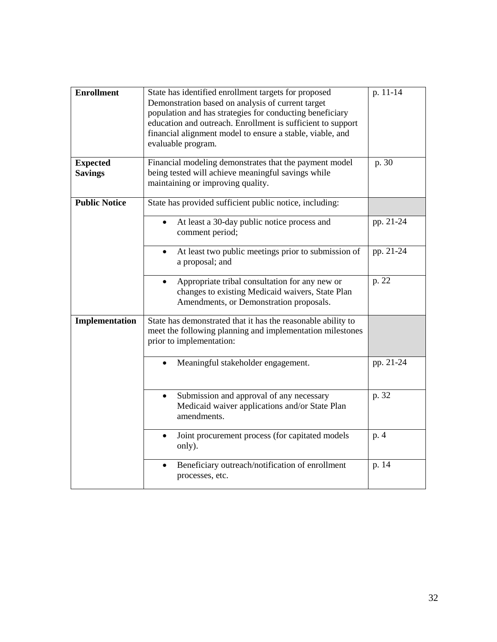| <b>Enrollment</b>                 | State has identified enrollment targets for proposed<br>Demonstration based on analysis of current target<br>population and has strategies for conducting beneficiary<br>education and outreach. Enrollment is sufficient to support<br>financial alignment model to ensure a stable, viable, and<br>evaluable program. | p. 11-14  |
|-----------------------------------|-------------------------------------------------------------------------------------------------------------------------------------------------------------------------------------------------------------------------------------------------------------------------------------------------------------------------|-----------|
| <b>Expected</b><br><b>Savings</b> | Financial modeling demonstrates that the payment model<br>being tested will achieve meaningful savings while<br>maintaining or improving quality.                                                                                                                                                                       | p. 30     |
| <b>Public Notice</b>              | State has provided sufficient public notice, including:                                                                                                                                                                                                                                                                 |           |
|                                   | At least a 30-day public notice process and<br>comment period;                                                                                                                                                                                                                                                          | pp. 21-24 |
|                                   | At least two public meetings prior to submission of<br>a proposal; and                                                                                                                                                                                                                                                  | pp. 21-24 |
|                                   | Appropriate tribal consultation for any new or<br>$\bullet$<br>changes to existing Medicaid waivers, State Plan<br>Amendments, or Demonstration proposals.                                                                                                                                                              | p. 22     |
| Implementation                    | State has demonstrated that it has the reasonable ability to<br>meet the following planning and implementation milestones<br>prior to implementation:                                                                                                                                                                   |           |
|                                   | Meaningful stakeholder engagement.                                                                                                                                                                                                                                                                                      | pp. 21-24 |
|                                   | Submission and approval of any necessary<br>Medicaid waiver applications and/or State Plan<br>amendments.                                                                                                                                                                                                               | p. 32     |
|                                   | Joint procurement process (for capitated models<br>only).                                                                                                                                                                                                                                                               | p. 4      |
|                                   | Beneficiary outreach/notification of enrollment<br>$\bullet$<br>processes, etc.                                                                                                                                                                                                                                         | p. 14     |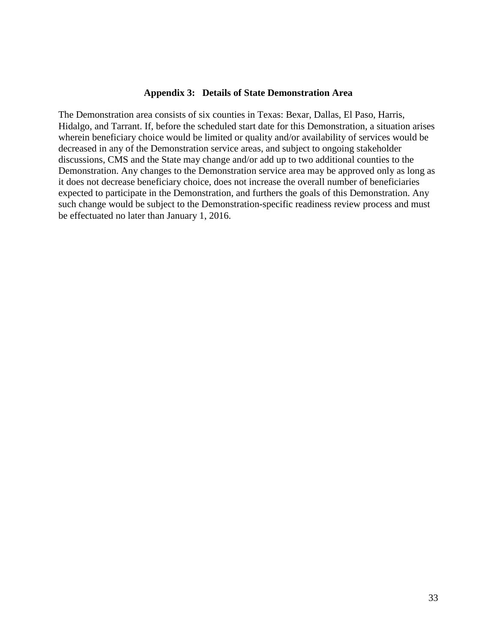#### **Appendix 3: Details of State Demonstration Area**

<span id="page-34-0"></span>The Demonstration area consists of six counties in Texas: Bexar, Dallas, El Paso, Harris, Hidalgo, and Tarrant. If, before the scheduled start date for this Demonstration, a situation arises wherein beneficiary choice would be limited or quality and/or availability of services would be decreased in any of the Demonstration service areas, and subject to ongoing stakeholder discussions, CMS and the State may change and/or add up to two additional counties to the Demonstration. Any changes to the Demonstration service area may be approved only as long as it does not decrease beneficiary choice, does not increase the overall number of beneficiaries expected to participate in the Demonstration, and furthers the goals of this Demonstration. Any such change would be subject to the Demonstration-specific readiness review process and must be effectuated no later than January 1, 2016.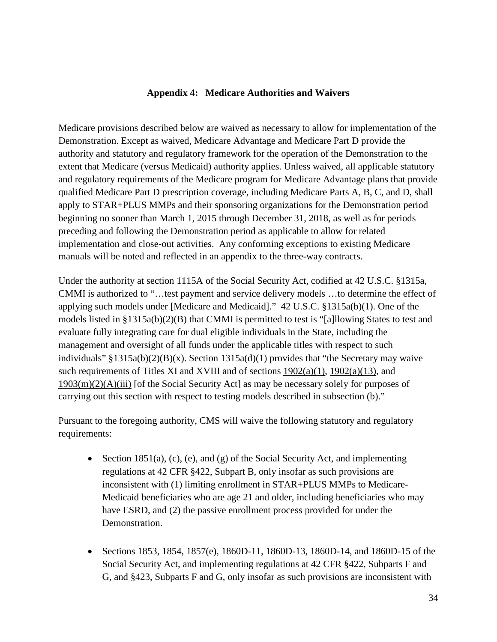#### **Appendix 4: Medicare Authorities and Waivers**

<span id="page-35-0"></span>Medicare provisions described below are waived as necessary to allow for implementation of the Demonstration. Except as waived, Medicare Advantage and Medicare Part D provide the authority and statutory and regulatory framework for the operation of the Demonstration to the extent that Medicare (versus Medicaid) authority applies. Unless waived, all applicable statutory and regulatory requirements of the Medicare program for Medicare Advantage plans that provide qualified Medicare Part D prescription coverage, including Medicare Parts A, B, C, and D, shall apply to STAR+PLUS MMPs and their sponsoring organizations for the Demonstration period beginning no sooner than March 1, 2015 through December 31, 2018, as well as for periods preceding and following the Demonstration period as applicable to allow for related implementation and close-out activities. Any conforming exceptions to existing Medicare manuals will be noted and reflected in an appendix to the three-way contracts.

Under the authority at section 1115A of the Social Security Act, codified at 42 U.S.C. §1315a, CMMI is authorized to "…test payment and service delivery models …to determine the effect of applying such models under [Medicare and Medicaid]." 42 U.S.C. §1315a(b)(1). One of the models listed in §1315a(b)(2)(B) that CMMI is permitted to test is "[a]llowing States to test and evaluate fully integrating care for dual eligible individuals in the State, including the management and oversight of all funds under the applicable titles with respect to such individuals" §1315a(b)(2)(B)(x). Section 1315a(d)(1) provides that "the Secretary may waive such requirements of Titles XI and XVIII and of sections  $1902(a)(1)$ ,  $1902(a)(13)$ , and [1903\(m\)\(2\)\(A\)\(iii\)](http://www.ssa.gov/OP_Home/ssact/title19/1903.htm#act-1903-m-2-a-iii) [of the Social Security Act] as may be necessary solely for purposes of carrying out this section with respect to testing models described in subsection (b)."

Pursuant to the foregoing authority, CMS will waive the following statutory and regulatory requirements:

- Section 1851(a), (c), (e), and (g) of the Social Security Act, and implementing regulations at 42 CFR §422, Subpart B, only insofar as such provisions are inconsistent with (1) limiting enrollment in STAR+PLUS MMPs to Medicare-Medicaid beneficiaries who are age 21 and older, including beneficiaries who may have ESRD, and (2) the passive enrollment process provided for under the Demonstration.
- Sections 1853, 1854, 1857(e), 1860D-11, 1860D-13, 1860D-14, and 1860D-15 of the Social Security Act, and implementing regulations at 42 CFR §422, Subparts F and G, and §423, Subparts F and G, only insofar as such provisions are inconsistent with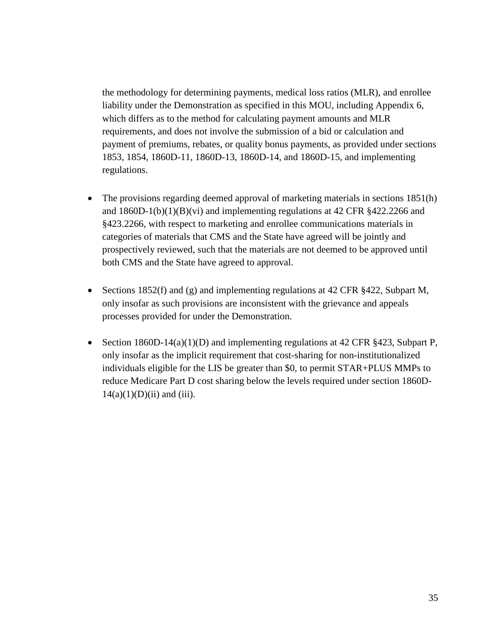the methodology for determining payments, medical loss ratios (MLR), and enrollee liability under the Demonstration as specified in this MOU, including Appendix 6, which differs as to the method for calculating payment amounts and MLR requirements, and does not involve the submission of a bid or calculation and payment of premiums, rebates, or quality bonus payments, as provided under sections 1853, 1854, 1860D-11, 1860D-13, 1860D-14, and 1860D-15, and implementing regulations.

- The provisions regarding deemed approval of marketing materials in sections 1851(h) and  $1860D-1(b)(1)(B)(vi)$  and implementing regulations at 42 CFR  $\S 422.2266$  and §423.2266, with respect to marketing and enrollee communications materials in categories of materials that CMS and the State have agreed will be jointly and prospectively reviewed, such that the materials are not deemed to be approved until both CMS and the State have agreed to approval.
- Sections 1852(f) and (g) and implementing regulations at 42 CFR §422, Subpart M, only insofar as such provisions are inconsistent with the grievance and appeals processes provided for under the Demonstration.
- Section 1860D-14(a)(1)(D) and implementing regulations at 42 CFR §423, Subpart P, only insofar as the implicit requirement that cost-sharing for non-institutionalized individuals eligible for the LIS be greater than \$0, to permit STAR+PLUS MMPs to reduce Medicare Part D cost sharing below the levels required under section 1860D- $14(a)(1)(D)(ii)$  and (iii).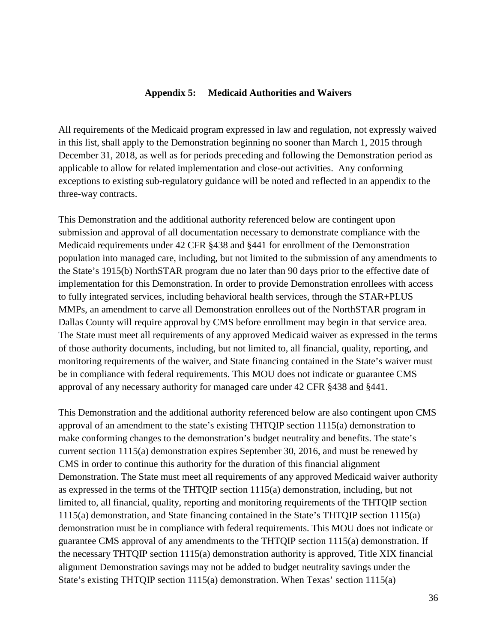### **Appendix 5: Medicaid Authorities and Waivers**

All requirements of the Medicaid program expressed in law and regulation, not expressly waived in this list, shall apply to the Demonstration beginning no sooner than March 1, 2015 through December 31, 2018, as well as for periods preceding and following the Demonstration period as applicable to allow for related implementation and close-out activities. Any conforming exceptions to existing sub-regulatory guidance will be noted and reflected in an appendix to the three-way contracts.

This Demonstration and the additional authority referenced below are contingent upon submission and approval of all documentation necessary to demonstrate compliance with the Medicaid requirements under 42 CFR §438 and §441 for enrollment of the Demonstration population into managed care, including, but not limited to the submission of any amendments to the State's 1915(b) NorthSTAR program due no later than 90 days prior to the effective date of implementation for this Demonstration. In order to provide Demonstration enrollees with access to fully integrated services, including behavioral health services, through the STAR+PLUS MMPs, an amendment to carve all Demonstration enrollees out of the NorthSTAR program in Dallas County will require approval by CMS before enrollment may begin in that service area. The State must meet all requirements of any approved Medicaid waiver as expressed in the terms of those authority documents, including, but not limited to, all financial, quality, reporting, and monitoring requirements of the waiver, and State financing contained in the State's waiver must be in compliance with federal requirements. This MOU does not indicate or guarantee CMS approval of any necessary authority for managed care under 42 CFR §438 and §441.

This Demonstration and the additional authority referenced below are also contingent upon CMS approval of an amendment to the state's existing THTQIP section 1115(a) demonstration to make conforming changes to the demonstration's budget neutrality and benefits. The state's current section 1115(a) demonstration expires September 30, 2016, and must be renewed by CMS in order to continue this authority for the duration of this financial alignment Demonstration. The State must meet all requirements of any approved Medicaid waiver authority as expressed in the terms of the THTQIP section 1115(a) demonstration, including, but not limited to, all financial, quality, reporting and monitoring requirements of the THTQIP section 1115(a) demonstration, and State financing contained in the State's THTQIP section 1115(a) demonstration must be in compliance with federal requirements. This MOU does not indicate or guarantee CMS approval of any amendments to the THTQIP section 1115(a) demonstration. If the necessary THTQIP section 1115(a) demonstration authority is approved, Title XIX financial alignment Demonstration savings may not be added to budget neutrality savings under the State's existing THTQIP section 1115(a) demonstration. When Texas' section 1115(a)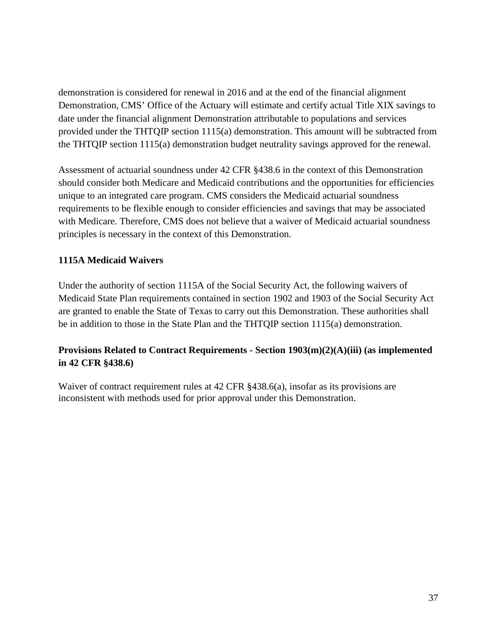demonstration is considered for renewal in 2016 and at the end of the financial alignment Demonstration, CMS' Office of the Actuary will estimate and certify actual Title XIX savings to date under the financial alignment Demonstration attributable to populations and services provided under the THTQIP section 1115(a) demonstration. This amount will be subtracted from the THTQIP section 1115(a) demonstration budget neutrality savings approved for the renewal.

Assessment of actuarial soundness under 42 CFR §438.6 in the context of this Demonstration should consider both Medicare and Medicaid contributions and the opportunities for efficiencies unique to an integrated care program. CMS considers the Medicaid actuarial soundness requirements to be flexible enough to consider efficiencies and savings that may be associated with Medicare. Therefore, CMS does not believe that a waiver of Medicaid actuarial soundness principles is necessary in the context of this Demonstration.

## **1115A Medicaid Waivers**

Under the authority of section 1115A of the Social Security Act, the following waivers of Medicaid State Plan requirements contained in section 1902 and 1903 of the Social Security Act are granted to enable the State of Texas to carry out this Demonstration. These authorities shall be in addition to those in the State Plan and the THTQIP section 1115(a) demonstration.

## **Provisions Related to Contract Requirements - Section 1903(m)(2)(A)(iii) (as implemented in 42 CFR §438.6)**

Waiver of contract requirement rules at 42 CFR §438.6(a), insofar as its provisions are inconsistent with methods used for prior approval under this Demonstration.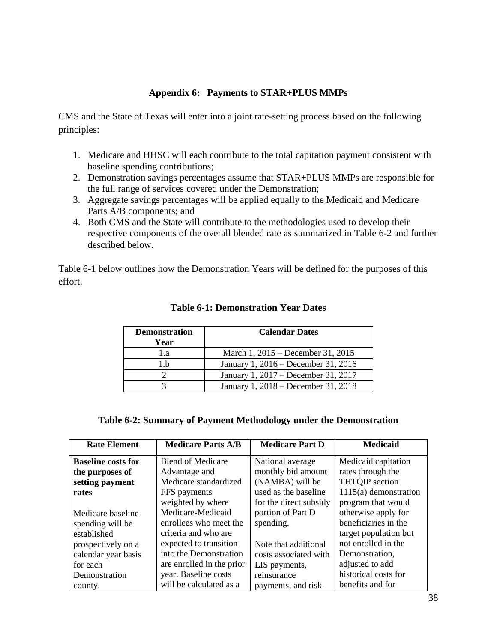## **Appendix 6: Payments to STAR+PLUS MMPs**

CMS and the State of Texas will enter into a joint rate-setting process based on the following principles:

- 1. Medicare and HHSC will each contribute to the total capitation payment consistent with baseline spending contributions;
- 2. Demonstration savings percentages assume that STAR+PLUS MMPs are responsible for the full range of services covered under the Demonstration;
- 3. Aggregate savings percentages will be applied equally to the Medicaid and Medicare Parts A/B components; and
- 4. Both CMS and the State will contribute to the methodologies used to develop their respective components of the overall blended rate as summarized in Table 6-2 and further described below.

Table 6-1 below outlines how the Demonstration Years will be defined for the purposes of this effort.

| <b>Demonstration</b><br>Year | <b>Calendar Dates</b>               |
|------------------------------|-------------------------------------|
| 1.a                          | March 1, 2015 – December 31, 2015   |
| l .h                         | January 1, 2016 – December 31, 2016 |
|                              | January 1, 2017 – December 31, 2017 |
|                              | January 1, 2018 – December 31, 2018 |

### **Table 6-1: Demonstration Year Dates**

### **Table 6-2: Summary of Payment Methodology under the Demonstration**

| <b>Rate Element</b>       | <b>Medicare Parts A/B</b> | <b>Medicare Part D</b> | <b>Medicaid</b>         |
|---------------------------|---------------------------|------------------------|-------------------------|
| <b>Baseline costs for</b> | <b>Blend of Medicare</b>  | National average       | Medicaid capitation     |
| the purposes of           | Advantage and             | monthly bid amount     | rates through the       |
| setting payment           | Medicare standardized     | (NAMBA) will be        | <b>THTQIP</b> section   |
| rates                     | FFS payments              | used as the baseline   | $1115(a)$ demonstration |
|                           | weighted by where         | for the direct subsidy | program that would      |
| Medicare baseline         | Medicare-Medicaid         | portion of Part D      | otherwise apply for     |
| spending will be          | enrollees who meet the    | spending.              | beneficiaries in the    |
| established               | criteria and who are      |                        | target population but   |
| prospectively on a        | expected to transition    | Note that additional   | not enrolled in the     |
| calendar year basis       | into the Demonstration    | costs associated with  | Demonstration,          |
| for each                  | are enrolled in the prior | LIS payments,          | adjusted to add         |
| Demonstration             | year. Baseline costs      | reinsurance            | historical costs for    |
| county.                   | will be calculated as a   | payments, and risk-    | benefits and for        |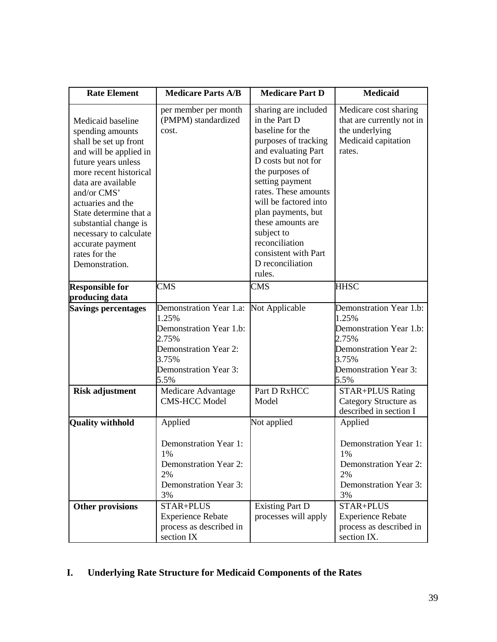| <b>Rate Element</b>                                                                                                                                                                                                                                                                                                                     | <b>Medicare Parts A/B</b>                                                                                                                             | <b>Medicare Part D</b>                                                                                                                                                                                                                                                                                                                                  | <b>Medicaid</b>                                                                                                                                |
|-----------------------------------------------------------------------------------------------------------------------------------------------------------------------------------------------------------------------------------------------------------------------------------------------------------------------------------------|-------------------------------------------------------------------------------------------------------------------------------------------------------|---------------------------------------------------------------------------------------------------------------------------------------------------------------------------------------------------------------------------------------------------------------------------------------------------------------------------------------------------------|------------------------------------------------------------------------------------------------------------------------------------------------|
| Medicaid baseline<br>spending amounts<br>shall be set up front<br>and will be applied in<br>future years unless<br>more recent historical<br>data are available<br>and/or CMS'<br>actuaries and the<br>State determine that a<br>substantial change is<br>necessary to calculate<br>accurate payment<br>rates for the<br>Demonstration. | per member per month<br>(PMPM) standardized<br>cost.                                                                                                  | sharing are included<br>in the Part D<br>baseline for the<br>purposes of tracking<br>and evaluating Part<br>D costs but not for<br>the purposes of<br>setting payment<br>rates. These amounts<br>will be factored into<br>plan payments, but<br>these amounts are<br>subject to<br>reconciliation<br>consistent with Part<br>D reconciliation<br>rules. | Medicare cost sharing<br>that are currently not in<br>the underlying<br>Medicaid capitation<br>rates.                                          |
| <b>Responsible for</b><br>producing data                                                                                                                                                                                                                                                                                                | <b>CMS</b>                                                                                                                                            | <b>CMS</b>                                                                                                                                                                                                                                                                                                                                              | <b>HHSC</b>                                                                                                                                    |
| <b>Savings percentages</b>                                                                                                                                                                                                                                                                                                              | Demonstration Year 1.a:<br>1.25%<br>Demonstration Year 1.b:<br>2.75%<br><b>Demonstration Year 2:</b><br>3.75%<br><b>Demonstration Year 3:</b><br>5.5% | Not Applicable                                                                                                                                                                                                                                                                                                                                          | Demonstration Year 1.b:<br>1.25%<br>Demonstration Year 1.b:<br>2.75%<br>Demonstration Year 2:<br>3.75%<br><b>Demonstration Year 3:</b><br>5.5% |
| <b>Risk adjustment</b>                                                                                                                                                                                                                                                                                                                  | Medicare Advantage<br><b>CMS-HCC Model</b>                                                                                                            | Part D RxHCC<br>Model                                                                                                                                                                                                                                                                                                                                   | <b>STAR+PLUS Rating</b><br><b>Category Structure as</b><br>described in section I                                                              |
| <b>Quality withhold</b>                                                                                                                                                                                                                                                                                                                 | Applied<br>Demonstration Year 1:<br>1%<br><b>Demonstration Year 2:</b><br>2%<br><b>Demonstration Year 3:</b><br>3%                                    | Not applied                                                                                                                                                                                                                                                                                                                                             | Applied<br>Demonstration Year 1:<br>1%<br><b>Demonstration Year 2:</b><br>2%<br><b>Demonstration Year 3:</b><br>3%                             |
| Other provisions                                                                                                                                                                                                                                                                                                                        | STAR+PLUS<br><b>Experience Rebate</b><br>process as described in<br>section IX                                                                        | <b>Existing Part D</b><br>processes will apply                                                                                                                                                                                                                                                                                                          | STAR+PLUS<br><b>Experience Rebate</b><br>process as described in<br>section IX.                                                                |

# **I. Underlying Rate Structure for Medicaid Components of the Rates**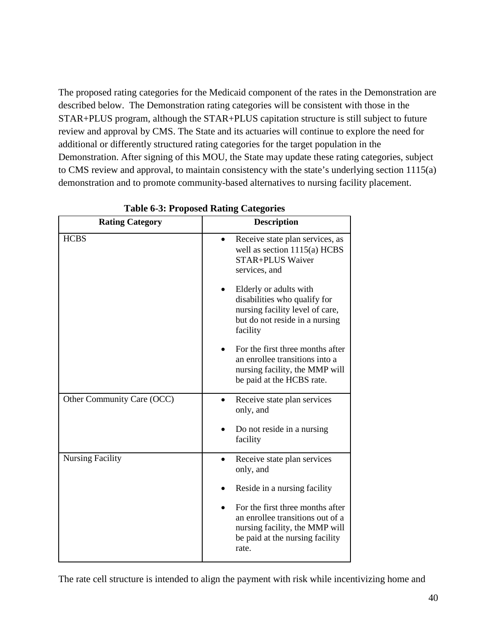The proposed rating categories for the Medicaid component of the rates in the Demonstration are described below. The Demonstration rating categories will be consistent with those in the STAR+PLUS program, although the STAR+PLUS capitation structure is still subject to future review and approval by CMS. The State and its actuaries will continue to explore the need for additional or differently structured rating categories for the target population in the Demonstration. After signing of this MOU, the State may update these rating categories, subject to CMS review and approval, to maintain consistency with the state's underlying section 1115(a) demonstration and to promote community-based alternatives to nursing facility placement.

| <b>Rating Category</b>     | <b>Description</b>                                                                                                                                 |
|----------------------------|----------------------------------------------------------------------------------------------------------------------------------------------------|
| <b>HCBS</b>                | Receive state plan services, as<br>well as section $1115(a)$ HCBS<br>STAR+PLUS Waiver<br>services, and                                             |
|                            | Elderly or adults with<br>disabilities who qualify for<br>nursing facility level of care,<br>but do not reside in a nursing<br>facility            |
|                            | For the first three months after<br>an enrollee transitions into a<br>nursing facility, the MMP will<br>be paid at the HCBS rate.                  |
| Other Community Care (OCC) | Receive state plan services<br>only, and                                                                                                           |
|                            | Do not reside in a nursing<br>facility                                                                                                             |
| <b>Nursing Facility</b>    | Receive state plan services<br>$\bullet$<br>only, and                                                                                              |
|                            | Reside in a nursing facility                                                                                                                       |
|                            | For the first three months after<br>an enrollee transitions out of a<br>nursing facility, the MMP will<br>be paid at the nursing facility<br>rate. |

**Table 6-3: Proposed Rating Categories**

The rate cell structure is intended to align the payment with risk while incentivizing home and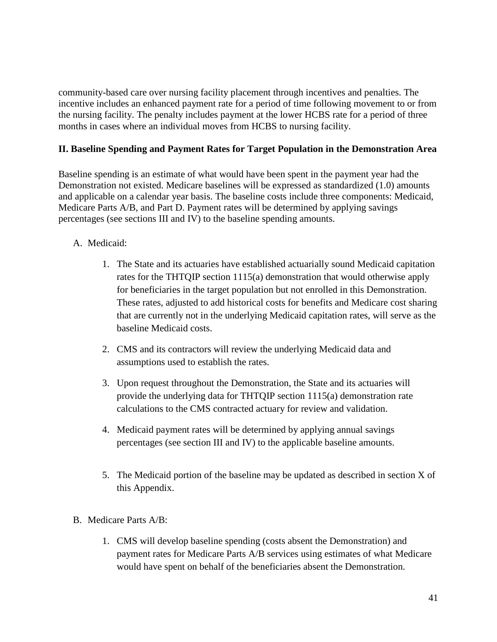community-based care over nursing facility placement through incentives and penalties. The incentive includes an enhanced payment rate for a period of time following movement to or from the nursing facility. The penalty includes payment at the lower HCBS rate for a period of three months in cases where an individual moves from HCBS to nursing facility.

## **II. Baseline Spending and Payment Rates for Target Population in the Demonstration Area**

Baseline spending is an estimate of what would have been spent in the payment year had the Demonstration not existed. Medicare baselines will be expressed as standardized (1.0) amounts and applicable on a calendar year basis. The baseline costs include three components: Medicaid, Medicare Parts A/B, and Part D. Payment rates will be determined by applying savings percentages (see sections III and IV) to the baseline spending amounts.

## A. Medicaid:

- 1. The State and its actuaries have established actuarially sound Medicaid capitation rates for the THTQIP section 1115(a) demonstration that would otherwise apply for beneficiaries in the target population but not enrolled in this Demonstration. These rates, adjusted to add historical costs for benefits and Medicare cost sharing that are currently not in the underlying Medicaid capitation rates, will serve as the baseline Medicaid costs.
- 2. CMS and its contractors will review the underlying Medicaid data and assumptions used to establish the rates.
- 3. Upon request throughout the Demonstration, the State and its actuaries will provide the underlying data for THTQIP section 1115(a) demonstration rate calculations to the CMS contracted actuary for review and validation.
- 4. Medicaid payment rates will be determined by applying annual savings percentages (see section III and IV) to the applicable baseline amounts.
- 5. The Medicaid portion of the baseline may be updated as described in section X of this Appendix.
- B. Medicare Parts A/B:
	- 1. CMS will develop baseline spending (costs absent the Demonstration) and payment rates for Medicare Parts A/B services using estimates of what Medicare would have spent on behalf of the beneficiaries absent the Demonstration.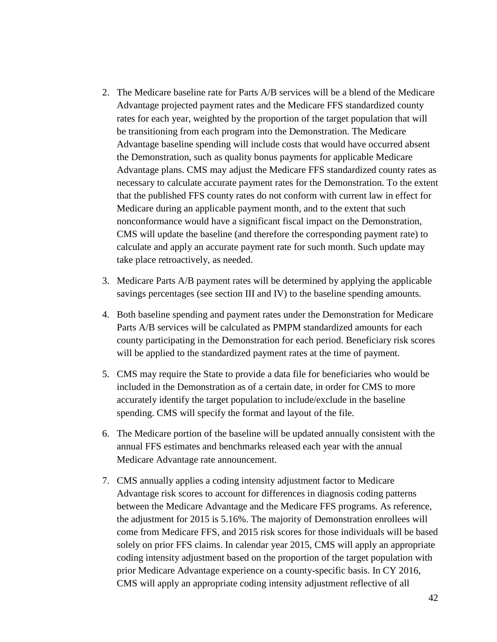- 2. The Medicare baseline rate for Parts A/B services will be a blend of the Medicare Advantage projected payment rates and the Medicare FFS standardized county rates for each year, weighted by the proportion of the target population that will be transitioning from each program into the Demonstration. The Medicare Advantage baseline spending will include costs that would have occurred absent the Demonstration, such as quality bonus payments for applicable Medicare Advantage plans. CMS may adjust the Medicare FFS standardized county rates as necessary to calculate accurate payment rates for the Demonstration. To the extent that the published FFS county rates do not conform with current law in effect for Medicare during an applicable payment month, and to the extent that such nonconformance would have a significant fiscal impact on the Demonstration, CMS will update the baseline (and therefore the corresponding payment rate) to calculate and apply an accurate payment rate for such month. Such update may take place retroactively, as needed.
- 3. Medicare Parts A/B payment rates will be determined by applying the applicable savings percentages (see section III and IV) to the baseline spending amounts.
- 4. Both baseline spending and payment rates under the Demonstration for Medicare Parts A/B services will be calculated as PMPM standardized amounts for each county participating in the Demonstration for each period. Beneficiary risk scores will be applied to the standardized payment rates at the time of payment.
- 5. CMS may require the State to provide a data file for beneficiaries who would be included in the Demonstration as of a certain date, in order for CMS to more accurately identify the target population to include/exclude in the baseline spending. CMS will specify the format and layout of the file.
- 6. The Medicare portion of the baseline will be updated annually consistent with the annual FFS estimates and benchmarks released each year with the annual Medicare Advantage rate announcement.
- 7. CMS annually applies a coding intensity adjustment factor to Medicare Advantage risk scores to account for differences in diagnosis coding patterns between the Medicare Advantage and the Medicare FFS programs. As reference, the adjustment for 2015 is 5.16%. The majority of Demonstration enrollees will come from Medicare FFS, and 2015 risk scores for those individuals will be based solely on prior FFS claims. In calendar year 2015, CMS will apply an appropriate coding intensity adjustment based on the proportion of the target population with prior Medicare Advantage experience on a county-specific basis. In CY 2016, CMS will apply an appropriate coding intensity adjustment reflective of all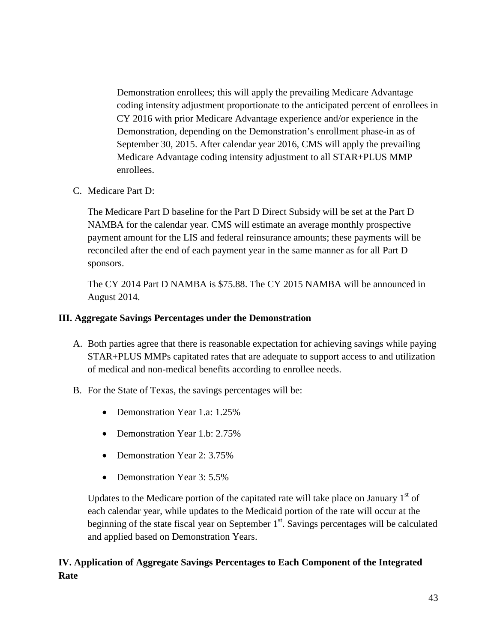Demonstration enrollees; this will apply the prevailing Medicare Advantage coding intensity adjustment proportionate to the anticipated percent of enrollees in CY 2016 with prior Medicare Advantage experience and/or experience in the Demonstration, depending on the Demonstration's enrollment phase-in as of September 30, 2015. After calendar year 2016, CMS will apply the prevailing Medicare Advantage coding intensity adjustment to all STAR+PLUS MMP enrollees.

C. Medicare Part D:

The Medicare Part D baseline for the Part D Direct Subsidy will be set at the Part D NAMBA for the calendar year. CMS will estimate an average monthly prospective payment amount for the LIS and federal reinsurance amounts; these payments will be reconciled after the end of each payment year in the same manner as for all Part D sponsors.

The CY 2014 Part D NAMBA is \$75.88. The CY 2015 NAMBA will be announced in August 2014.

## **III. Aggregate Savings Percentages under the Demonstration**

- A. Both parties agree that there is reasonable expectation for achieving savings while paying STAR+PLUS MMPs capitated rates that are adequate to support access to and utilization of medical and non-medical benefits according to enrollee needs.
- B. For the State of Texas, the savings percentages will be:
	- Demonstration Year 1.a: 1.25%
	- Demonstration Year 1.b: 2.75%
	- Demonstration Year 2: 3.75%
	- Demonstration Year 3: 5.5%

Updates to the Medicare portion of the capitated rate will take place on January  $1<sup>st</sup>$  of each calendar year, while updates to the Medicaid portion of the rate will occur at the beginning of the state fiscal year on September  $1<sup>st</sup>$ . Savings percentages will be calculated and applied based on Demonstration Years.

## **IV. Application of Aggregate Savings Percentages to Each Component of the Integrated Rate**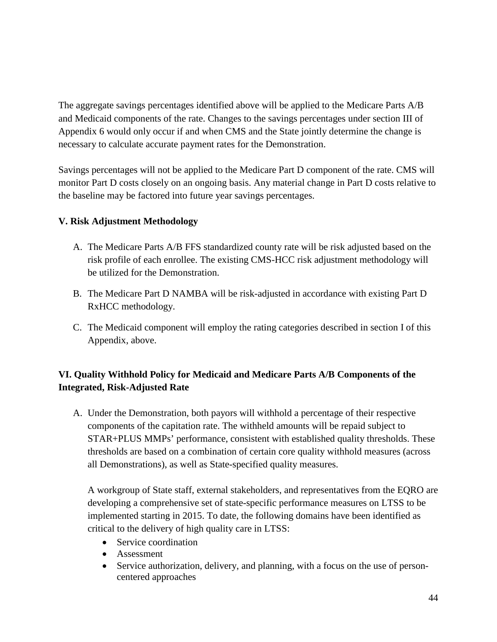The aggregate savings percentages identified above will be applied to the Medicare Parts A/B and Medicaid components of the rate. Changes to the savings percentages under section III of Appendix 6 would only occur if and when CMS and the State jointly determine the change is necessary to calculate accurate payment rates for the Demonstration.

Savings percentages will not be applied to the Medicare Part D component of the rate. CMS will monitor Part D costs closely on an ongoing basis. Any material change in Part D costs relative to the baseline may be factored into future year savings percentages.

## **V. Risk Adjustment Methodology**

- A. The Medicare Parts A/B FFS standardized county rate will be risk adjusted based on the risk profile of each enrollee. The existing CMS-HCC risk adjustment methodology will be utilized for the Demonstration.
- B. The Medicare Part D NAMBA will be risk-adjusted in accordance with existing Part D RxHCC methodology.
- C. The Medicaid component will employ the rating categories described in section I of this Appendix, above.

## **VI. Quality Withhold Policy for Medicaid and Medicare Parts A/B Components of the Integrated, Risk-Adjusted Rate**

A. Under the Demonstration, both payors will withhold a percentage of their respective components of the capitation rate. The withheld amounts will be repaid subject to STAR+PLUS MMPs' performance, consistent with established quality thresholds. These thresholds are based on a combination of certain core quality withhold measures (across all Demonstrations), as well as State-specified quality measures.

A workgroup of State staff, external stakeholders, and representatives from the EQRO are developing a comprehensive set of state-specific performance measures on LTSS to be implemented starting in 2015. To date, the following domains have been identified as critical to the delivery of high quality care in LTSS:

- Service coordination
- Assessment
- Service authorization, delivery, and planning, with a focus on the use of personcentered approaches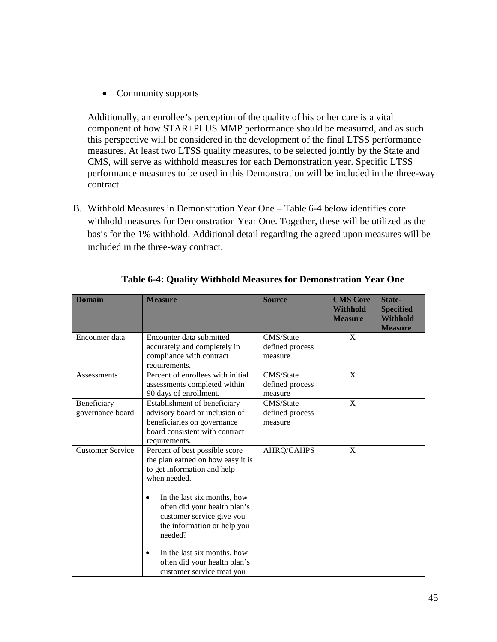• Community supports

Additionally, an enrollee's perception of the quality of his or her care is a vital component of how STAR+PLUS MMP performance should be measured, and as such this perspective will be considered in the development of the final LTSS performance measures. At least two LTSS quality measures, to be selected jointly by the State and CMS, will serve as withhold measures for each Demonstration year. Specific LTSS performance measures to be used in this Demonstration will be included in the three-way contract.

B. Withhold Measures in Demonstration Year One – Table 6-4 below identifies core withhold measures for Demonstration Year One. Together, these will be utilized as the basis for the 1% withhold. Additional detail regarding the agreed upon measures will be included in the three-way contract.

| <b>Domain</b>                   | <b>Measure</b>                                                                                                                                                                                                                                                                                                                                                          | <b>Source</b>                           | <b>CMS Core</b><br><b>Withhold</b><br><b>Measure</b> | State-<br><b>Specified</b><br><b>Withhold</b><br><b>Measure</b> |
|---------------------------------|-------------------------------------------------------------------------------------------------------------------------------------------------------------------------------------------------------------------------------------------------------------------------------------------------------------------------------------------------------------------------|-----------------------------------------|------------------------------------------------------|-----------------------------------------------------------------|
| Encounter data                  | Encounter data submitted<br>accurately and completely in<br>compliance with contract<br>requirements.                                                                                                                                                                                                                                                                   | CMS/State<br>defined process<br>measure | X                                                    |                                                                 |
| Assessments                     | Percent of enrollees with initial<br>assessments completed within<br>90 days of enrollment.                                                                                                                                                                                                                                                                             | CMS/State<br>defined process<br>measure | X                                                    |                                                                 |
| Beneficiary<br>governance board | Establishment of beneficiary<br>advisory board or inclusion of<br>beneficiaries on governance<br>board consistent with contract<br>requirements.                                                                                                                                                                                                                        | CMS/State<br>defined process<br>measure | X                                                    |                                                                 |
| <b>Customer Service</b>         | Percent of best possible score<br>the plan earned on how easy it is<br>to get information and help<br>when needed.<br>In the last six months, how<br>$\bullet$<br>often did your health plan's<br>customer service give you<br>the information or help you<br>needed?<br>In the last six months, how<br>٠<br>often did your health plan's<br>customer service treat you | <b>AHRQ/CAHPS</b>                       | X                                                    |                                                                 |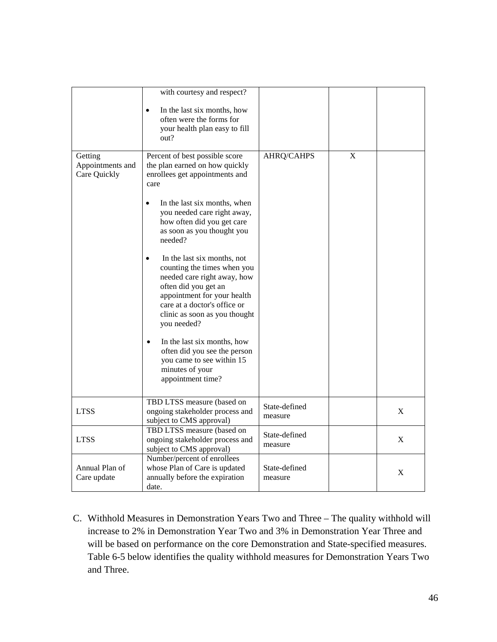|                                             | with courtesy and respect?                                                                                                                                                                                                                                                                                                                                                                                                                                                                                                                                                                                                            |                          |   |             |
|---------------------------------------------|---------------------------------------------------------------------------------------------------------------------------------------------------------------------------------------------------------------------------------------------------------------------------------------------------------------------------------------------------------------------------------------------------------------------------------------------------------------------------------------------------------------------------------------------------------------------------------------------------------------------------------------|--------------------------|---|-------------|
|                                             | In the last six months, how<br>often were the forms for<br>your health plan easy to fill<br>out?                                                                                                                                                                                                                                                                                                                                                                                                                                                                                                                                      |                          |   |             |
| Getting<br>Appointments and<br>Care Quickly | Percent of best possible score<br>the plan earned on how quickly<br>enrollees get appointments and<br>care<br>In the last six months, when<br>you needed care right away,<br>how often did you get care<br>as soon as you thought you<br>needed?<br>In the last six months, not<br>counting the times when you<br>needed care right away, how<br>often did you get an<br>appointment for your health<br>care at a doctor's office or<br>clinic as soon as you thought<br>you needed?<br>In the last six months, how<br>$\bullet$<br>often did you see the person<br>you came to see within 15<br>minutes of your<br>appointment time? | AHRQ/CAHPS               | X |             |
| <b>LTSS</b>                                 | TBD LTSS measure (based on<br>ongoing stakeholder process and<br>subject to CMS approval)                                                                                                                                                                                                                                                                                                                                                                                                                                                                                                                                             | State-defined<br>measure |   | $\mathbf X$ |
| <b>LTSS</b>                                 | TBD LTSS measure (based on<br>ongoing stakeholder process and<br>subject to CMS approval)                                                                                                                                                                                                                                                                                                                                                                                                                                                                                                                                             | State-defined<br>measure |   | X           |
| Annual Plan of<br>Care update               | Number/percent of enrollees<br>whose Plan of Care is updated<br>annually before the expiration<br>date.                                                                                                                                                                                                                                                                                                                                                                                                                                                                                                                               | State-defined<br>measure |   | X           |

C. Withhold Measures in Demonstration Years Two and Three – The quality withhold will increase to 2% in Demonstration Year Two and 3% in Demonstration Year Three and will be based on performance on the core Demonstration and State-specified measures. Table 6-5 below identifies the quality withhold measures for Demonstration Years Two and Three.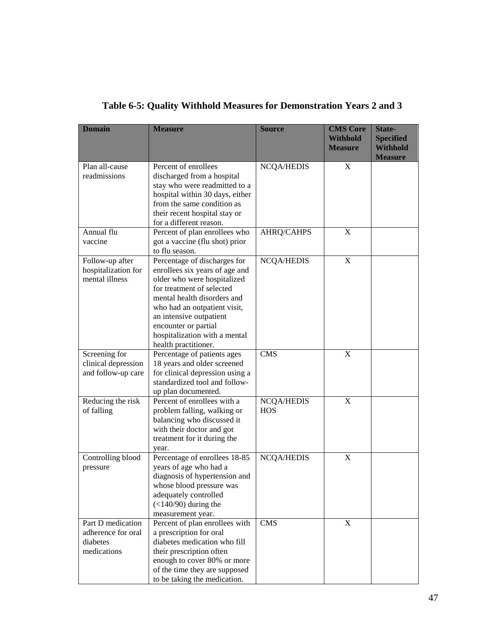| <b>Domain</b>                                                      | <b>Measure</b>                                                                                                                                                                                                                                                                                        | <b>Source</b>                   | <b>CMS Core</b><br><b>Withhold</b><br><b>Measure</b> | State-<br><b>Specified</b><br><b>Withhold</b><br><b>Measure</b> |
|--------------------------------------------------------------------|-------------------------------------------------------------------------------------------------------------------------------------------------------------------------------------------------------------------------------------------------------------------------------------------------------|---------------------------------|------------------------------------------------------|-----------------------------------------------------------------|
| Plan all-cause<br>readmissions                                     | Percent of enrollees<br>discharged from a hospital<br>stay who were readmitted to a<br>hospital within 30 days, either<br>from the same condition as<br>their recent hospital stay or<br>for a different reason.                                                                                      | NCQA/HEDIS                      | X                                                    |                                                                 |
| Annual flu<br>vaccine                                              | Percent of plan enrollees who<br>got a vaccine (flu shot) prior<br>to flu season.                                                                                                                                                                                                                     | AHRQ/CAHPS                      | X                                                    |                                                                 |
| Follow-up after<br>hospitalization for<br>mental illness           | Percentage of discharges for<br>enrollees six years of age and<br>older who were hospitalized<br>for treatment of selected<br>mental health disorders and<br>who had an outpatient visit,<br>an intensive outpatient<br>encounter or partial<br>hospitalization with a mental<br>health practitioner. | <b>NCQA/HEDIS</b>               | X                                                    |                                                                 |
| Screening for<br>clinical depression<br>and follow-up care         | Percentage of patients ages<br>18 years and older screened<br>for clinical depression using a<br>standardized tool and follow-<br>up plan documented.                                                                                                                                                 | <b>CMS</b>                      | $\mathbf X$                                          |                                                                 |
| Reducing the risk<br>of falling                                    | Percent of enrollees with a<br>problem falling, walking or<br>balancing who discussed it<br>with their doctor and got<br>treatment for it during the<br>year.                                                                                                                                         | <b>NCQA/HEDIS</b><br><b>HOS</b> | X                                                    |                                                                 |
| Controlling blood<br>pressure                                      | Percentage of enrollees 18-85<br>years of age who had a<br>diagnosis of hypertension and<br>whose blood pressure was<br>adequately controlled<br>$(<140/90)$ during the<br>measurement year.                                                                                                          | <b>NCQA/HEDIS</b>               | $\mathbf X$                                          |                                                                 |
| Part D medication<br>adherence for oral<br>diabetes<br>medications | Percent of plan enrollees with<br>a prescription for oral<br>diabetes medication who fill<br>their prescription often<br>enough to cover 80% or more<br>of the time they are supposed<br>to be taking the medication.                                                                                 | <b>CMS</b>                      | $\mathbf X$                                          |                                                                 |

## **Table 6-5: Quality Withhold Measures for Demonstration Years 2 and 3**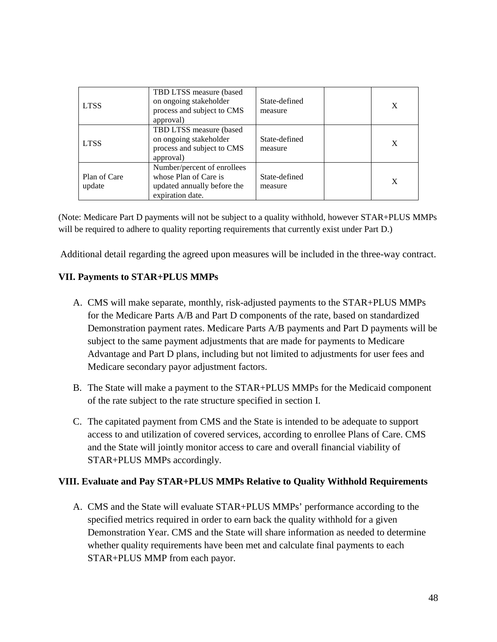| <b>LTSS</b>            | TBD LTSS measure (based)<br>on ongoing stakeholder<br>process and subject to CMS<br>approval)           | State-defined<br>measure | X |
|------------------------|---------------------------------------------------------------------------------------------------------|--------------------------|---|
| <b>LTSS</b>            | TBD LTSS measure (based<br>on ongoing stakeholder<br>process and subject to CMS<br>approval)            | State-defined<br>measure | X |
| Plan of Care<br>update | Number/percent of enrollees<br>whose Plan of Care is<br>updated annually before the<br>expiration date. |                          | X |

(Note: Medicare Part D payments will not be subject to a quality withhold, however STAR+PLUS MMPs will be required to adhere to quality reporting requirements that currently exist under Part D.)

Additional detail regarding the agreed upon measures will be included in the three-way contract.

## **VII. Payments to STAR+PLUS MMPs**

- A. CMS will make separate, monthly, risk-adjusted payments to the STAR+PLUS MMPs for the Medicare Parts A/B and Part D components of the rate, based on standardized Demonstration payment rates. Medicare Parts A/B payments and Part D payments will be subject to the same payment adjustments that are made for payments to Medicare Advantage and Part D plans, including but not limited to adjustments for user fees and Medicare secondary payor adjustment factors.
- B. The State will make a payment to the STAR+PLUS MMPs for the Medicaid component of the rate subject to the rate structure specified in section I.
- C. The capitated payment from CMS and the State is intended to be adequate to support access to and utilization of covered services, according to enrollee Plans of Care. CMS and the State will jointly monitor access to care and overall financial viability of STAR+PLUS MMPs accordingly.

### **VIII. Evaluate and Pay STAR+PLUS MMPs Relative to Quality Withhold Requirements**

A. CMS and the State will evaluate STAR+PLUS MMPs' performance according to the specified metrics required in order to earn back the quality withhold for a given Demonstration Year. CMS and the State will share information as needed to determine whether quality requirements have been met and calculate final payments to each STAR+PLUS MMP from each payor.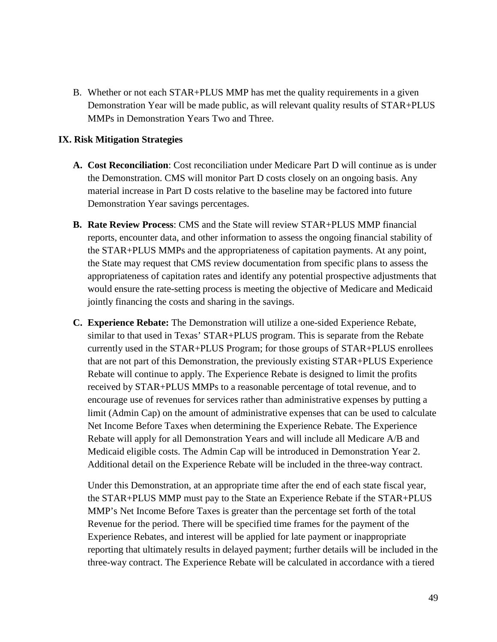B. Whether or not each STAR+PLUS MMP has met the quality requirements in a given Demonstration Year will be made public, as will relevant quality results of STAR+PLUS MMPs in Demonstration Years Two and Three.

### **IX. Risk Mitigation Strategies**

- **A. Cost Reconciliation**: Cost reconciliation under Medicare Part D will continue as is under the Demonstration. CMS will monitor Part D costs closely on an ongoing basis. Any material increase in Part D costs relative to the baseline may be factored into future Demonstration Year savings percentages.
- **B. Rate Review Process**: CMS and the State will review STAR+PLUS MMP financial reports, encounter data, and other information to assess the ongoing financial stability of the STAR+PLUS MMPs and the appropriateness of capitation payments. At any point, the State may request that CMS review documentation from specific plans to assess the appropriateness of capitation rates and identify any potential prospective adjustments that would ensure the rate-setting process is meeting the objective of Medicare and Medicaid jointly financing the costs and sharing in the savings.
- **C. Experience Rebate:** The Demonstration will utilize a one-sided Experience Rebate, similar to that used in Texas' STAR+PLUS program. This is separate from the Rebate currently used in the STAR+PLUS Program; for those groups of STAR+PLUS enrollees that are not part of this Demonstration, the previously existing STAR+PLUS Experience Rebate will continue to apply. The Experience Rebate is designed to limit the profits received by STAR+PLUS MMPs to a reasonable percentage of total revenue, and to encourage use of revenues for services rather than administrative expenses by putting a limit (Admin Cap) on the amount of administrative expenses that can be used to calculate Net Income Before Taxes when determining the Experience Rebate. The Experience Rebate will apply for all Demonstration Years and will include all Medicare A/B and Medicaid eligible costs. The Admin Cap will be introduced in Demonstration Year 2. Additional detail on the Experience Rebate will be included in the three-way contract.

Under this Demonstration, at an appropriate time after the end of each state fiscal year, the STAR+PLUS MMP must pay to the State an Experience Rebate if the STAR+PLUS MMP's Net Income Before Taxes is greater than the percentage set forth of the total Revenue for the period. There will be specified time frames for the payment of the Experience Rebates, and interest will be applied for late payment or inappropriate reporting that ultimately results in delayed payment; further details will be included in the three-way contract. The Experience Rebate will be calculated in accordance with a tiered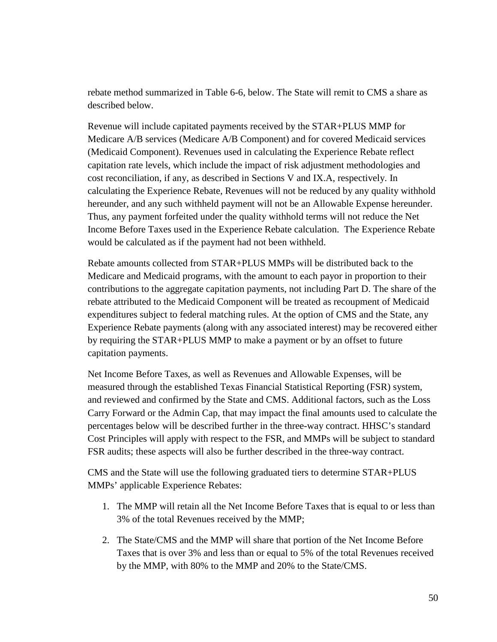rebate method summarized in Table 6-6, below. The State will remit to CMS a share as described below.

Revenue will include capitated payments received by the STAR+PLUS MMP for Medicare A/B services (Medicare A/B Component) and for covered Medicaid services (Medicaid Component). Revenues used in calculating the Experience Rebate reflect capitation rate levels, which include the impact of risk adjustment methodologies and cost reconciliation, if any, as described in Sections V and IX.A, respectively. In calculating the Experience Rebate, Revenues will not be reduced by any quality withhold hereunder, and any such withheld payment will not be an Allowable Expense hereunder. Thus, any payment forfeited under the quality withhold terms will not reduce the Net Income Before Taxes used in the Experience Rebate calculation. The Experience Rebate would be calculated as if the payment had not been withheld.

Rebate amounts collected from STAR+PLUS MMPs will be distributed back to the Medicare and Medicaid programs, with the amount to each payor in proportion to their contributions to the aggregate capitation payments, not including Part D. The share of the rebate attributed to the Medicaid Component will be treated as recoupment of Medicaid expenditures subject to federal matching rules. At the option of CMS and the State, any Experience Rebate payments (along with any associated interest) may be recovered either by requiring the STAR+PLUS MMP to make a payment or by an offset to future capitation payments.

Net Income Before Taxes, as well as Revenues and Allowable Expenses, will be measured through the established Texas Financial Statistical Reporting (FSR) system, and reviewed and confirmed by the State and CMS. Additional factors, such as the Loss Carry Forward or the Admin Cap, that may impact the final amounts used to calculate the percentages below will be described further in the three-way contract. HHSC's standard Cost Principles will apply with respect to the FSR, and MMPs will be subject to standard FSR audits; these aspects will also be further described in the three-way contract.

CMS and the State will use the following graduated tiers to determine STAR+PLUS MMPs' applicable Experience Rebates:

- 1. The MMP will retain all the Net Income Before Taxes that is equal to or less than 3% of the total Revenues received by the MMP;
- 2. The State/CMS and the MMP will share that portion of the Net Income Before Taxes that is over 3% and less than or equal to 5% of the total Revenues received by the MMP, with 80% to the MMP and 20% to the State/CMS.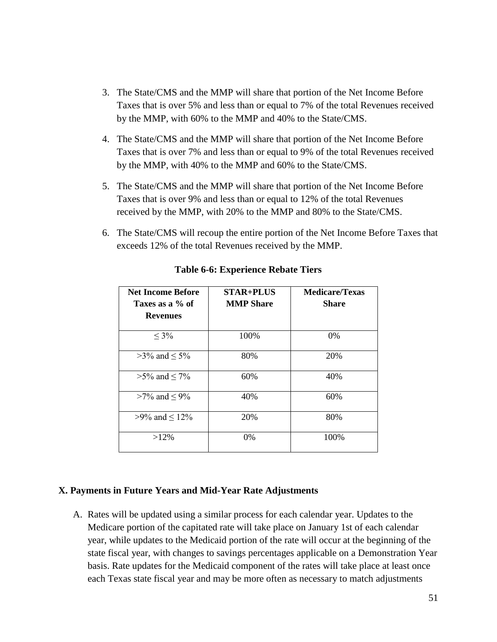- 3. The State/CMS and the MMP will share that portion of the Net Income Before Taxes that is over 5% and less than or equal to 7% of the total Revenues received by the MMP, with 60% to the MMP and 40% to the State/CMS.
- 4. The State/CMS and the MMP will share that portion of the Net Income Before Taxes that is over 7% and less than or equal to 9% of the total Revenues received by the MMP, with 40% to the MMP and 60% to the State/CMS.
- 5. The State/CMS and the MMP will share that portion of the Net Income Before Taxes that is over 9% and less than or equal to 12% of the total Revenues received by the MMP, with 20% to the MMP and 80% to the State/CMS.
- 6. The State/CMS will recoup the entire portion of the Net Income Before Taxes that exceeds 12% of the total Revenues received by the MMP.

| <b>Net Income Before</b><br>Taxes as a % of<br><b>Revenues</b> | <b>STAR+PLUS</b><br><b>MMP Share</b> | <b>Medicare/Texas</b><br><b>Share</b> |
|----------------------------------------------------------------|--------------------------------------|---------------------------------------|
| $\leq 3\%$                                                     | 100%                                 | $0\%$                                 |
| $>3\%$ and $\leq 5\%$                                          | 80%                                  | 20%                                   |
| $>5\%$ and $\leq 7\%$                                          | 60%                                  | 40%                                   |
| $>7\%$ and $\leq 9\%$                                          | 40%                                  | 60%                                   |
| >9% and $\leq$ 12%                                             | 20%                                  | 80%                                   |
| $>12\%$                                                        | $0\%$                                | 100%                                  |

### **Table 6-6: Experience Rebate Tiers**

#### **X. Payments in Future Years and Mid-Year Rate Adjustments**

A. Rates will be updated using a similar process for each calendar year. Updates to the Medicare portion of the capitated rate will take place on January 1st of each calendar year, while updates to the Medicaid portion of the rate will occur at the beginning of the state fiscal year, with changes to savings percentages applicable on a Demonstration Year basis. Rate updates for the Medicaid component of the rates will take place at least once each Texas state fiscal year and may be more often as necessary to match adjustments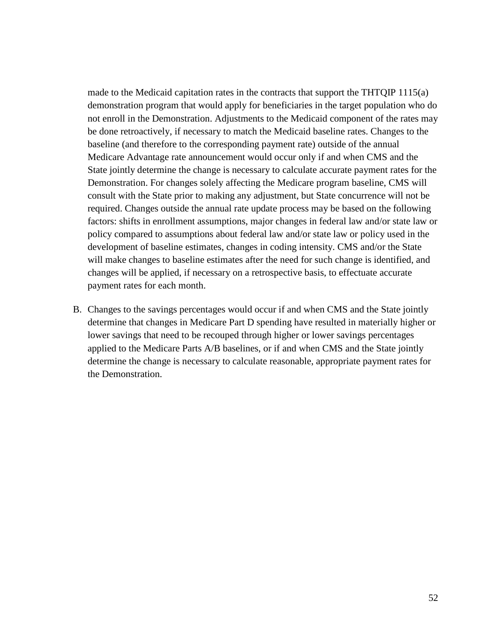made to the Medicaid capitation rates in the contracts that support the THTQIP 1115(a) demonstration program that would apply for beneficiaries in the target population who do not enroll in the Demonstration. Adjustments to the Medicaid component of the rates may be done retroactively, if necessary to match the Medicaid baseline rates. Changes to the baseline (and therefore to the corresponding payment rate) outside of the annual Medicare Advantage rate announcement would occur only if and when CMS and the State jointly determine the change is necessary to calculate accurate payment rates for the Demonstration. For changes solely affecting the Medicare program baseline, CMS will consult with the State prior to making any adjustment, but State concurrence will not be required. Changes outside the annual rate update process may be based on the following factors: shifts in enrollment assumptions, major changes in federal law and/or state law or policy compared to assumptions about federal law and/or state law or policy used in the development of baseline estimates, changes in coding intensity. CMS and/or the State will make changes to baseline estimates after the need for such change is identified, and changes will be applied, if necessary on a retrospective basis, to effectuate accurate payment rates for each month.

B. Changes to the savings percentages would occur if and when CMS and the State jointly determine that changes in Medicare Part D spending have resulted in materially higher or lower savings that need to be recouped through higher or lower savings percentages applied to the Medicare Parts A/B baselines, or if and when CMS and the State jointly determine the change is necessary to calculate reasonable, appropriate payment rates for the Demonstration.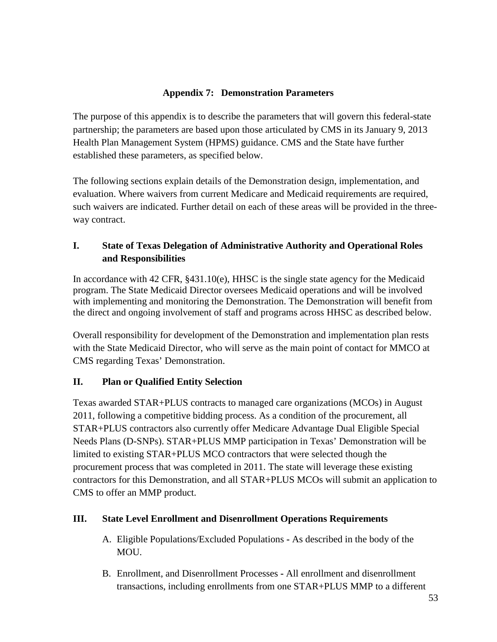## **Appendix 7: Demonstration Parameters**

The purpose of this appendix is to describe the parameters that will govern this federal-state partnership; the parameters are based upon those articulated by CMS in its January 9, 2013 Health Plan Management System (HPMS) guidance. CMS and the State have further established these parameters, as specified below.

The following sections explain details of the Demonstration design, implementation, and evaluation. Where waivers from current Medicare and Medicaid requirements are required, such waivers are indicated. Further detail on each of these areas will be provided in the threeway contract.

## **I. State of Texas Delegation of Administrative Authority and Operational Roles and Responsibilities**

In accordance with 42 CFR, §431.10(e), HHSC is the single state agency for the Medicaid program. The State Medicaid Director oversees Medicaid operations and will be involved with implementing and monitoring the Demonstration. The Demonstration will benefit from the direct and ongoing involvement of staff and programs across HHSC as described below.

Overall responsibility for development of the Demonstration and implementation plan rests with the State Medicaid Director, who will serve as the main point of contact for MMCO at CMS regarding Texas' Demonstration.

## **II. Plan or Qualified Entity Selection**

Texas awarded STAR+PLUS contracts to managed care organizations (MCOs) in August 2011, following a competitive bidding process. As a condition of the procurement, all STAR+PLUS contractors also currently offer Medicare Advantage Dual Eligible Special Needs Plans (D-SNPs). STAR+PLUS MMP participation in Texas' Demonstration will be limited to existing STAR+PLUS MCO contractors that were selected though the procurement process that was completed in 2011. The state will leverage these existing contractors for this Demonstration, and all STAR+PLUS MCOs will submit an application to CMS to offer an MMP product.

## **III. State Level Enrollment and Disenrollment Operations Requirements**

- A. Eligible Populations/Excluded Populations **-** As described in the body of the MOU.
- B. Enrollment, and Disenrollment Processes **-** All enrollment and disenrollment transactions, including enrollments from one STAR+PLUS MMP to a different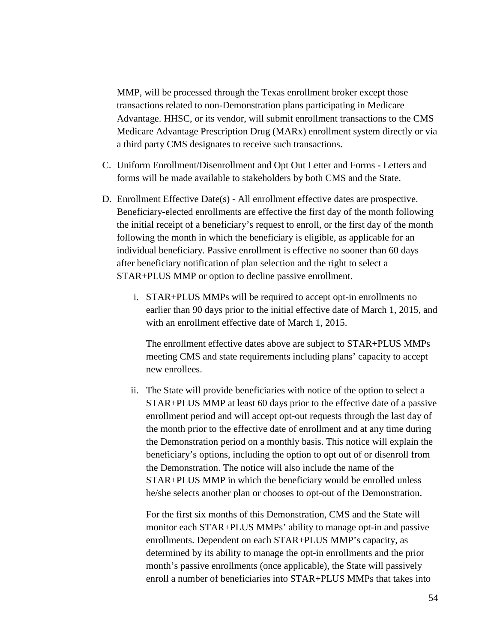MMP, will be processed through the Texas enrollment broker except those transactions related to non-Demonstration plans participating in Medicare Advantage. HHSC, or its vendor, will submit enrollment transactions to the CMS Medicare Advantage Prescription Drug (MARx) enrollment system directly or via a third party CMS designates to receive such transactions.

- C. Uniform Enrollment/Disenrollment and Opt Out Letter and Forms **-** Letters and forms will be made available to stakeholders by both CMS and the State.
- D. Enrollment Effective Date(s) **-** All enrollment effective dates are prospective. Beneficiary-elected enrollments are effective the first day of the month following the initial receipt of a beneficiary's request to enroll, or the first day of the month following the month in which the beneficiary is eligible, as applicable for an individual beneficiary. Passive enrollment is effective no sooner than 60 days after beneficiary notification of plan selection and the right to select a STAR+PLUS MMP or option to decline passive enrollment.
	- i. STAR+PLUS MMPs will be required to accept opt-in enrollments no earlier than 90 days prior to the initial effective date of March 1, 2015, and with an enrollment effective date of March 1, 2015.

The enrollment effective dates above are subject to STAR+PLUS MMPs meeting CMS and state requirements including plans' capacity to accept new enrollees.

ii. The State will provide beneficiaries with notice of the option to select a STAR+PLUS MMP at least 60 days prior to the effective date of a passive enrollment period and will accept opt-out requests through the last day of the month prior to the effective date of enrollment and at any time during the Demonstration period on a monthly basis. This notice will explain the beneficiary's options, including the option to opt out of or disenroll from the Demonstration. The notice will also include the name of the STAR+PLUS MMP in which the beneficiary would be enrolled unless he/she selects another plan or chooses to opt-out of the Demonstration.

For the first six months of this Demonstration, CMS and the State will monitor each STAR+PLUS MMPs' ability to manage opt-in and passive enrollments. Dependent on each STAR+PLUS MMP's capacity, as determined by its ability to manage the opt-in enrollments and the prior month's passive enrollments (once applicable), the State will passively enroll a number of beneficiaries into STAR+PLUS MMPs that takes into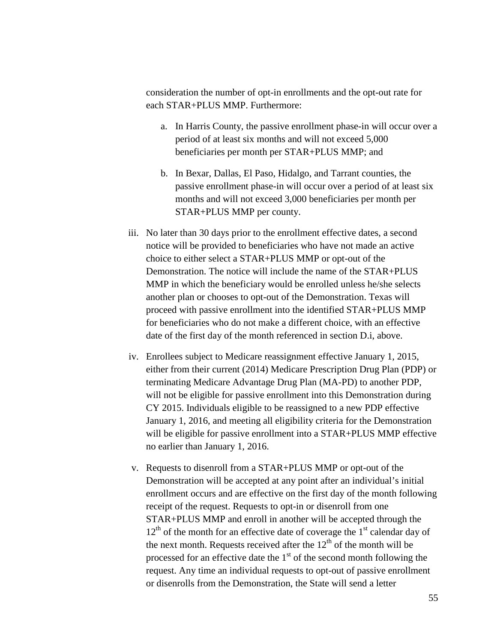consideration the number of opt-in enrollments and the opt-out rate for each STAR+PLUS MMP. Furthermore:

- a. In Harris County, the passive enrollment phase-in will occur over a period of at least six months and will not exceed 5,000 beneficiaries per month per STAR+PLUS MMP; and
- b. In Bexar, Dallas, El Paso, Hidalgo, and Tarrant counties, the passive enrollment phase-in will occur over a period of at least six months and will not exceed 3,000 beneficiaries per month per STAR+PLUS MMP per county.
- iii. No later than 30 days prior to the enrollment effective dates, a second notice will be provided to beneficiaries who have not made an active choice to either select a STAR+PLUS MMP or opt-out of the Demonstration. The notice will include the name of the STAR+PLUS MMP in which the beneficiary would be enrolled unless he/she selects another plan or chooses to opt-out of the Demonstration. Texas will proceed with passive enrollment into the identified STAR+PLUS MMP for beneficiaries who do not make a different choice, with an effective date of the first day of the month referenced in section D.i, above.
- iv. Enrollees subject to Medicare reassignment effective January 1, 2015, either from their current (2014) Medicare Prescription Drug Plan (PDP) or terminating Medicare Advantage Drug Plan (MA-PD) to another PDP, will not be eligible for passive enrollment into this Demonstration during CY 2015. Individuals eligible to be reassigned to a new PDP effective January 1, 2016, and meeting all eligibility criteria for the Demonstration will be eligible for passive enrollment into a STAR+PLUS MMP effective no earlier than January 1, 2016.
- v. Requests to disenroll from a STAR+PLUS MMP or opt-out of the Demonstration will be accepted at any point after an individual's initial enrollment occurs and are effective on the first day of the month following receipt of the request. Requests to opt-in or disenroll from one STAR+PLUS MMP and enroll in another will be accepted through the  $12<sup>th</sup>$  of the month for an effective date of coverage the  $1<sup>st</sup>$  calendar day of the next month. Requests received after the  $12<sup>th</sup>$  of the month will be processed for an effective date the  $1<sup>st</sup>$  of the second month following the request. Any time an individual requests to opt-out of passive enrollment or disenrolls from the Demonstration, the State will send a letter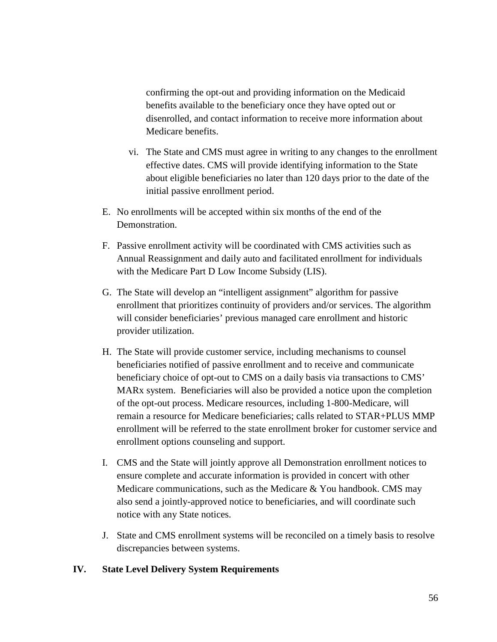confirming the opt-out and providing information on the Medicaid benefits available to the beneficiary once they have opted out or disenrolled, and contact information to receive more information about Medicare benefits.

- vi. The State and CMS must agree in writing to any changes to the enrollment effective dates. CMS will provide identifying information to the State about eligible beneficiaries no later than 120 days prior to the date of the initial passive enrollment period.
- E. No enrollments will be accepted within six months of the end of the Demonstration.
- F. Passive enrollment activity will be coordinated with CMS activities such as Annual Reassignment and daily auto and facilitated enrollment for individuals with the Medicare Part D Low Income Subsidy (LIS).
- G. The State will develop an "intelligent assignment" algorithm for passive enrollment that prioritizes continuity of providers and/or services. The algorithm will consider beneficiaries' previous managed care enrollment and historic provider utilization.
- H. The State will provide customer service, including mechanisms to counsel beneficiaries notified of passive enrollment and to receive and communicate beneficiary choice of opt-out to CMS on a daily basis via transactions to CMS' MARx system. Beneficiaries will also be provided a notice upon the completion of the opt-out process. Medicare resources, including 1-800-Medicare, will remain a resource for Medicare beneficiaries; calls related to STAR+PLUS MMP enrollment will be referred to the state enrollment broker for customer service and enrollment options counseling and support.
- I. CMS and the State will jointly approve all Demonstration enrollment notices to ensure complete and accurate information is provided in concert with other Medicare communications, such as the Medicare & You handbook. CMS may also send a jointly-approved notice to beneficiaries, and will coordinate such notice with any State notices.
- J. State and CMS enrollment systems will be reconciled on a timely basis to resolve discrepancies between systems.

## **IV. State Level Delivery System Requirements**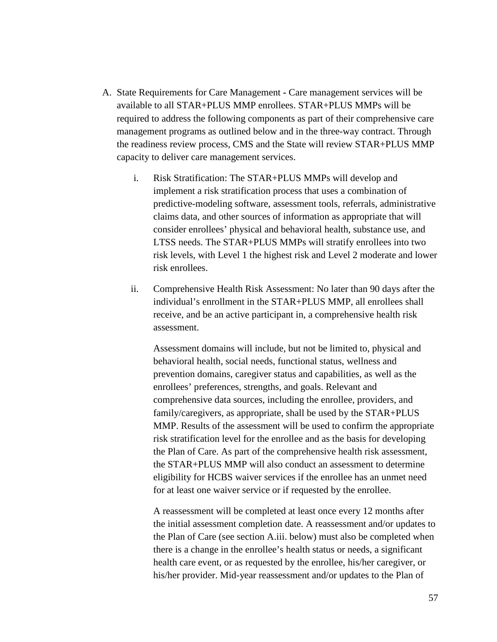- A. State Requirements for Care Management **-** Care management services will be available to all STAR+PLUS MMP enrollees. STAR+PLUS MMPs will be required to address the following components as part of their comprehensive care management programs as outlined below and in the three-way contract. Through the readiness review process, CMS and the State will review STAR+PLUS MMP capacity to deliver care management services.
	- i. Risk Stratification: The STAR+PLUS MMPs will develop and implement a risk stratification process that uses a combination of predictive-modeling software, assessment tools, referrals, administrative claims data, and other sources of information as appropriate that will consider enrollees' physical and behavioral health, substance use, and LTSS needs. The STAR+PLUS MMPs will stratify enrollees into two risk levels, with Level 1 the highest risk and Level 2 moderate and lower risk enrollees.
	- ii. Comprehensive Health Risk Assessment: No later than 90 days after the individual's enrollment in the STAR+PLUS MMP, all enrollees shall receive, and be an active participant in, a comprehensive health risk assessment.

Assessment domains will include, but not be limited to, physical and behavioral health, social needs, functional status, wellness and prevention domains, caregiver status and capabilities, as well as the enrollees' preferences, strengths, and goals. Relevant and comprehensive data sources, including the enrollee, providers, and family/caregivers, as appropriate, shall be used by the STAR+PLUS MMP. Results of the assessment will be used to confirm the appropriate risk stratification level for the enrollee and as the basis for developing the Plan of Care. As part of the comprehensive health risk assessment, the STAR+PLUS MMP will also conduct an assessment to determine eligibility for HCBS waiver services if the enrollee has an unmet need for at least one waiver service or if requested by the enrollee.

A reassessment will be completed at least once every 12 months after the initial assessment completion date. A reassessment and/or updates to the Plan of Care (see section A.iii. below) must also be completed when there is a change in the enrollee's health status or needs, a significant health care event, or as requested by the enrollee, his/her caregiver, or his/her provider. Mid-year reassessment and/or updates to the Plan of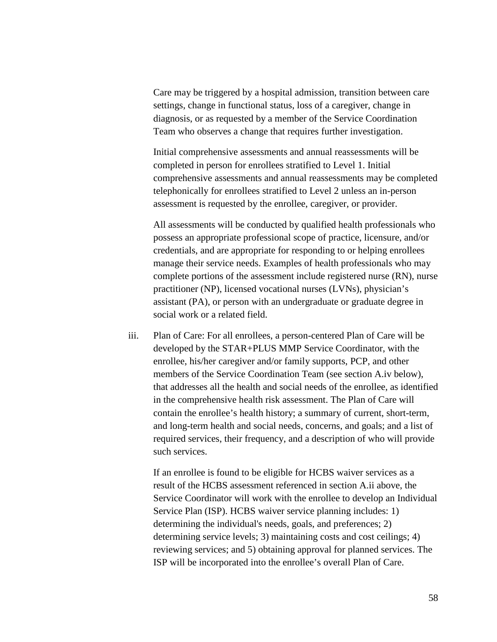Care may be triggered by a hospital admission, transition between care settings, change in functional status, loss of a caregiver, change in diagnosis, or as requested by a member of the Service Coordination Team who observes a change that requires further investigation.

Initial comprehensive assessments and annual reassessments will be completed in person for enrollees stratified to Level 1. Initial comprehensive assessments and annual reassessments may be completed telephonically for enrollees stratified to Level 2 unless an in-person assessment is requested by the enrollee, caregiver, or provider.

All assessments will be conducted by qualified health professionals who possess an appropriate professional scope of practice, licensure, and/or credentials, and are appropriate for responding to or helping enrollees manage their service needs. Examples of health professionals who may complete portions of the assessment include registered nurse (RN), nurse practitioner (NP), licensed vocational nurses (LVNs), physician's assistant (PA), or person with an undergraduate or graduate degree in social work or a related field.

iii. Plan of Care: For all enrollees, a person-centered Plan of Care will be developed by the STAR+PLUS MMP Service Coordinator, with the enrollee, his/her caregiver and/or family supports, PCP, and other members of the Service Coordination Team (see section A.iv below), that addresses all the health and social needs of the enrollee, as identified in the comprehensive health risk assessment. The Plan of Care will contain the enrollee's health history; a summary of current, short-term, and long-term health and social needs, concerns, and goals; and a list of required services, their frequency, and a description of who will provide such services.

If an enrollee is found to be eligible for HCBS waiver services as a result of the HCBS assessment referenced in section A.ii above, the Service Coordinator will work with the enrollee to develop an Individual Service Plan (ISP). HCBS waiver service planning includes: 1) determining the individual's needs, goals, and preferences; 2) determining service levels; 3) maintaining costs and cost ceilings; 4) reviewing services; and 5) obtaining approval for planned services. The ISP will be incorporated into the enrollee's overall Plan of Care.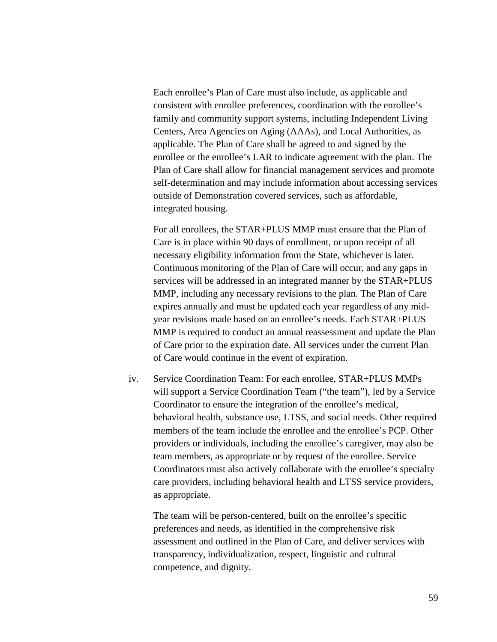Each enrollee's Plan of Care must also include, as applicable and consistent with enrollee preferences, coordination with the enrollee's family and community support systems, including Independent Living Centers, Area Agencies on Aging (AAAs), and Local Authorities, as applicable. The Plan of Care shall be agreed to and signed by the enrollee or the enrollee's LAR to indicate agreement with the plan. The Plan of Care shall allow for financial management services and promote self-determination and may include information about accessing services outside of Demonstration covered services, such as affordable, integrated housing.

For all enrollees, the STAR+PLUS MMP must ensure that the Plan of Care is in place within 90 days of enrollment, or upon receipt of all necessary eligibility information from the State, whichever is later. Continuous monitoring of the Plan of Care will occur, and any gaps in services will be addressed in an integrated manner by the STAR+PLUS MMP, including any necessary revisions to the plan. The Plan of Care expires annually and must be updated each year regardless of any midyear revisions made based on an enrollee's needs. Each STAR+PLUS MMP is required to conduct an annual reassessment and update the Plan of Care prior to the expiration date. All services under the current Plan of Care would continue in the event of expiration.

iv. Service Coordination Team: For each enrollee, STAR+PLUS MMPs will support a Service Coordination Team ("the team"), led by a Service Coordinator to ensure the integration of the enrollee's medical, behavioral health, substance use, LTSS, and social needs. Other required members of the team include the enrollee and the enrollee's PCP. Other providers or individuals, including the enrollee's caregiver, may also be team members, as appropriate or by request of the enrollee. Service Coordinators must also actively collaborate with the enrollee's specialty care providers, including behavioral health and LTSS service providers, as appropriate.

The team will be person-centered, built on the enrollee's specific preferences and needs, as identified in the comprehensive risk assessment and outlined in the Plan of Care, and deliver services with transparency, individualization, respect, linguistic and cultural competence, and dignity.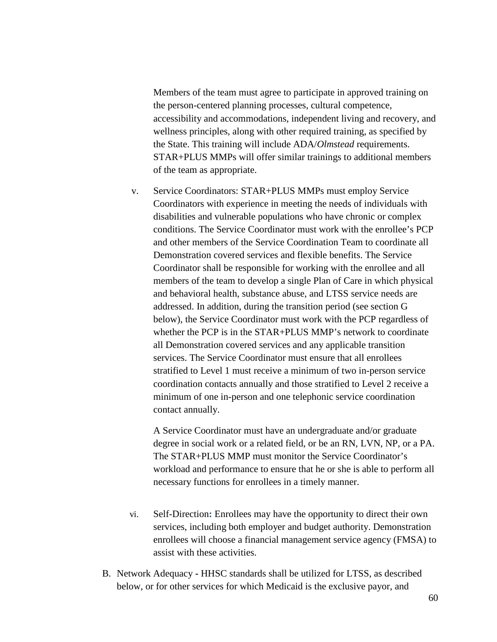Members of the team must agree to participate in approved training on the person-centered planning processes, cultural competence, accessibility and accommodations, independent living and recovery, and wellness principles, along with other required training, as specified by the State. This training will include ADA/*Olmstead* requirements. STAR+PLUS MMPs will offer similar trainings to additional members of the team as appropriate.

v. Service Coordinators: STAR+PLUS MMPs must employ Service Coordinators with experience in meeting the needs of individuals with disabilities and vulnerable populations who have chronic or complex conditions. The Service Coordinator must work with the enrollee's PCP and other members of the Service Coordination Team to coordinate all Demonstration covered services and flexible benefits. The Service Coordinator shall be responsible for working with the enrollee and all members of the team to develop a single Plan of Care in which physical and behavioral health, substance abuse, and LTSS service needs are addressed. In addition, during the transition period (see section G below), the Service Coordinator must work with the PCP regardless of whether the PCP is in the STAR+PLUS MMP's network to coordinate all Demonstration covered services and any applicable transition services. The Service Coordinator must ensure that all enrollees stratified to Level 1 must receive a minimum of two in-person service coordination contacts annually and those stratified to Level 2 receive a minimum of one in-person and one telephonic service coordination contact annually.

A Service Coordinator must have an undergraduate and/or graduate degree in social work or a related field, or be an RN, LVN, NP, or a PA. The STAR+PLUS MMP must monitor the Service Coordinator's workload and performance to ensure that he or she is able to perform all necessary functions for enrollees in a timely manner.

- vi. Self-Direction**:** Enrollees may have the opportunity to direct their own services, including both employer and budget authority. Demonstration enrollees will choose a financial management service agency (FMSA) to assist with these activities.
- B. Network Adequacy **-** HHSC standards shall be utilized for LTSS, as described below, or for other services for which Medicaid is the exclusive payor, and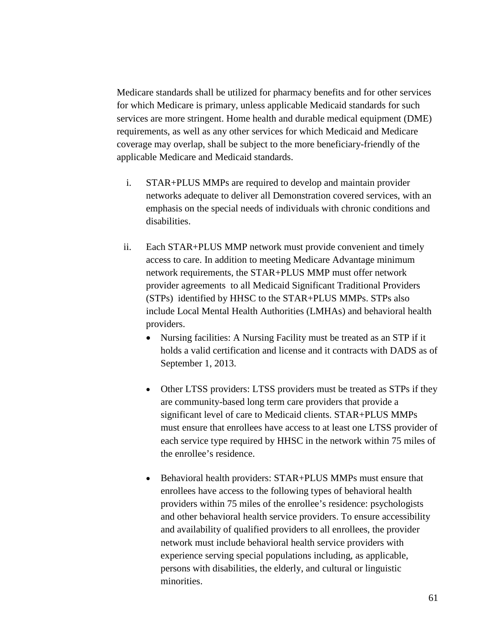Medicare standards shall be utilized for pharmacy benefits and for other services for which Medicare is primary, unless applicable Medicaid standards for such services are more stringent. Home health and durable medical equipment (DME) requirements, as well as any other services for which Medicaid and Medicare coverage may overlap, shall be subject to the more beneficiary-friendly of the applicable Medicare and Medicaid standards.

- i. STAR+PLUS MMPs are required to develop and maintain provider networks adequate to deliver all Demonstration covered services, with an emphasis on the special needs of individuals with chronic conditions and disabilities.
- ii. Each STAR+PLUS MMP network must provide convenient and timely access to care. In addition to meeting Medicare Advantage minimum network requirements, the STAR+PLUS MMP must offer network provider agreements to all Medicaid Significant Traditional Providers (STPs) identified by HHSC to the STAR+PLUS MMPs. STPs also include Local Mental Health Authorities (LMHAs) and behavioral health providers.
	- Nursing facilities: A Nursing Facility must be treated as an STP if it holds a valid certification and license and it contracts with DADS as of September 1, 2013.
	- Other LTSS providers: LTSS providers must be treated as STPs if they are community-based long term care providers that provide a significant level of care to Medicaid clients. STAR+PLUS MMPs must ensure that enrollees have access to at least one LTSS provider of each service type required by HHSC in the network within 75 miles of the enrollee's residence.
	- Behavioral health providers: STAR+PLUS MMPs must ensure that enrollees have access to the following types of behavioral health providers within 75 miles of the enrollee's residence: psychologists and other behavioral health service providers. To ensure accessibility and availability of qualified providers to all enrollees, the provider network must include behavioral health service providers with experience serving special populations including, as applicable, persons with disabilities, the elderly, and cultural or linguistic minorities.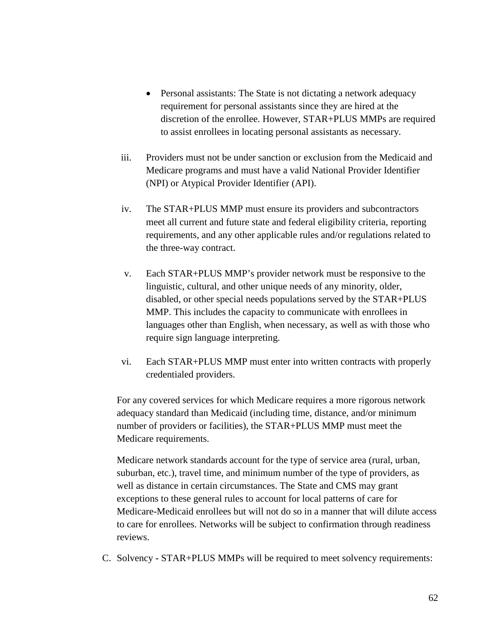- Personal assistants: The State is not dictating a network adequacy requirement for personal assistants since they are hired at the discretion of the enrollee. However, STAR+PLUS MMPs are required to assist enrollees in locating personal assistants as necessary.
- iii. Providers must not be under sanction or exclusion from the Medicaid and Medicare programs and must have a valid National Provider Identifier (NPI) or Atypical Provider Identifier (API).
- iv. The STAR+PLUS MMP must ensure its providers and subcontractors meet all current and future state and federal eligibility criteria, reporting requirements, and any other applicable rules and/or regulations related to the three-way contract.
- v. Each STAR+PLUS MMP's provider network must be responsive to the linguistic, cultural, and other unique needs of any minority, older, disabled, or other special needs populations served by the STAR+PLUS MMP. This includes the capacity to communicate with enrollees in languages other than English, when necessary, as well as with those who require sign language interpreting.
- vi. Each STAR+PLUS MMP must enter into written contracts with properly credentialed providers.

For any covered services for which Medicare requires a more rigorous network adequacy standard than Medicaid (including time, distance, and/or minimum number of providers or facilities), the STAR+PLUS MMP must meet the Medicare requirements.

Medicare network standards account for the type of service area (rural, urban, suburban, etc.), travel time, and minimum number of the type of providers, as well as distance in certain circumstances. The State and CMS may grant exceptions to these general rules to account for local patterns of care for Medicare-Medicaid enrollees but will not do so in a manner that will dilute access to care for enrollees. Networks will be subject to confirmation through readiness reviews.

C. Solvency **-** STAR+PLUS MMPs will be required to meet solvency requirements: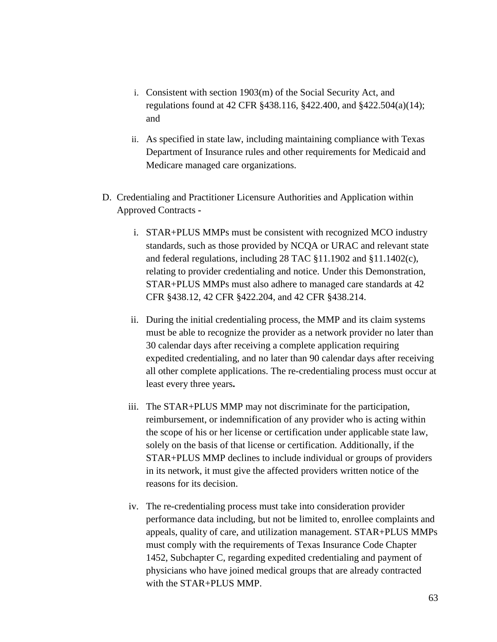- i. Consistent with section 1903(m) of the Social Security Act, and regulations found at 42 CFR §438.116, §422.400, and §422.504(a)(14); and
- ii. As specified in state law, including maintaining compliance with Texas Department of Insurance rules and other requirements for Medicaid and Medicare managed care organizations.
- D. Credentialing and Practitioner Licensure Authorities and Application within Approved Contracts 
	- i. STAR+PLUS MMPs must be consistent with recognized MCO industry standards, such as those provided by NCQA or URAC and relevant state and federal regulations, including 28 TAC §11.1902 and §11.1402(c), relating to provider credentialing and notice. Under this Demonstration, STAR+PLUS MMPs must also adhere to managed care standards at 42 CFR §438.12, 42 CFR §422.204, and 42 CFR §438.214.
	- ii. During the initial credentialing process, the MMP and its claim systems must be able to recognize the provider as a network provider no later than 30 calendar days after receiving a complete application requiring expedited credentialing, and no later than 90 calendar days after receiving all other complete applications. The re-credentialing process must occur at least every three years**.**
	- iii. The STAR+PLUS MMP may not discriminate for the participation, reimbursement, or indemnification of any provider who is acting within the scope of his or her license or certification under applicable state law, solely on the basis of that license or certification. Additionally, if the STAR+PLUS MMP declines to include individual or groups of providers in its network, it must give the affected providers written notice of the reasons for its decision.
	- iv. The re-credentialing process must take into consideration provider performance data including, but not be limited to, enrollee complaints and appeals, quality of care, and utilization management. STAR+PLUS MMPs must comply with the requirements of Texas Insurance Code Chapter 1452, Subchapter C, regarding expedited credentialing and payment of physicians who have joined medical groups that are already contracted with the STAR+PLUS MMP.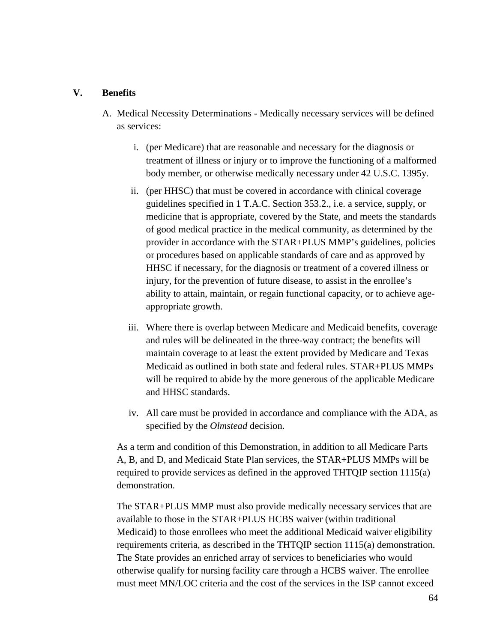### **V. Benefits**

- A. Medical Necessity Determinations Medically necessary services will be defined as services:
	- i. (per Medicare) that are reasonable and necessary for the diagnosis or treatment of illness or injury or to improve the functioning of a malformed body member, or otherwise medically necessary under 42 U.S.C. 1395y.
	- ii. (per HHSC) that must be covered in accordance with clinical coverage guidelines specified in 1 T.A.C. Section 353.2., i.e. a service, supply, or medicine that is appropriate, covered by the State, and meets the standards of good medical practice in the medical community, as determined by the provider in accordance with the STAR+PLUS MMP's guidelines, policies or procedures based on applicable standards of care and as approved by HHSC if necessary, for the diagnosis or treatment of a covered illness or injury, for the prevention of future disease, to assist in the enrollee's ability to attain, maintain, or regain functional capacity, or to achieve ageappropriate growth.
	- iii. Where there is overlap between Medicare and Medicaid benefits, coverage and rules will be delineated in the three-way contract; the benefits will maintain coverage to at least the extent provided by Medicare and Texas Medicaid as outlined in both state and federal rules. STAR+PLUS MMPs will be required to abide by the more generous of the applicable Medicare and HHSC standards.
	- iv. All care must be provided in accordance and compliance with the ADA, as specified by the *Olmstead* decision.

As a term and condition of this Demonstration, in addition to all Medicare Parts A, B, and D, and Medicaid State Plan services, the STAR+PLUS MMPs will be required to provide services as defined in the approved THTQIP section 1115(a) demonstration.

The STAR+PLUS MMP must also provide medically necessary services that are available to those in the STAR+PLUS HCBS waiver (within traditional Medicaid) to those enrollees who meet the additional Medicaid waiver eligibility requirements criteria, as described in the THTQIP section 1115(a) demonstration. The State provides an enriched array of services to beneficiaries who would otherwise qualify for nursing facility care through a HCBS waiver. The enrollee must meet MN/LOC criteria and the cost of the services in the ISP cannot exceed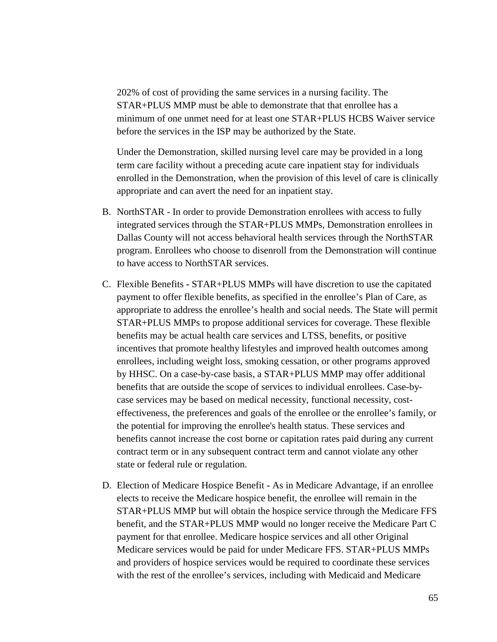202% of cost of providing the same services in a nursing facility. The STAR+PLUS MMP must be able to demonstrate that that enrollee has a minimum of one unmet need for at least one STAR+PLUS HCBS Waiver service before the services in the ISP may be authorized by the State.

Under the Demonstration, skilled nursing level care may be provided in a long term care facility without a preceding acute care inpatient stay for individuals enrolled in the Demonstration, when the provision of this level of care is clinically appropriate and can avert the need for an inpatient stay.

- B. NorthSTAR In order to provide Demonstration enrollees with access to fully integrated services through the STAR+PLUS MMPs, Demonstration enrollees in Dallas County will not access behavioral health services through the NorthSTAR program. Enrollees who choose to disenroll from the Demonstration will continue to have access to NorthSTAR services.
- C. Flexible Benefits **-** STAR+PLUS MMPs will have discretion to use the capitated payment to offer flexible benefits, as specified in the enrollee's Plan of Care, as appropriate to address the enrollee's health and social needs. The State will permit STAR+PLUS MMPs to propose additional services for coverage. These flexible benefits may be actual health care services and LTSS, benefits, or positive incentives that promote healthy lifestyles and improved health outcomes among enrollees, including weight loss, smoking cessation, or other programs approved by HHSC. On a case-by-case basis, a STAR+PLUS MMP may offer additional benefits that are outside the scope of services to individual enrollees. Case-bycase services may be based on medical necessity, functional necessity, costeffectiveness, the preferences and goals of the enrollee or the enrollee's family, or the potential for improving the enrollee's health status. These services and benefits cannot increase the cost borne or capitation rates paid during any current contract term or in any subsequent contract term and cannot violate any other state or federal rule or regulation.
- D. Election of Medicare Hospice Benefit **-** As in Medicare Advantage, if an enrollee elects to receive the Medicare hospice benefit, the enrollee will remain in the STAR+PLUS MMP but will obtain the hospice service through the Medicare FFS benefit, and the STAR+PLUS MMP would no longer receive the Medicare Part C payment for that enrollee. Medicare hospice services and all other Original Medicare services would be paid for under Medicare FFS. STAR+PLUS MMPs and providers of hospice services would be required to coordinate these services with the rest of the enrollee's services, including with Medicaid and Medicare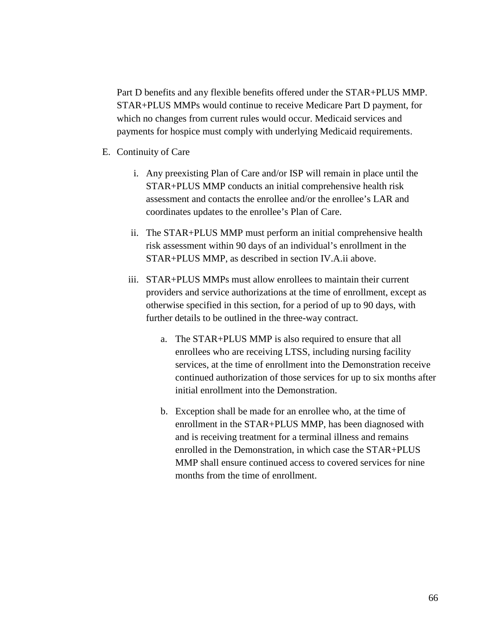Part D benefits and any flexible benefits offered under the STAR+PLUS MMP. STAR+PLUS MMPs would continue to receive Medicare Part D payment, for which no changes from current rules would occur. Medicaid services and payments for hospice must comply with underlying Medicaid requirements.

- E. Continuity of Care
	- i. Any preexisting Plan of Care and/or ISP will remain in place until the STAR+PLUS MMP conducts an initial comprehensive health risk assessment and contacts the enrollee and/or the enrollee's LAR and coordinates updates to the enrollee's Plan of Care.
	- ii. The STAR+PLUS MMP must perform an initial comprehensive health risk assessment within 90 days of an individual's enrollment in the STAR+PLUS MMP, as described in section IV.A.ii above.
	- iii. STAR+PLUS MMPs must allow enrollees to maintain their current providers and service authorizations at the time of enrollment, except as otherwise specified in this section, for a period of up to 90 days, with further details to be outlined in the three-way contract.
		- a. The STAR+PLUS MMP is also required to ensure that all enrollees who are receiving LTSS, including nursing facility services, at the time of enrollment into the Demonstration receive continued authorization of those services for up to six months after initial enrollment into the Demonstration.
		- b. Exception shall be made for an enrollee who, at the time of enrollment in the STAR+PLUS MMP, has been diagnosed with and is receiving treatment for a terminal illness and remains enrolled in the Demonstration, in which case the STAR+PLUS MMP shall ensure continued access to covered services for nine months from the time of enrollment.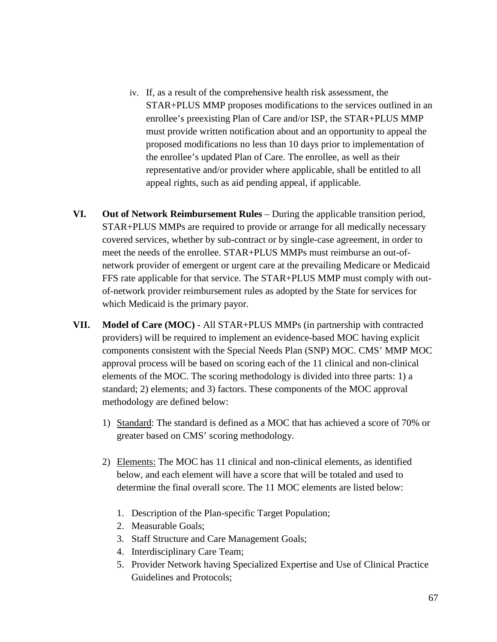- iv. If, as a result of the comprehensive health risk assessment, the STAR+PLUS MMP proposes modifications to the services outlined in an enrollee's preexisting Plan of Care and/or ISP, the STAR+PLUS MMP must provide written notification about and an opportunity to appeal the proposed modifications no less than 10 days prior to implementation of the enrollee's updated Plan of Care. The enrollee, as well as their representative and/or provider where applicable, shall be entitled to all appeal rights, such as aid pending appeal, if applicable.
- **VI. Out of Network Reimbursement Rules** During the applicable transition period, STAR+PLUS MMPs are required to provide or arrange for all medically necessary covered services, whether by sub-contract or by single-case agreement, in order to meet the needs of the enrollee. STAR+PLUS MMPs must reimburse an out-ofnetwork provider of emergent or urgent care at the prevailing Medicare or Medicaid FFS rate applicable for that service. The STAR+PLUS MMP must comply with outof-network provider reimbursement rules as adopted by the State for services for which Medicaid is the primary payor.
- **VII. Model of Care (MOC) -** All STAR+PLUS MMPs (in partnership with contracted providers) will be required to implement an evidence-based MOC having explicit components consistent with the Special Needs Plan (SNP) MOC. CMS' MMP MOC approval process will be based on scoring each of the 11 clinical and non-clinical elements of the MOC. The scoring methodology is divided into three parts: 1) a standard; 2) elements; and 3) factors. These components of the MOC approval methodology are defined below:
	- 1) Standard: The standard is defined as a MOC that has achieved a score of 70% or greater based on CMS' scoring methodology.
	- 2) Elements: The MOC has 11 clinical and non-clinical elements, as identified below, and each element will have a score that will be totaled and used to determine the final overall score. The 11 MOC elements are listed below:
		- 1. Description of the Plan-specific Target Population;
		- 2. Measurable Goals;
		- 3. Staff Structure and Care Management Goals;
		- 4. Interdisciplinary Care Team;
		- 5. Provider Network having Specialized Expertise and Use of Clinical Practice Guidelines and Protocols;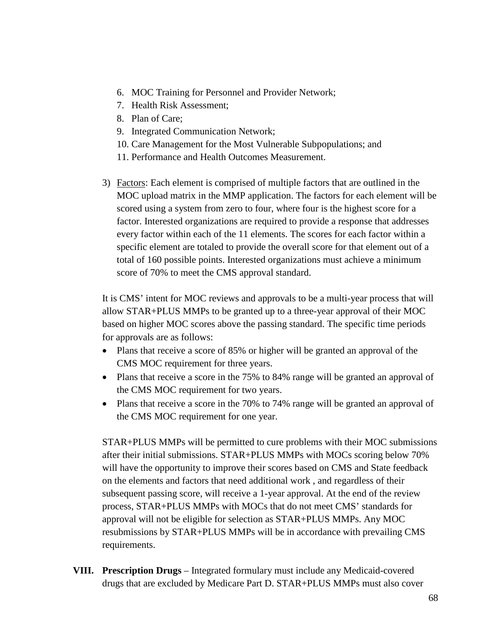- 6. MOC Training for Personnel and Provider Network;
- 7. Health Risk Assessment;
- 8. Plan of Care;
- 9. Integrated Communication Network;
- 10. Care Management for the Most Vulnerable Subpopulations; and
- 11. Performance and Health Outcomes Measurement.
- 3) Factors: Each element is comprised of multiple factors that are outlined in the MOC upload matrix in the MMP application. The factors for each element will be scored using a system from zero to four, where four is the highest score for a factor. Interested organizations are required to provide a response that addresses every factor within each of the 11 elements. The scores for each factor within a specific element are totaled to provide the overall score for that element out of a total of 160 possible points. Interested organizations must achieve a minimum score of 70% to meet the CMS approval standard.

It is CMS' intent for MOC reviews and approvals to be a multi-year process that will allow STAR+PLUS MMPs to be granted up to a three-year approval of their MOC based on higher MOC scores above the passing standard. The specific time periods for approvals are as follows:

- Plans that receive a score of 85% or higher will be granted an approval of the CMS MOC requirement for three years.
- Plans that receive a score in the 75% to 84% range will be granted an approval of the CMS MOC requirement for two years.
- Plans that receive a score in the 70% to 74% range will be granted an approval of the CMS MOC requirement for one year.

STAR+PLUS MMPs will be permitted to cure problems with their MOC submissions after their initial submissions. STAR+PLUS MMPs with MOCs scoring below 70% will have the opportunity to improve their scores based on CMS and State feedback on the elements and factors that need additional work , and regardless of their subsequent passing score, will receive a 1-year approval. At the end of the review process, STAR+PLUS MMPs with MOCs that do not meet CMS' standards for approval will not be eligible for selection as STAR+PLUS MMPs. Any MOC resubmissions by STAR+PLUS MMPs will be in accordance with prevailing CMS requirements.

**VIII. Prescription Drugs** – Integrated formulary must include any Medicaid-covered drugs that are excluded by Medicare Part D. STAR+PLUS MMPs must also cover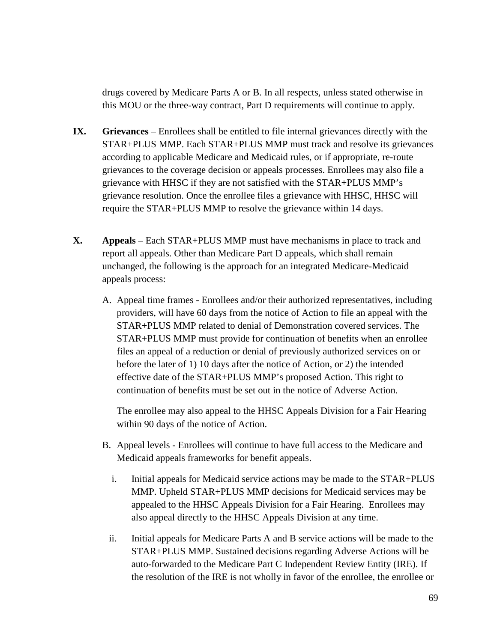drugs covered by Medicare Parts A or B. In all respects, unless stated otherwise in this MOU or the three-way contract, Part D requirements will continue to apply.

- **IX.** Grievances Enrollees shall be entitled to file internal grievances directly with the STAR+PLUS MMP. Each STAR+PLUS MMP must track and resolve its grievances according to applicable Medicare and Medicaid rules, or if appropriate, re-route grievances to the coverage decision or appeals processes. Enrollees may also file a grievance with HHSC if they are not satisfied with the STAR+PLUS MMP's grievance resolution. Once the enrollee files a grievance with HHSC, HHSC will require the STAR+PLUS MMP to resolve the grievance within 14 days.
- **X. Appeals**  Each STAR+PLUS MMP must have mechanisms in place to track and report all appeals. Other than Medicare Part D appeals, which shall remain unchanged, the following is the approach for an integrated Medicare-Medicaid appeals process:
	- A. Appeal time frames Enrollees and/or their authorized representatives, including providers, will have 60 days from the notice of Action to file an appeal with the STAR+PLUS MMP related to denial of Demonstration covered services. The STAR+PLUS MMP must provide for continuation of benefits when an enrollee files an appeal of a reduction or denial of previously authorized services on or before the later of 1) 10 days after the notice of Action, or 2) the intended effective date of the STAR+PLUS MMP's proposed Action. This right to continuation of benefits must be set out in the notice of Adverse Action.

The enrollee may also appeal to the HHSC Appeals Division for a Fair Hearing within 90 days of the notice of Action.

- B. Appeal levels Enrollees will continue to have full access to the Medicare and Medicaid appeals frameworks for benefit appeals.
	- i. Initial appeals for Medicaid service actions may be made to the STAR+PLUS MMP. Upheld STAR+PLUS MMP decisions for Medicaid services may be appealed to the HHSC Appeals Division for a Fair Hearing. Enrollees may also appeal directly to the HHSC Appeals Division at any time.
	- ii. Initial appeals for Medicare Parts A and B service actions will be made to the STAR+PLUS MMP. Sustained decisions regarding Adverse Actions will be auto-forwarded to the Medicare Part C Independent Review Entity (IRE). If the resolution of the IRE is not wholly in favor of the enrollee, the enrollee or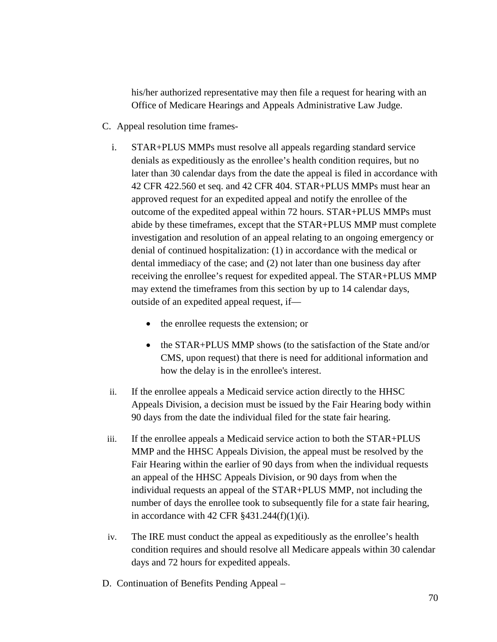his/her authorized representative may then file a request for hearing with an Office of Medicare Hearings and Appeals Administrative Law Judge.

- C. Appeal resolution time frames
	- i. STAR+PLUS MMPs must resolve all appeals regarding standard service denials as expeditiously as the enrollee's health condition requires, but no later than 30 calendar days from the date the appeal is filed in accordance with 42 CFR 422.560 et seq. and 42 CFR 404. STAR+PLUS MMPs must hear an approved request for an expedited appeal and notify the enrollee of the outcome of the expedited appeal within 72 hours. STAR+PLUS MMPs must abide by these timeframes, except that the STAR+PLUS MMP must complete investigation and resolution of an appeal relating to an ongoing emergency or denial of continued hospitalization: (1) in accordance with the medical or dental immediacy of the case; and (2) not later than one business day after receiving the enrollee's request for expedited appeal. The STAR+PLUS MMP may extend the timeframes from this section by up to 14 calendar days, outside of an expedited appeal request, if—
		- the enrollee requests the extension; or
		- the STAR+PLUS MMP shows (to the satisfaction of the State and/or CMS, upon request) that there is need for additional information and how the delay is in the enrollee's interest.
	- ii. If the enrollee appeals a Medicaid service action directly to the HHSC Appeals Division, a decision must be issued by the Fair Hearing body within 90 days from the date the individual filed for the state fair hearing.
- iii. If the enrollee appeals a Medicaid service action to both the STAR+PLUS MMP and the HHSC Appeals Division, the appeal must be resolved by the Fair Hearing within the earlier of 90 days from when the individual requests an appeal of the HHSC Appeals Division, or 90 days from when the individual requests an appeal of the STAR+PLUS MMP, not including the number of days the enrollee took to subsequently file for a state fair hearing, in accordance with 42 CFR  $§$ 431.244(f)(1)(i).
- iv. The IRE must conduct the appeal as expeditiously as the enrollee's health condition requires and should resolve all Medicare appeals within 30 calendar days and 72 hours for expedited appeals.
- D. Continuation of Benefits Pending Appeal –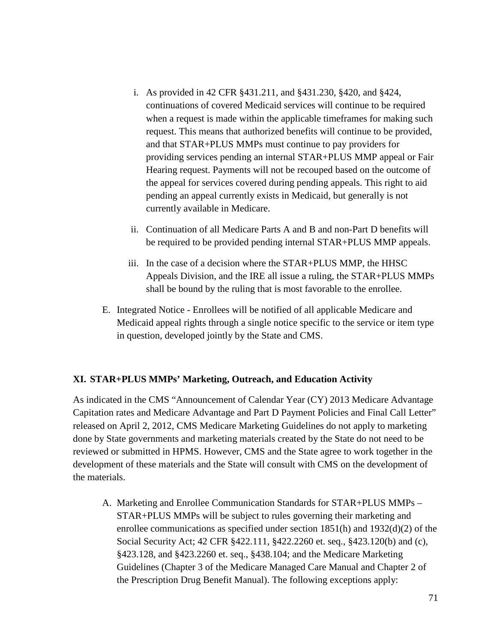- i. As provided in 42 CFR §431.211, and §431.230, §420, and §424, continuations of covered Medicaid services will continue to be required when a request is made within the applicable timeframes for making such request. This means that authorized benefits will continue to be provided, and that STAR+PLUS MMPs must continue to pay providers for providing services pending an internal STAR+PLUS MMP appeal or Fair Hearing request. Payments will not be recouped based on the outcome of the appeal for services covered during pending appeals. This right to aid pending an appeal currently exists in Medicaid, but generally is not currently available in Medicare.
- ii. Continuation of all Medicare Parts A and B and non-Part D benefits will be required to be provided pending internal STAR+PLUS MMP appeals.
- iii. In the case of a decision where the STAR+PLUS MMP, the HHSC Appeals Division, and the IRE all issue a ruling, the STAR+PLUS MMPs shall be bound by the ruling that is most favorable to the enrollee.
- E. Integrated Notice Enrollees will be notified of all applicable Medicare and Medicaid appeal rights through a single notice specific to the service or item type in question, developed jointly by the State and CMS.

## **XI. STAR+PLUS MMPs' Marketing, Outreach, and Education Activity**

As indicated in the CMS "Announcement of Calendar Year (CY) 2013 Medicare Advantage Capitation rates and Medicare Advantage and Part D Payment Policies and Final Call Letter" released on April 2, 2012, CMS Medicare Marketing Guidelines do not apply to marketing done by State governments and marketing materials created by the State do not need to be reviewed or submitted in HPMS. However, CMS and the State agree to work together in the development of these materials and the State will consult with CMS on the development of the materials.

A. Marketing and Enrollee Communication Standards for STAR+PLUS MMPs – STAR+PLUS MMPs will be subject to rules governing their marketing and enrollee communications as specified under section  $1851(h)$  and  $1932(d)(2)$  of the Social Security Act; 42 CFR §422.111, §422.2260 et. seq., §423.120(b) and (c), §423.128, and §423.2260 et. seq., §438.104; and the Medicare Marketing Guidelines (Chapter 3 of the Medicare Managed Care Manual and Chapter 2 of the Prescription Drug Benefit Manual). The following exceptions apply: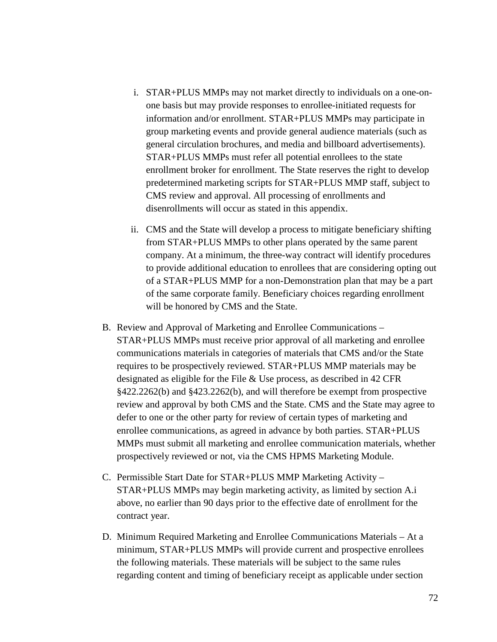- i. STAR+PLUS MMPs may not market directly to individuals on a one-onone basis but may provide responses to enrollee-initiated requests for information and/or enrollment. STAR+PLUS MMPs may participate in group marketing events and provide general audience materials (such as general circulation brochures, and media and billboard advertisements). STAR+PLUS MMPs must refer all potential enrollees to the state enrollment broker for enrollment. The State reserves the right to develop predetermined marketing scripts for STAR+PLUS MMP staff, subject to CMS review and approval. All processing of enrollments and disenrollments will occur as stated in this appendix.
- ii. CMS and the State will develop a process to mitigate beneficiary shifting from STAR+PLUS MMPs to other plans operated by the same parent company. At a minimum, the three-way contract will identify procedures to provide additional education to enrollees that are considering opting out of a STAR+PLUS MMP for a non-Demonstration plan that may be a part of the same corporate family. Beneficiary choices regarding enrollment will be honored by CMS and the State.
- B. Review and Approval of Marketing and Enrollee Communications STAR+PLUS MMPs must receive prior approval of all marketing and enrollee communications materials in categories of materials that CMS and/or the State requires to be prospectively reviewed. STAR+PLUS MMP materials may be designated as eligible for the File & Use process, as described in 42 CFR §422.2262(b) and §423.2262(b), and will therefore be exempt from prospective review and approval by both CMS and the State. CMS and the State may agree to defer to one or the other party for review of certain types of marketing and enrollee communications, as agreed in advance by both parties. STAR+PLUS MMPs must submit all marketing and enrollee communication materials, whether prospectively reviewed or not, via the CMS HPMS Marketing Module.
- C. Permissible Start Date for STAR+PLUS MMP Marketing Activity STAR+PLUS MMPs may begin marketing activity, as limited by section A.i above, no earlier than 90 days prior to the effective date of enrollment for the contract year.
- D. Minimum Required Marketing and Enrollee Communications Materials At a minimum, STAR+PLUS MMPs will provide current and prospective enrollees the following materials. These materials will be subject to the same rules regarding content and timing of beneficiary receipt as applicable under section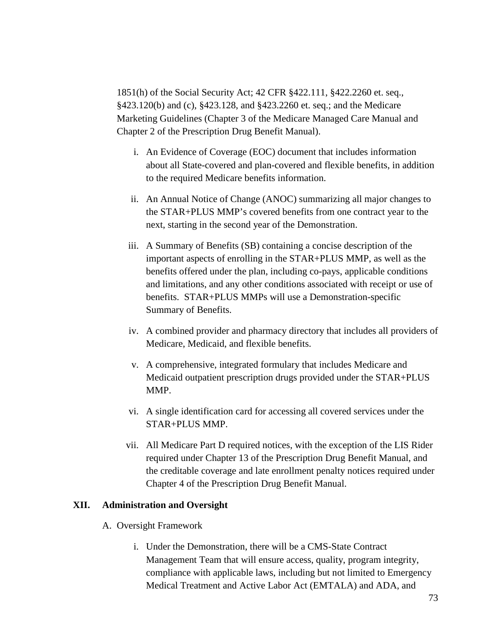1851(h) of the Social Security Act; 42 CFR §422.111, §422.2260 et. seq., §423.120(b) and (c), §423.128, and §423.2260 et. seq.; and the Medicare Marketing Guidelines (Chapter 3 of the Medicare Managed Care Manual and Chapter 2 of the Prescription Drug Benefit Manual).

- i. An Evidence of Coverage (EOC) document that includes information about all State-covered and plan-covered and flexible benefits, in addition to the required Medicare benefits information.
- ii. An Annual Notice of Change (ANOC) summarizing all major changes to the STAR+PLUS MMP's covered benefits from one contract year to the next, starting in the second year of the Demonstration.
- iii. A Summary of Benefits (SB) containing a concise description of the important aspects of enrolling in the STAR+PLUS MMP, as well as the benefits offered under the plan, including co-pays, applicable conditions and limitations, and any other conditions associated with receipt or use of benefits. STAR+PLUS MMPs will use a Demonstration-specific Summary of Benefits.
- iv. A combined provider and pharmacy directory that includes all providers of Medicare, Medicaid, and flexible benefits.
- v. A comprehensive, integrated formulary that includes Medicare and Medicaid outpatient prescription drugs provided under the STAR+PLUS MMP.
- vi. A single identification card for accessing all covered services under the STAR+PLUS MMP.
- vii. All Medicare Part D required notices, with the exception of the LIS Rider required under Chapter 13 of the Prescription Drug Benefit Manual, and the creditable coverage and late enrollment penalty notices required under Chapter 4 of the Prescription Drug Benefit Manual.

### **XII. Administration and Oversight**

- A. Oversight Framework
	- i. Under the Demonstration, there will be a CMS-State Contract Management Team that will ensure access, quality, program integrity, compliance with applicable laws, including but not limited to Emergency Medical Treatment and Active Labor Act (EMTALA) and ADA, and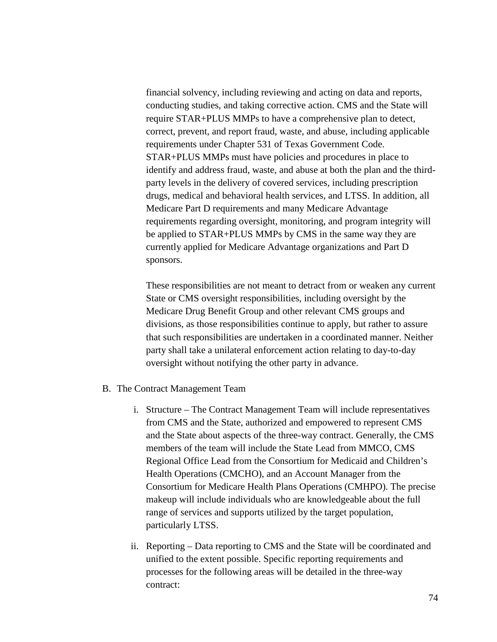financial solvency, including reviewing and acting on data and reports, conducting studies, and taking corrective action. CMS and the State will require STAR+PLUS MMPs to have a comprehensive plan to detect, correct, prevent, and report fraud, waste, and abuse, including applicable requirements under Chapter 531 of Texas Government Code. STAR+PLUS MMPs must have policies and procedures in place to identify and address fraud, waste, and abuse at both the plan and the thirdparty levels in the delivery of covered services, including prescription drugs, medical and behavioral health services, and LTSS. In addition, all Medicare Part D requirements and many Medicare Advantage requirements regarding oversight, monitoring, and program integrity will be applied to STAR+PLUS MMPs by CMS in the same way they are currently applied for Medicare Advantage organizations and Part D sponsors.

These responsibilities are not meant to detract from or weaken any current State or CMS oversight responsibilities, including oversight by the Medicare Drug Benefit Group and other relevant CMS groups and divisions, as those responsibilities continue to apply, but rather to assure that such responsibilities are undertaken in a coordinated manner. Neither party shall take a unilateral enforcement action relating to day-to-day oversight without notifying the other party in advance.

- B. The Contract Management Team
	- i. Structure The Contract Management Team will include representatives from CMS and the State, authorized and empowered to represent CMS and the State about aspects of the three-way contract. Generally, the CMS members of the team will include the State Lead from MMCO, CMS Regional Office Lead from the Consortium for Medicaid and Children's Health Operations (CMCHO), and an Account Manager from the Consortium for Medicare Health Plans Operations (CMHPO). The precise makeup will include individuals who are knowledgeable about the full range of services and supports utilized by the target population, particularly LTSS.
	- ii. Reporting Data reporting to CMS and the State will be coordinated and unified to the extent possible. Specific reporting requirements and processes for the following areas will be detailed in the three-way contract: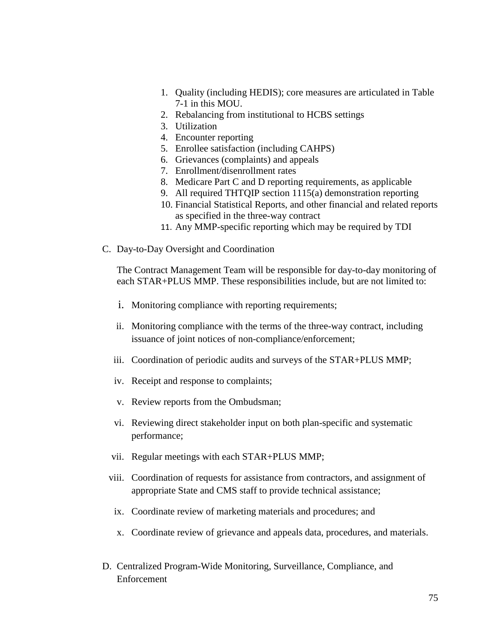- 1. Quality (including HEDIS); core measures are articulated in Table 7-1 in this MOU.
- 2. Rebalancing from institutional to HCBS settings
- 3. Utilization
- 4. Encounter reporting
- 5. Enrollee satisfaction (including CAHPS)
- 6. Grievances (complaints) and appeals
- 7. Enrollment/disenrollment rates
- 8. Medicare Part C and D reporting requirements, as applicable
- 9. All required THTQIP section 1115(a) demonstration reporting
- 10. Financial Statistical Reports, and other financial and related reports as specified in the three-way contract
- 11. Any MMP-specific reporting which may be required by TDI
- C. Day-to-Day Oversight and Coordination

The Contract Management Team will be responsible for day-to-day monitoring of each STAR+PLUS MMP. These responsibilities include, but are not limited to:

- i. Monitoring compliance with reporting requirements;
- ii. Monitoring compliance with the terms of the three-way contract, including issuance of joint notices of non-compliance/enforcement;
- iii. Coordination of periodic audits and surveys of the STAR+PLUS MMP;
- iv. Receipt and response to complaints;
- v. Review reports from the Ombudsman;
- vi. Reviewing direct stakeholder input on both plan-specific and systematic performance;
- vii. Regular meetings with each STAR+PLUS MMP;
- viii. Coordination of requests for assistance from contractors, and assignment of appropriate State and CMS staff to provide technical assistance;
- ix. Coordinate review of marketing materials and procedures; and
- x. Coordinate review of grievance and appeals data, procedures, and materials.
- D. Centralized Program-Wide Monitoring, Surveillance, Compliance, and Enforcement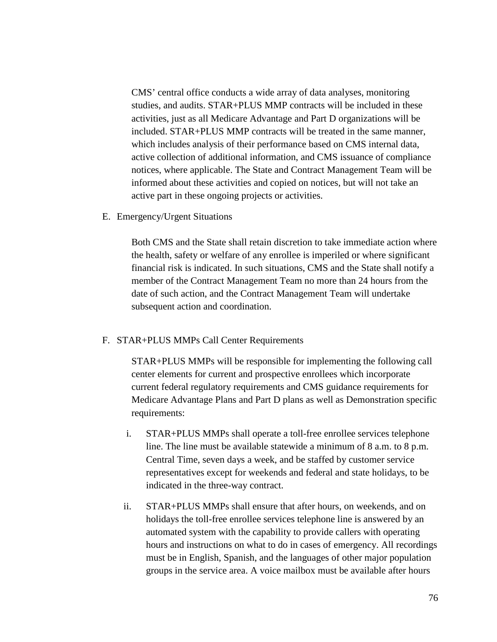CMS' central office conducts a wide array of data analyses, monitoring studies, and audits. STAR+PLUS MMP contracts will be included in these activities, just as all Medicare Advantage and Part D organizations will be included. STAR+PLUS MMP contracts will be treated in the same manner, which includes analysis of their performance based on CMS internal data, active collection of additional information, and CMS issuance of compliance notices, where applicable. The State and Contract Management Team will be informed about these activities and copied on notices, but will not take an active part in these ongoing projects or activities.

E. Emergency/Urgent Situations

Both CMS and the State shall retain discretion to take immediate action where the health, safety or welfare of any enrollee is imperiled or where significant financial risk is indicated. In such situations, CMS and the State shall notify a member of the Contract Management Team no more than 24 hours from the date of such action, and the Contract Management Team will undertake subsequent action and coordination.

#### F. STAR+PLUS MMPs Call Center Requirements

STAR+PLUS MMPs will be responsible for implementing the following call center elements for current and prospective enrollees which incorporate current federal regulatory requirements and CMS guidance requirements for Medicare Advantage Plans and Part D plans as well as Demonstration specific requirements:

- i. STAR+PLUS MMPs shall operate a toll-free enrollee services telephone line. The line must be available statewide a minimum of 8 a.m. to 8 p.m. Central Time, seven days a week, and be staffed by customer service representatives except for weekends and federal and state holidays, to be indicated in the three-way contract.
- ii. STAR+PLUS MMPs shall ensure that after hours, on weekends, and on holidays the toll-free enrollee services telephone line is answered by an automated system with the capability to provide callers with operating hours and instructions on what to do in cases of emergency. All recordings must be in English, Spanish, and the languages of other major population groups in the service area. A voice mailbox must be available after hours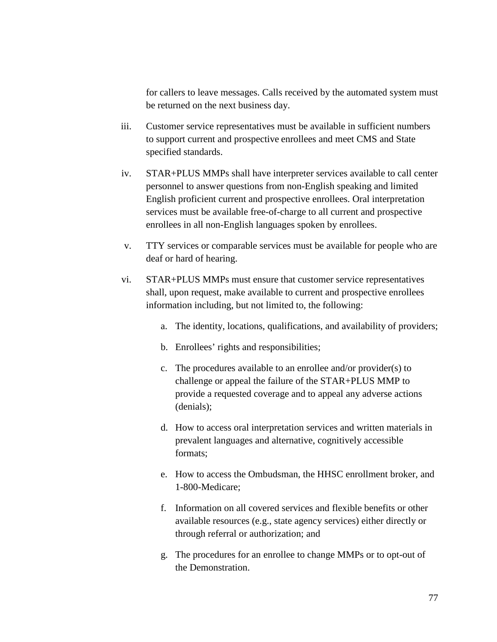for callers to leave messages. Calls received by the automated system must be returned on the next business day.

- iii. Customer service representatives must be available in sufficient numbers to support current and prospective enrollees and meet CMS and State specified standards.
- iv. STAR+PLUS MMPs shall have interpreter services available to call center personnel to answer questions from non-English speaking and limited English proficient current and prospective enrollees. Oral interpretation services must be available free-of-charge to all current and prospective enrollees in all non-English languages spoken by enrollees.
- v. TTY services or comparable services must be available for people who are deaf or hard of hearing.
- vi. STAR+PLUS MMPs must ensure that customer service representatives shall, upon request, make available to current and prospective enrollees information including, but not limited to, the following:
	- a. The identity, locations, qualifications, and availability of providers;
	- b. Enrollees' rights and responsibilities;
	- c. The procedures available to an enrollee and/or provider(s) to challenge or appeal the failure of the STAR+PLUS MMP to provide a requested coverage and to appeal any adverse actions (denials);
	- d. How to access oral interpretation services and written materials in prevalent languages and alternative, cognitively accessible formats;
	- e. How to access the Ombudsman, the HHSC enrollment broker, and 1-800-Medicare;
	- f. Information on all covered services and flexible benefits or other available resources (e.g., state agency services) either directly or through referral or authorization; and
	- g. The procedures for an enrollee to change MMPs or to opt-out of the Demonstration.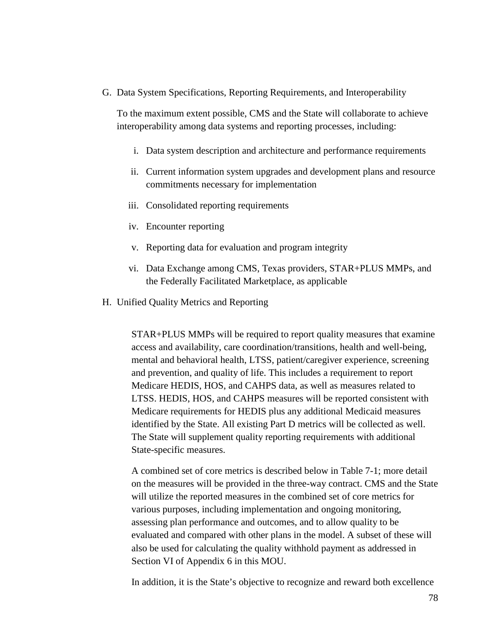G. Data System Specifications, Reporting Requirements, and Interoperability

To the maximum extent possible, CMS and the State will collaborate to achieve interoperability among data systems and reporting processes, including:

- i. Data system description and architecture and performance requirements
- ii. Current information system upgrades and development plans and resource commitments necessary for implementation
- iii. Consolidated reporting requirements
- iv. Encounter reporting
- v. Reporting data for evaluation and program integrity
- vi. Data Exchange among CMS, Texas providers, STAR+PLUS MMPs, and the Federally Facilitated Marketplace, as applicable
- H. Unified Quality Metrics and Reporting

STAR+PLUS MMPs will be required to report quality measures that examine access and availability, care coordination/transitions, health and well-being, mental and behavioral health, LTSS, patient/caregiver experience, screening and prevention, and quality of life. This includes a requirement to report Medicare HEDIS, HOS, and CAHPS data, as well as measures related to LTSS. HEDIS, HOS, and CAHPS measures will be reported consistent with Medicare requirements for HEDIS plus any additional Medicaid measures identified by the State. All existing Part D metrics will be collected as well. The State will supplement quality reporting requirements with additional State-specific measures.

A combined set of core metrics is described below in Table 7-1; more detail on the measures will be provided in the three-way contract. CMS and the State will utilize the reported measures in the combined set of core metrics for various purposes, including implementation and ongoing monitoring, assessing plan performance and outcomes, and to allow quality to be evaluated and compared with other plans in the model. A subset of these will also be used for calculating the quality withhold payment as addressed in Section VI of Appendix 6 in this MOU.

In addition, it is the State's objective to recognize and reward both excellence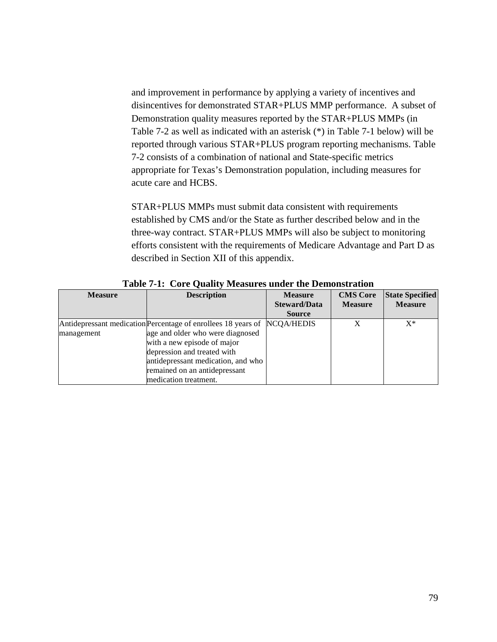and improvement in performance by applying a variety of incentives and disincentives for demonstrated STAR+PLUS MMP performance. A subset of Demonstration quality measures reported by the STAR+PLUS MMPs (in Table 7-2 as well as indicated with an asterisk (\*) in Table 7-1 below) will be reported through various STAR+PLUS program reporting mechanisms. Table 7-2 consists of a combination of national and State-specific metrics appropriate for Texas's Demonstration population, including measures for acute care and HCBS.

STAR+PLUS MMPs must submit data consistent with requirements established by CMS and/or the State as further described below and in the three-way contract. STAR+PLUS MMPs will also be subject to monitoring efforts consistent with the requirements of Medicare Advantage and Part D as described in Section XII of this appendix.

| <b>Measure</b> | <b>Description</b>                                                                                                                                                                                                                                                         | <b>Measure</b><br><b>Steward/Data</b><br><b>Source</b> | <b>CMS</b> Core<br><b>Measure</b> | <b>State Specified</b><br><b>Measure</b> |
|----------------|----------------------------------------------------------------------------------------------------------------------------------------------------------------------------------------------------------------------------------------------------------------------------|--------------------------------------------------------|-----------------------------------|------------------------------------------|
| management     | Antidepressant medication Percentage of enrollees 18 years of NCQA/HEDIS<br>age and older who were diagnosed<br>with a new episode of major<br>depression and treated with<br>antidepressant medication, and who<br>remained on an antidepressant<br>medication treatment. |                                                        | X                                 | $X^*$                                    |

**Table 7-1: Core Quality Measures under the Demonstration**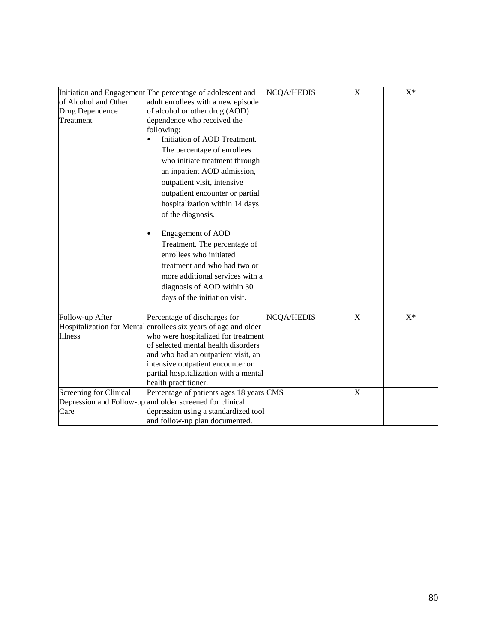|                        |                                                                 |                   | X | $X^*$ |
|------------------------|-----------------------------------------------------------------|-------------------|---|-------|
|                        | Initiation and Engagement The percentage of adolescent and      | <b>NCQA/HEDIS</b> |   |       |
| of Alcohol and Other   | adult enrollees with a new episode                              |                   |   |       |
| Drug Dependence        | of alcohol or other drug (AOD)                                  |                   |   |       |
| Treatment              | dependence who received the                                     |                   |   |       |
|                        | following:                                                      |                   |   |       |
|                        | Initiation of AOD Treatment.                                    |                   |   |       |
|                        | The percentage of enrollees                                     |                   |   |       |
|                        | who initiate treatment through                                  |                   |   |       |
|                        | an inpatient AOD admission,                                     |                   |   |       |
|                        | outpatient visit, intensive                                     |                   |   |       |
|                        | outpatient encounter or partial                                 |                   |   |       |
|                        | hospitalization within 14 days                                  |                   |   |       |
|                        | of the diagnosis.                                               |                   |   |       |
|                        |                                                                 |                   |   |       |
|                        | <b>Engagement of AOD</b>                                        |                   |   |       |
|                        | Treatment. The percentage of                                    |                   |   |       |
|                        | enrollees who initiated                                         |                   |   |       |
|                        | treatment and who had two or                                    |                   |   |       |
|                        | more additional services with a                                 |                   |   |       |
|                        | diagnosis of AOD within 30                                      |                   |   |       |
|                        |                                                                 |                   |   |       |
|                        | days of the initiation visit.                                   |                   |   |       |
| Follow-up After        | Percentage of discharges for                                    | <b>NCQA/HEDIS</b> | X | $X^*$ |
|                        | Hospitalization for Mental enrollees six years of age and older |                   |   |       |
| <b>Illness</b>         | who were hospitalized for treatment                             |                   |   |       |
|                        | of selected mental health disorders                             |                   |   |       |
|                        | and who had an outpatient visit, an                             |                   |   |       |
|                        | intensive outpatient encounter or                               |                   |   |       |
|                        | partial hospitalization with a mental                           |                   |   |       |
|                        | health practitioner.                                            |                   |   |       |
| Screening for Clinical | Percentage of patients ages 18 years CMS                        |                   | X |       |
|                        | Depression and Follow-up and older screened for clinical        |                   |   |       |
| Care                   | depression using a standardized tool                            |                   |   |       |
|                        | and follow-up plan documented.                                  |                   |   |       |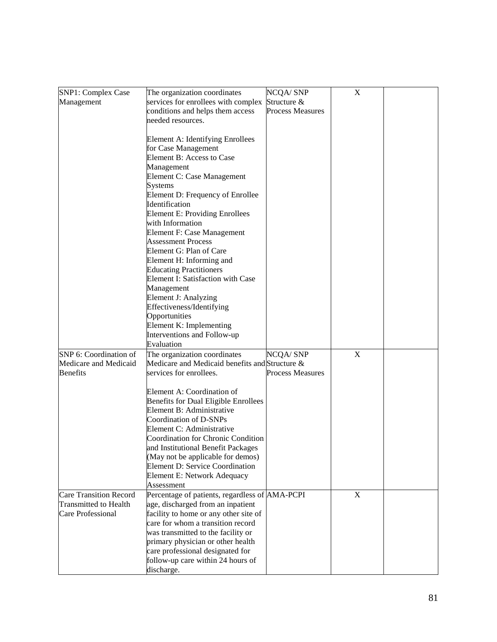| SNP1: Complex Case            | The organization coordinates                                               | <b>NCQA/SNP</b>         | $\mathbf X$ |  |
|-------------------------------|----------------------------------------------------------------------------|-------------------------|-------------|--|
| Management                    | services for enrollees with complex                                        | Structure &             |             |  |
|                               | conditions and helps them access                                           | <b>Process Measures</b> |             |  |
|                               | needed resources.                                                          |                         |             |  |
|                               |                                                                            |                         |             |  |
|                               | Element A: Identifying Enrollees                                           |                         |             |  |
|                               | for Case Management                                                        |                         |             |  |
|                               | Element B: Access to Case                                                  |                         |             |  |
|                               | Management                                                                 |                         |             |  |
|                               | Element C: Case Management                                                 |                         |             |  |
|                               | <b>Systems</b>                                                             |                         |             |  |
|                               | Element D: Frequency of Enrollee<br>Identification                         |                         |             |  |
|                               | <b>Element E: Providing Enrollees</b>                                      |                         |             |  |
|                               | with Information                                                           |                         |             |  |
|                               | Element F: Case Management                                                 |                         |             |  |
|                               | <b>Assessment Process</b>                                                  |                         |             |  |
|                               | Element G: Plan of Care                                                    |                         |             |  |
|                               | Element H: Informing and                                                   |                         |             |  |
|                               | <b>Educating Practitioners</b>                                             |                         |             |  |
|                               | Element I: Satisfaction with Case                                          |                         |             |  |
|                               | Management                                                                 |                         |             |  |
|                               | Element J: Analyzing                                                       |                         |             |  |
|                               | Effectiveness/Identifying                                                  |                         |             |  |
|                               | Opportunities                                                              |                         |             |  |
|                               | Element K: Implementing                                                    |                         |             |  |
|                               | Interventions and Follow-up                                                |                         |             |  |
|                               | Evaluation                                                                 |                         |             |  |
| SNP 6: Coordination of        | The organization coordinates                                               | <b>NCQA/SNP</b>         | X           |  |
| Medicare and Medicaid         | Medicare and Medicaid benefits and Structure &                             | <b>Process Measures</b> |             |  |
| <b>Benefits</b>               | services for enrollees.                                                    |                         |             |  |
|                               | Element A: Coordination of                                                 |                         |             |  |
|                               | Benefits for Dual Eligible Enrollees                                       |                         |             |  |
|                               | Element B: Administrative                                                  |                         |             |  |
|                               | Coordination of D-SNPs                                                     |                         |             |  |
|                               | Element C: Administrative                                                  |                         |             |  |
|                               | <b>Coordination for Chronic Condition</b>                                  |                         |             |  |
|                               | and Institutional Benefit Packages                                         |                         |             |  |
|                               | (May not be applicable for demos)                                          |                         |             |  |
|                               | <b>Element D: Service Coordination</b>                                     |                         |             |  |
|                               | Element E: Network Adequacy                                                |                         |             |  |
|                               | Assessment                                                                 |                         |             |  |
| <b>Care Transition Record</b> | Percentage of patients, regardless of AMA-PCPI                             |                         | $\mathbf X$ |  |
| <b>Transmitted to Health</b>  | age, discharged from an inpatient                                          |                         |             |  |
| Care Professional             | facility to home or any other site of<br>care for whom a transition record |                         |             |  |
|                               | was transmitted to the facility or                                         |                         |             |  |
|                               | primary physician or other health                                          |                         |             |  |
|                               | care professional designated for                                           |                         |             |  |
|                               | follow-up care within 24 hours of                                          |                         |             |  |
|                               | discharge.                                                                 |                         |             |  |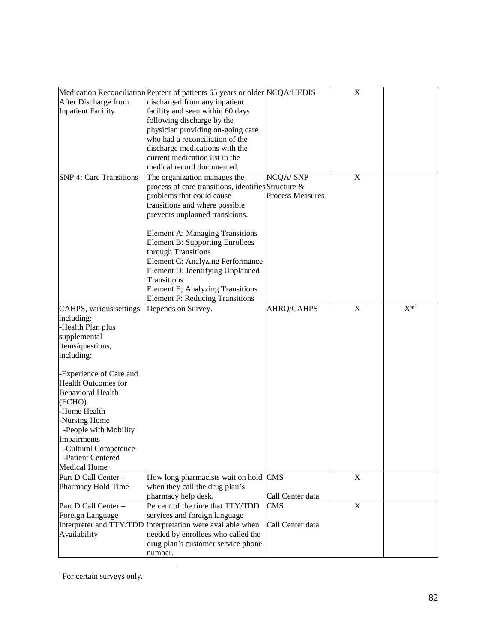|                                | Medication Reconciliation Percent of patients 65 years or older NCQA/HEDIS |                         | $\mathbf X$ |          |
|--------------------------------|----------------------------------------------------------------------------|-------------------------|-------------|----------|
| After Discharge from           | discharged from any inpatient                                              |                         |             |          |
| <b>Inpatient Facility</b>      | facility and seen within 60 days                                           |                         |             |          |
|                                | following discharge by the                                                 |                         |             |          |
|                                | physician providing on-going care                                          |                         |             |          |
|                                | who had a reconciliation of the                                            |                         |             |          |
|                                | discharge medications with the                                             |                         |             |          |
|                                | current medication list in the                                             |                         |             |          |
|                                | medical record documented.                                                 |                         |             |          |
| <b>SNP 4: Care Transitions</b> | The organization manages the                                               | <b>NCQA/SNP</b>         | $\mathbf X$ |          |
|                                | process of care transitions, identifies Structure &                        |                         |             |          |
|                                | problems that could cause                                                  | <b>Process Measures</b> |             |          |
|                                | transitions and where possible                                             |                         |             |          |
|                                | prevents unplanned transitions.                                            |                         |             |          |
|                                |                                                                            |                         |             |          |
|                                | <b>Element A: Managing Transitions</b>                                     |                         |             |          |
|                                | <b>Element B: Supporting Enrollees</b>                                     |                         |             |          |
|                                | through Transitions                                                        |                         |             |          |
|                                | Element C: Analyzing Performance                                           |                         |             |          |
|                                | Element D: Identifying Unplanned                                           |                         |             |          |
|                                | Transitions                                                                |                         |             |          |
|                                | Element E; Analyzing Transitions                                           |                         |             |          |
|                                | <b>Element F: Reducing Transitions</b>                                     |                         |             |          |
| CAHPS, various settings        | Depends on Survey.                                                         | AHRQ/CAHPS              | $\mathbf X$ | $X^{*1}$ |
| including:                     |                                                                            |                         |             |          |
| -Health Plan plus              |                                                                            |                         |             |          |
| supplemental                   |                                                                            |                         |             |          |
| items/questions,               |                                                                            |                         |             |          |
| including:                     |                                                                            |                         |             |          |
|                                |                                                                            |                         |             |          |
| -Experience of Care and        |                                                                            |                         |             |          |
| <b>Health Outcomes for</b>     |                                                                            |                         |             |          |
| <b>Behavioral Health</b>       |                                                                            |                         |             |          |
| (ECHO)                         |                                                                            |                         |             |          |
| -Home Health                   |                                                                            |                         |             |          |
| -Nursing Home                  |                                                                            |                         |             |          |
| -People with Mobility          |                                                                            |                         |             |          |
| Impairments                    |                                                                            |                         |             |          |
| -Cultural Competence           |                                                                            |                         |             |          |
| -Patient Centered              |                                                                            |                         |             |          |
| <b>Medical Home</b>            |                                                                            |                         |             |          |
| Part D Call Center -           | How long pharmacists wait on hold CMS                                      |                         | X           |          |
| Pharmacy Hold Time             | when they call the drug plan's                                             |                         |             |          |
|                                | pharmacy help desk.                                                        | Call Center data        |             |          |
| Part D Call Center -           | Percent of the time that TTY/TDD                                           | CMS                     | X           |          |
| Foreign Language               | services and foreign language                                              |                         |             |          |
| Interpreter and TTY/TDD        | interpretation were available when                                         | Call Center data        |             |          |
| Availability                   | needed by enrollees who called the                                         |                         |             |          |
|                                | drug plan's customer service phone                                         |                         |             |          |
|                                | number.                                                                    |                         |             |          |

<span id="page-83-0"></span><sup>&</sup>lt;sup>1</sup> For certain surveys only.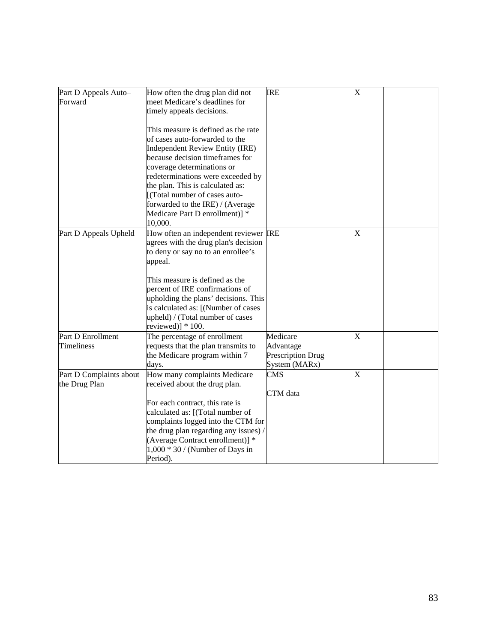| Part D Appeals Auto-<br>Forward          | How often the drug plan did not<br>meet Medicare's deadlines for<br>timely appeals decisions.                                                                                                               | <b>IRE</b>                                                  | $\boldsymbol{\mathrm{X}}$ |  |
|------------------------------------------|-------------------------------------------------------------------------------------------------------------------------------------------------------------------------------------------------------------|-------------------------------------------------------------|---------------------------|--|
|                                          | This measure is defined as the rate<br>of cases auto-forwarded to the<br>Independent Review Entity (IRE)<br>because decision timeframes for<br>coverage determinations or                                   |                                                             |                           |  |
|                                          | redeterminations were exceeded by<br>the plan. This is calculated as:<br>[(Total number of cases auto-<br>forwarded to the IRE) / (Average<br>Medicare Part D enrollment)] *<br>10,000.                     |                                                             |                           |  |
| Part D Appeals Upheld                    | How often an independent reviewer IRE<br>agrees with the drug plan's decision<br>to deny or say no to an enrollee's<br>appeal.                                                                              |                                                             | $\mathbf X$               |  |
|                                          | This measure is defined as the<br>percent of IRE confirmations of<br>upholding the plans' decisions. This<br>is calculated as: [(Number of cases<br>upheld) / (Total number of cases<br>reviewed)] $*100$ . |                                                             |                           |  |
| Part D Enrollment<br>Timeliness          | The percentage of enrollment<br>requests that the plan transmits to<br>the Medicare program within 7<br>days.                                                                                               | Medicare<br>Advantage<br>Prescription Drug<br>System (MARx) | X                         |  |
| Part D Complaints about<br>the Drug Plan | How many complaints Medicare<br>received about the drug plan.<br>For each contract, this rate is                                                                                                            | <b>CMS</b><br>CTM data                                      | $\mathbf X$               |  |
|                                          | calculated as: [(Total number of<br>complaints logged into the CTM for<br>the drug plan regarding any issues) /<br>(Average Contract enrollment)] *<br>$1,000 * 30$ / (Number of Days in<br>Period).        |                                                             |                           |  |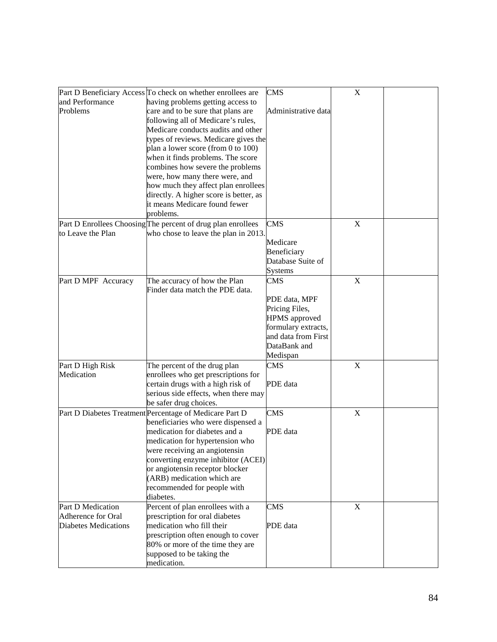|                             | Part D Beneficiary Access To check on whether enrollees are  | <b>CMS</b>           | $\mathbf X$ |  |
|-----------------------------|--------------------------------------------------------------|----------------------|-------------|--|
| and Performance             | having problems getting access to                            |                      |             |  |
| Problems                    | care and to be sure that plans are                           | Administrative data  |             |  |
|                             | following all of Medicare's rules,                           |                      |             |  |
|                             | Medicare conducts audits and other                           |                      |             |  |
|                             | types of reviews. Medicare gives the                         |                      |             |  |
|                             | plan a lower score (from 0 to 100)                           |                      |             |  |
|                             |                                                              |                      |             |  |
|                             | when it finds problems. The score                            |                      |             |  |
|                             | combines how severe the problems                             |                      |             |  |
|                             | were, how many there were, and                               |                      |             |  |
|                             | how much they affect plan enrollees                          |                      |             |  |
|                             | directly. A higher score is better, as                       |                      |             |  |
|                             | it means Medicare found fewer                                |                      |             |  |
|                             | problems.                                                    |                      |             |  |
|                             | Part D Enrollees Choosing The percent of drug plan enrollees | CMS                  | $\mathbf X$ |  |
| to Leave the Plan           | who chose to leave the plan in 2013.                         |                      |             |  |
|                             |                                                              | Medicare             |             |  |
|                             |                                                              | Beneficiary          |             |  |
|                             |                                                              | Database Suite of    |             |  |
|                             |                                                              | <b>Systems</b>       |             |  |
| Part D MPF Accuracy         | The accuracy of how the Plan                                 | CMS                  | $\mathbf X$ |  |
|                             | Finder data match the PDE data.                              |                      |             |  |
|                             |                                                              | PDE data, MPF        |             |  |
|                             |                                                              | Pricing Files,       |             |  |
|                             |                                                              | <b>HPMS</b> approved |             |  |
|                             |                                                              | formulary extracts,  |             |  |
|                             |                                                              | and data from First  |             |  |
|                             |                                                              | DataBank and         |             |  |
|                             |                                                              | Medispan             |             |  |
| Part D High Risk            | The percent of the drug plan                                 | <b>CMS</b>           | $\mathbf X$ |  |
| Medication                  |                                                              |                      |             |  |
|                             | enrollees who get prescriptions for                          |                      |             |  |
|                             | certain drugs with a high risk of                            | PDE data             |             |  |
|                             | serious side effects, when there may                         |                      |             |  |
|                             | be safer drug choices.                                       |                      |             |  |
|                             | Part D Diabetes Treatment Percentage of Medicare Part D      | <b>CMS</b>           | X           |  |
|                             | beneficiaries who were dispensed a                           |                      |             |  |
|                             | medication for diabetes and a                                | PDE data             |             |  |
|                             | medication for hypertension who                              |                      |             |  |
|                             | were receiving an angiotensin                                |                      |             |  |
|                             | converting enzyme inhibitor (ACEI)                           |                      |             |  |
|                             | or angiotensin receptor blocker                              |                      |             |  |
|                             | (ARB) medication which are                                   |                      |             |  |
|                             | recommended for people with                                  |                      |             |  |
|                             | diabetes.                                                    |                      |             |  |
| Part D Medication           | Percent of plan enrollees with a                             | <b>CMS</b>           | $\mathbf X$ |  |
| Adherence for Oral          | prescription for oral diabetes                               |                      |             |  |
| <b>Diabetes Medications</b> | medication who fill their                                    | PDE data             |             |  |
|                             | prescription often enough to cover                           |                      |             |  |
|                             | 80% or more of the time they are                             |                      |             |  |
|                             | supposed to be taking the                                    |                      |             |  |
|                             | medication.                                                  |                      |             |  |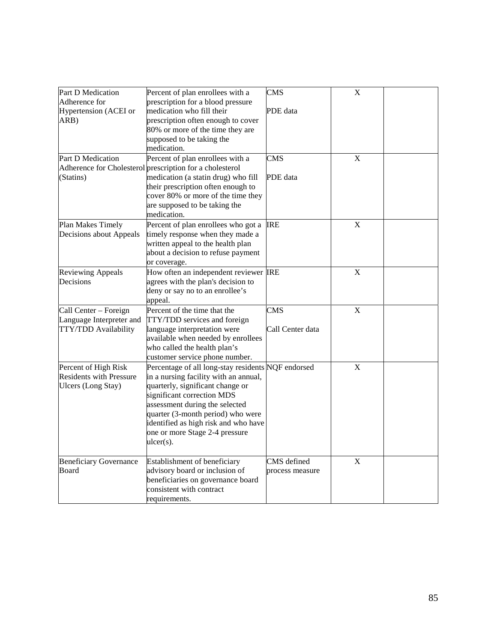| Part D Medication              | Percent of plan enrollees with a                         | <b>CMS</b>       | $\boldsymbol{\mathrm{X}}$ |  |
|--------------------------------|----------------------------------------------------------|------------------|---------------------------|--|
| Adherence for                  | prescription for a blood pressure                        |                  |                           |  |
| Hypertension (ACEI or          | medication who fill their                                | PDE data         |                           |  |
| ARB)                           | prescription often enough to cover                       |                  |                           |  |
|                                | 80% or more of the time they are                         |                  |                           |  |
|                                | supposed to be taking the                                |                  |                           |  |
|                                | medication.                                              |                  |                           |  |
| Part D Medication              | Percent of plan enrollees with a                         | CMS              | X                         |  |
|                                | Adherence for Cholesterol prescription for a cholesterol |                  |                           |  |
| (Statins)                      | medication (a statin drug) who fill                      | PDE data         |                           |  |
|                                | their prescription often enough to                       |                  |                           |  |
|                                | cover 80% or more of the time they                       |                  |                           |  |
|                                | are supposed to be taking the                            |                  |                           |  |
|                                | medication.                                              |                  |                           |  |
| Plan Makes Timely              | Percent of plan enrollees who got a                      | <b>IRE</b>       | $\mathbf X$               |  |
| Decisions about Appeals        | timely response when they made a                         |                  |                           |  |
|                                | written appeal to the health plan                        |                  |                           |  |
|                                | about a decision to refuse payment                       |                  |                           |  |
|                                | or coverage.                                             |                  |                           |  |
| <b>Reviewing Appeals</b>       | How often an independent reviewer IRE                    |                  | $\mathbf X$               |  |
| Decisions                      | agrees with the plan's decision to                       |                  |                           |  |
|                                | deny or say no to an enrollee's                          |                  |                           |  |
|                                | appeal.                                                  |                  |                           |  |
| Call Center - Foreign          | Percent of the time that the                             | <b>CMS</b>       | $\mathbf X$               |  |
| Language Interpreter and       | TTY/TDD services and foreign                             |                  |                           |  |
| TTY/TDD Availability           | language interpretation were                             | Call Center data |                           |  |
|                                | available when needed by enrollees                       |                  |                           |  |
|                                | who called the health plan's                             |                  |                           |  |
|                                | customer service phone number.                           |                  |                           |  |
| Percent of High Risk           | Percentage of all long-stay residents NQF endorsed       |                  | $\mathbf X$               |  |
| <b>Residents with Pressure</b> | in a nursing facility with an annual,                    |                  |                           |  |
| Ulcers (Long Stay)             | quarterly, significant change or                         |                  |                           |  |
|                                | significant correction MDS                               |                  |                           |  |
|                                | assessment during the selected                           |                  |                           |  |
|                                | quarter (3-month period) who were                        |                  |                           |  |
|                                | identified as high risk and who have                     |                  |                           |  |
|                                | one or more Stage 2-4 pressure                           |                  |                           |  |
|                                | $ulcer(s)$ .                                             |                  |                           |  |
|                                |                                                          |                  |                           |  |
| <b>Beneficiary Governance</b>  | Establishment of beneficiary                             | CMS defined      | X                         |  |
| Board                          | advisory board or inclusion of                           | process measure  |                           |  |
|                                | beneficiaries on governance board                        |                  |                           |  |
|                                | consistent with contract                                 |                  |                           |  |
|                                | requirements.                                            |                  |                           |  |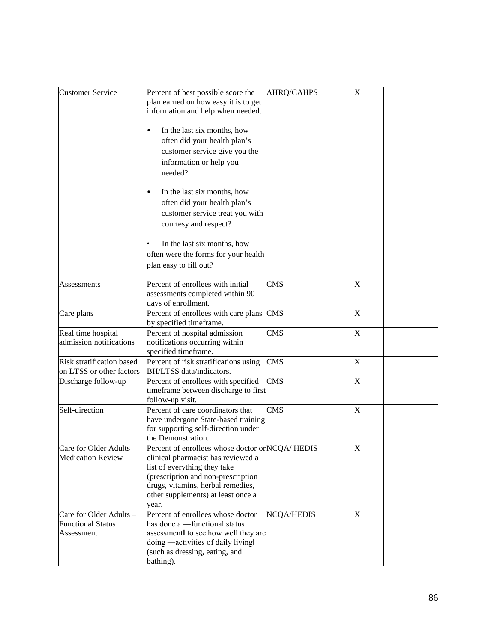| <b>Customer Service</b>                                           | Percent of best possible score the<br>plan earned on how easy it is to get<br>information and help when needed.<br>In the last six months, how<br>often did your health plan's<br>customer service give you the<br>information or help you<br>needed? | <b>AHRQ/CAHPS</b> | $\mathbf X$ |  |
|-------------------------------------------------------------------|-------------------------------------------------------------------------------------------------------------------------------------------------------------------------------------------------------------------------------------------------------|-------------------|-------------|--|
|                                                                   | In the last six months, how<br>often did your health plan's<br>customer service treat you with<br>courtesy and respect?                                                                                                                               |                   |             |  |
|                                                                   | In the last six months, how<br>often were the forms for your health<br>plan easy to fill out?                                                                                                                                                         |                   |             |  |
| Assessments                                                       | Percent of enrollees with initial<br>assessments completed within 90<br>days of enrollment.                                                                                                                                                           | <b>CMS</b>        | $\mathbf X$ |  |
| Care plans                                                        | Percent of enrollees with care plans<br>by specified timeframe.                                                                                                                                                                                       | <b>CMS</b>        | $\mathbf X$ |  |
| Real time hospital<br>admission notifications                     | Percent of hospital admission<br>notifications occurring within<br>specified timeframe.                                                                                                                                                               | <b>CMS</b>        | $\mathbf X$ |  |
| Risk stratification based<br>on LTSS or other factors             | Percent of risk stratifications using<br>BH/LTSS data/indicators.                                                                                                                                                                                     | <b>CMS</b>        | X           |  |
| Discharge follow-up                                               | Percent of enrollees with specified<br>timeframe between discharge to first<br>follow-up visit.                                                                                                                                                       | <b>CMS</b>        | $\mathbf X$ |  |
| Self-direction                                                    | Percent of care coordinators that<br>have undergone State-based training<br>for supporting self-direction under<br>the Demonstration.                                                                                                                 | <b>CMS</b>        | X           |  |
| Care for Older Adults<br><b>Medication Review</b>                 | Percent of enrollees whose doctor or NCQA/HEDIS<br>clinical pharmacist has reviewed a<br>list of everything they take<br>(prescription and non-prescription<br>drugs, vitamins, herbal remedies,<br>other supplements) at least once a<br>year.       |                   | $\mathbf X$ |  |
| Care for Older Adults -<br><b>Functional Status</b><br>Assessment | Percent of enrollees whose doctor<br>has done a -functional status<br>assessment to see how well they are<br>doing -activities of daily living<br>(such as dressing, eating, and<br>bathing).                                                         | <b>NCQA/HEDIS</b> | X           |  |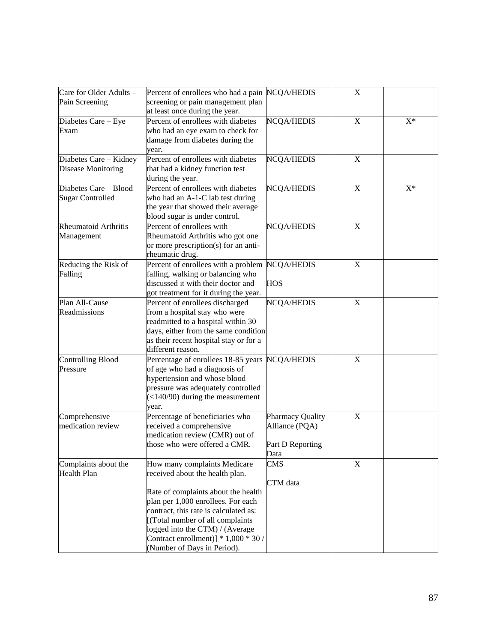| Care for Older Adults -  | Percent of enrollees who had a pain NCQA/HEDIS |                   | $\mathbf X$               |       |
|--------------------------|------------------------------------------------|-------------------|---------------------------|-------|
| Pain Screening           | screening or pain management plan              |                   |                           |       |
|                          | at least once during the year.                 |                   |                           |       |
| Diabetes Care - Eye      | Percent of enrollees with diabetes             | <b>NCQA/HEDIS</b> | $\mathbf X$               | $X^*$ |
| Exam                     | who had an eye exam to check for               |                   |                           |       |
|                          | damage from diabetes during the                |                   |                           |       |
|                          | year.                                          |                   |                           |       |
| Diabetes Care - Kidney   | Percent of enrollees with diabetes             | <b>NCQA/HEDIS</b> | X                         |       |
| Disease Monitoring       | that had a kidney function test                |                   |                           |       |
|                          | during the year.                               |                   |                           |       |
| Diabetes Care - Blood    | Percent of enrollees with diabetes             | NCQA/HEDIS        | $\boldsymbol{\mathrm{X}}$ | $X^*$ |
| <b>Sugar Controlled</b>  | who had an A-1-C lab test during               |                   |                           |       |
|                          | the year that showed their average             |                   |                           |       |
|                          | blood sugar is under control.                  |                   |                           |       |
| Rheumatoid Arthritis     | Percent of enrollees with                      | <b>NCQA/HEDIS</b> | X                         |       |
| Management               | Rheumatoid Arthritis who got one               |                   |                           |       |
|                          | or more prescription(s) for an anti-           |                   |                           |       |
|                          | rheumatic drug.                                |                   |                           |       |
| Reducing the Risk of     | Percent of enrollees with a problem NCQA/HEDIS |                   | $\mathbf X$               |       |
| Falling                  | falling, walking or balancing who              |                   |                           |       |
|                          | discussed it with their doctor and             | <b>HOS</b>        |                           |       |
|                          | got treatment for it during the year.          |                   |                           |       |
| Plan All-Cause           | Percent of enrollees discharged                | NCQA/HEDIS        | X                         |       |
| Readmissions             | from a hospital stay who were                  |                   |                           |       |
|                          | readmitted to a hospital within 30             |                   |                           |       |
|                          | days, either from the same condition           |                   |                           |       |
|                          | as their recent hospital stay or for a         |                   |                           |       |
|                          | different reason.                              |                   |                           |       |
| <b>Controlling Blood</b> | Percentage of enrollees 18-85 years            | <b>NCQA/HEDIS</b> | $\mathbf X$               |       |
| Pressure                 | of age who had a diagnosis of                  |                   |                           |       |
|                          | hypertension and whose blood                   |                   |                           |       |
|                          | pressure was adequately controlled             |                   |                           |       |
|                          | $(<140/90)$ during the measurement             |                   |                           |       |
|                          | year.                                          |                   |                           |       |
| Comprehensive            | Percentage of beneficiaries who                | Pharmacy Quality  | $\mathbf X$               |       |
| medication review        | received a comprehensive                       | Alliance (PQA)    |                           |       |
|                          | medication review (CMR) out of                 |                   |                           |       |
|                          | those who were offered a CMR.                  | Part D Reporting  |                           |       |
|                          |                                                | Data              |                           |       |
| Complaints about the     | How many complaints Medicare                   | <b>CMS</b>        | $\mathbf X$               |       |
| <b>Health Plan</b>       | received about the health plan.                |                   |                           |       |
|                          |                                                | CTM data          |                           |       |
|                          | Rate of complaints about the health            |                   |                           |       |
|                          | plan per 1,000 enrollees. For each             |                   |                           |       |
|                          | contract, this rate is calculated as:          |                   |                           |       |
|                          | [(Total number of all complaints               |                   |                           |       |
|                          | logged into the CTM) / (Average                |                   |                           |       |
|                          | Contract enrollment)] $* 1,000 * 30 /$         |                   |                           |       |
|                          | (Number of Days in Period).                    |                   |                           |       |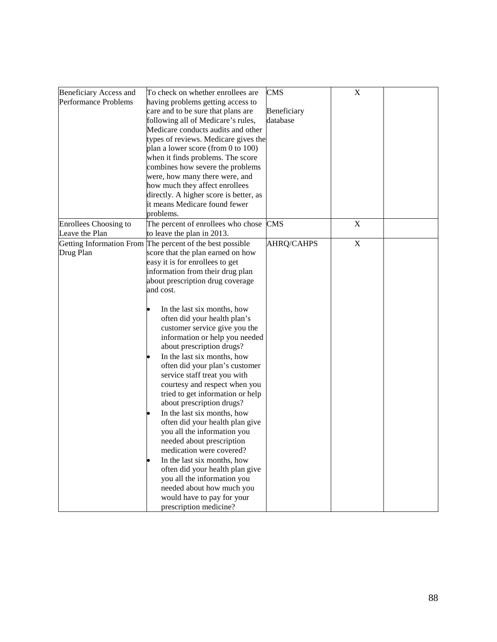| Beneficiary Access and<br>Performance Problems | To check on whether enrollees are<br>having problems getting access to<br>care and to be sure that plans are<br>following all of Medicare's rules,<br>Medicare conducts audits and other<br>types of reviews. Medicare gives the<br>plan a lower score (from 0 to 100)<br>when it finds problems. The score                                                                                                                                                                                                                                                                                                                                                                                                                                                                                                                                         | <b>CMS</b><br>Beneficiary<br>database | $\mathbf X$ |  |
|------------------------------------------------|-----------------------------------------------------------------------------------------------------------------------------------------------------------------------------------------------------------------------------------------------------------------------------------------------------------------------------------------------------------------------------------------------------------------------------------------------------------------------------------------------------------------------------------------------------------------------------------------------------------------------------------------------------------------------------------------------------------------------------------------------------------------------------------------------------------------------------------------------------|---------------------------------------|-------------|--|
|                                                | combines how severe the problems<br>were, how many there were, and<br>how much they affect enrollees<br>directly. A higher score is better, as<br>it means Medicare found fewer<br>problems.                                                                                                                                                                                                                                                                                                                                                                                                                                                                                                                                                                                                                                                        |                                       |             |  |
| Enrollees Choosing to<br>Leave the Plan        | The percent of enrollees who chose<br>to leave the plan in 2013.                                                                                                                                                                                                                                                                                                                                                                                                                                                                                                                                                                                                                                                                                                                                                                                    | <b>CMS</b>                            | X           |  |
| Drug Plan                                      | Getting Information From The percent of the best possible<br>score that the plan earned on how<br>easy it is for enrollees to get<br>information from their drug plan<br>about prescription drug coverage<br>and cost.<br>In the last six months, how<br>often did your health plan's<br>customer service give you the<br>information or help you needed<br>about prescription drugs?<br>In the last six months, how<br>often did your plan's customer<br>service staff treat you with<br>courtesy and respect when you<br>tried to get information or help<br>about prescription drugs?<br>In the last six months, how<br>often did your health plan give<br>you all the information you<br>needed about prescription<br>medication were covered?<br>In the last six months, how<br>often did your health plan give<br>you all the information you | <b>AHRQ/CAHPS</b>                     | $\mathbf X$ |  |
|                                                | needed about how much you<br>would have to pay for your<br>prescription medicine?                                                                                                                                                                                                                                                                                                                                                                                                                                                                                                                                                                                                                                                                                                                                                                   |                                       |             |  |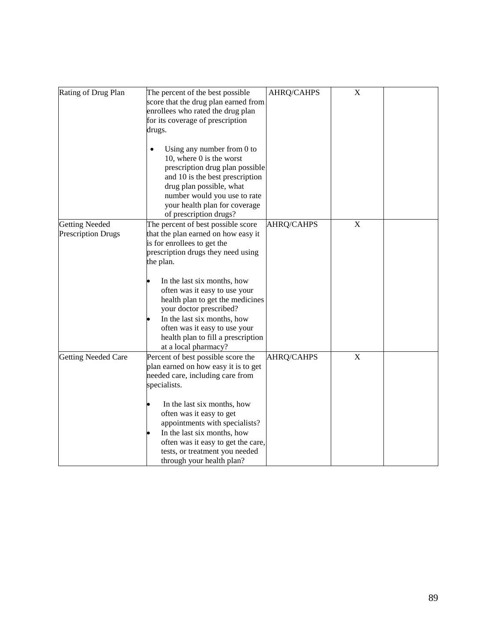| Rating of Drug Plan                                | The percent of the best possible<br>score that the drug plan earned from<br>enrollees who rated the drug plan<br>for its coverage of prescription<br>drugs.<br>Using any number from $0$ to<br>$\bullet$<br>10, where $0$ is the worst                                                                                                                                                                                   | AHRQ/CAHPS        | $\mathbf X$ |  |
|----------------------------------------------------|--------------------------------------------------------------------------------------------------------------------------------------------------------------------------------------------------------------------------------------------------------------------------------------------------------------------------------------------------------------------------------------------------------------------------|-------------------|-------------|--|
|                                                    | prescription drug plan possible<br>and 10 is the best prescription<br>drug plan possible, what<br>number would you use to rate<br>your health plan for coverage<br>of prescription drugs?                                                                                                                                                                                                                                |                   |             |  |
| <b>Getting Needed</b><br><b>Prescription Drugs</b> | The percent of best possible score<br>that the plan earned on how easy it<br>is for enrollees to get the<br>prescription drugs they need using<br>the plan.<br>In the last six months, how<br>often was it easy to use your<br>health plan to get the medicines<br>your doctor prescribed?<br>In the last six months, how<br>often was it easy to use your<br>health plan to fill a prescription<br>at a local pharmacy? | AHRQ/CAHPS        | $\mathbf X$ |  |
| <b>Getting Needed Care</b>                         | Percent of best possible score the<br>plan earned on how easy it is to get<br>needed care, including care from<br>specialists.<br>In the last six months, how<br>often was it easy to get<br>appointments with specialists?<br>In the last six months, how<br>often was it easy to get the care,<br>tests, or treatment you needed<br>through your health plan?                                                          | <b>AHRQ/CAHPS</b> | $\mathbf X$ |  |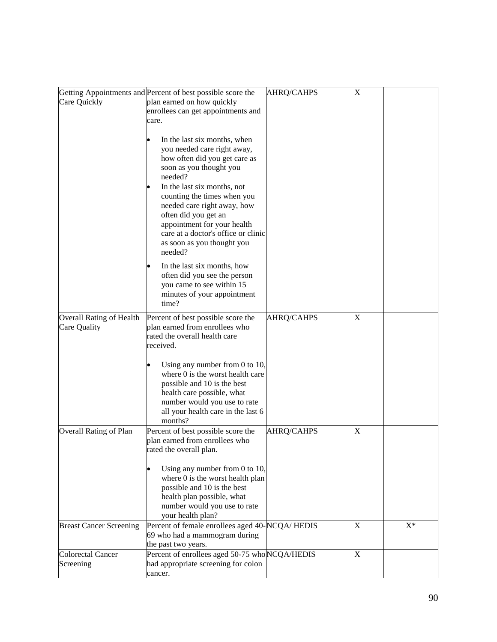|                                 | Getting Appointments and Percent of best possible score the     | AHRQ/CAHPS        | $\mathbf X$ |       |
|---------------------------------|-----------------------------------------------------------------|-------------------|-------------|-------|
| Care Quickly                    | plan earned on how quickly                                      |                   |             |       |
|                                 | enrollees can get appointments and                              |                   |             |       |
|                                 | care.                                                           |                   |             |       |
|                                 |                                                                 |                   |             |       |
|                                 | In the last six months, when                                    |                   |             |       |
|                                 | you needed care right away,                                     |                   |             |       |
|                                 | how often did you get care as                                   |                   |             |       |
|                                 | soon as you thought you                                         |                   |             |       |
|                                 | needed?                                                         |                   |             |       |
|                                 | In the last six months, not                                     |                   |             |       |
|                                 | counting the times when you                                     |                   |             |       |
|                                 | needed care right away, how                                     |                   |             |       |
|                                 | often did you get an                                            |                   |             |       |
|                                 | appointment for your health                                     |                   |             |       |
|                                 | care at a doctor's office or clinic                             |                   |             |       |
|                                 | as soon as you thought you                                      |                   |             |       |
|                                 | needed?                                                         |                   |             |       |
|                                 | In the last six months, how                                     |                   |             |       |
|                                 | often did you see the person                                    |                   |             |       |
|                                 | you came to see within 15                                       |                   |             |       |
|                                 | minutes of your appointment                                     |                   |             |       |
|                                 | time?                                                           |                   |             |       |
|                                 |                                                                 |                   |             |       |
| <b>Overall Rating of Health</b> | Percent of best possible score the                              | <b>AHRQ/CAHPS</b> | X           |       |
| Care Quality                    | plan earned from enrollees who<br>rated the overall health care |                   |             |       |
|                                 | received.                                                       |                   |             |       |
|                                 |                                                                 |                   |             |       |
|                                 | Using any number from $0$ to $10$ ,                             |                   |             |       |
|                                 | where 0 is the worst health care                                |                   |             |       |
|                                 | possible and 10 is the best                                     |                   |             |       |
|                                 | health care possible, what                                      |                   |             |       |
|                                 | number would you use to rate                                    |                   |             |       |
|                                 | all your health care in the last 6                              |                   |             |       |
|                                 | months?                                                         |                   |             |       |
| <b>Overall Rating of Plan</b>   | Percent of best possible score the                              | AHRQ/CAHPS        | $\mathbf X$ |       |
|                                 | plan earned from enrollees who                                  |                   |             |       |
|                                 | rated the overall plan.                                         |                   |             |       |
|                                 |                                                                 |                   |             |       |
|                                 | Using any number from $0$ to $10$ ,                             |                   |             |       |
|                                 | where 0 is the worst health plan                                |                   |             |       |
|                                 | possible and 10 is the best                                     |                   |             |       |
|                                 | health plan possible, what                                      |                   |             |       |
|                                 | number would you use to rate                                    |                   |             |       |
|                                 | your health plan?                                               |                   |             |       |
| <b>Breast Cancer Screening</b>  | Percent of female enrollees aged 40-NCQA/HEDIS                  |                   | $\mathbf X$ | $X^*$ |
|                                 | 69 who had a mammogram during                                   |                   |             |       |
|                                 | the past two years.                                             |                   |             |       |
| <b>Colorectal Cancer</b>        | Percent of enrollees aged 50-75 whoNCQA/HEDIS                   |                   | X           |       |
| Screening                       | had appropriate screening for colon                             |                   |             |       |
|                                 | cancer.                                                         |                   |             |       |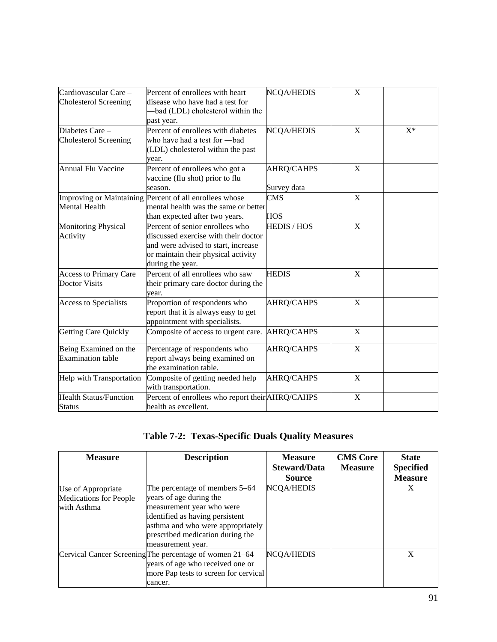| Cardiovascular Care -         | Percent of enrollees with heart                         | <b>NCQA/HEDIS</b>  | X |       |
|-------------------------------|---------------------------------------------------------|--------------------|---|-------|
| <b>Cholesterol Screening</b>  | disease who have had a test for                         |                    |   |       |
|                               | -bad (LDL) cholesterol within the                       |                    |   |       |
|                               | past year.                                              |                    |   |       |
| Diabetes Care -               | Percent of enrollees with diabetes                      | <b>NCQA/HEDIS</b>  | X | $X^*$ |
| <b>Cholesterol Screening</b>  | who have had a test for -bad                            |                    |   |       |
|                               | (LDL) cholesterol within the past                       |                    |   |       |
|                               | year.                                                   |                    |   |       |
| Annual Flu Vaccine            | Percent of enrollees who got a                          | AHRQ/CAHPS         | X |       |
|                               | vaccine (flu shot) prior to flu                         |                    |   |       |
|                               | season.                                                 | Survey data        |   |       |
|                               | Improving or Maintaining Percent of all enrollees whose | <b>CMS</b>         | X |       |
| Mental Health                 | mental health was the same or better                    |                    |   |       |
|                               | than expected after two years.                          | <b>HOS</b>         |   |       |
| <b>Monitoring Physical</b>    | Percent of senior enrollees who                         | <b>HEDIS / HOS</b> | X |       |
| Activity                      | discussed exercise with their doctor                    |                    |   |       |
|                               | and were advised to start, increase                     |                    |   |       |
|                               | or maintain their physical activity                     |                    |   |       |
|                               | during the year.                                        |                    |   |       |
| Access to Primary Care        | Percent of all enrollees who saw                        | <b>HEDIS</b>       | X |       |
| <b>Doctor Visits</b>          | their primary care doctor during the                    |                    |   |       |
|                               | year.                                                   |                    |   |       |
| <b>Access to Specialists</b>  | Proportion of respondents who                           | <b>AHRQ/CAHPS</b>  | X |       |
|                               | report that it is always easy to get                    |                    |   |       |
|                               | appointment with specialists.                           |                    |   |       |
| <b>Getting Care Quickly</b>   | Composite of access to urgent care.                     | <b>AHRQ/CAHPS</b>  | X |       |
| Being Examined on the         | Percentage of respondents who                           | AHRQ/CAHPS         | X |       |
| <b>Examination table</b>      | report always being examined on                         |                    |   |       |
|                               | the examination table.                                  |                    |   |       |
| Help with Transportation      | Composite of getting needed help                        | <b>AHRQ/CAHPS</b>  | X |       |
|                               | with transportation.                                    |                    |   |       |
| <b>Health Status/Function</b> | Percent of enrollees who report their AHRQ/CAHPS        |                    | X |       |
| <b>Status</b>                 | health as excellent.                                    |                    |   |       |

# **Table 7-2: Texas-Specific Duals Quality Measures**

| <b>Measure</b>                                                     | <b>Description</b>                                                                                                                                                                                                      | <b>Measure</b><br><b>Steward/Data</b> | <b>CMS Core</b><br><b>Measure</b> | <b>State</b><br><b>Specified</b> |
|--------------------------------------------------------------------|-------------------------------------------------------------------------------------------------------------------------------------------------------------------------------------------------------------------------|---------------------------------------|-----------------------------------|----------------------------------|
|                                                                    |                                                                                                                                                                                                                         | <b>Source</b>                         |                                   | <b>Measure</b>                   |
| Use of Appropriate<br><b>Medications for People</b><br>with Asthma | The percentage of members 5–64<br>years of age during the<br>measurement year who were<br>identified as having persistent<br>asthma and who were appropriately<br>prescribed medication during the<br>measurement year. | <b>NCQA/HEDIS</b>                     |                                   | X                                |
|                                                                    | Cervical Cancer Screening The percentage of women 21–64<br>years of age who received one or<br>more Pap tests to screen for cervical<br>cancer.                                                                         | <b>NCQA/HEDIS</b>                     |                                   | X                                |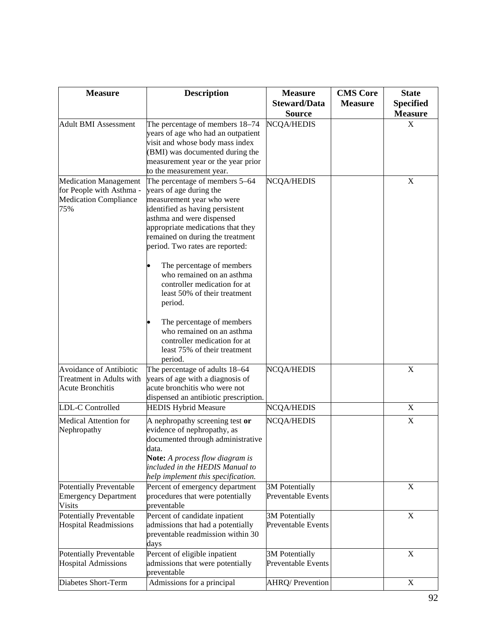| <b>Measure</b>                                                                                  | <b>Description</b>                                                                                                                                                                                                                                                                                                                                                                                                                                                                                                                | <b>Measure</b><br><b>Steward/Data</b>       | <b>CMS</b> Core<br><b>Measure</b> | <b>State</b><br><b>Specified</b> |
|-------------------------------------------------------------------------------------------------|-----------------------------------------------------------------------------------------------------------------------------------------------------------------------------------------------------------------------------------------------------------------------------------------------------------------------------------------------------------------------------------------------------------------------------------------------------------------------------------------------------------------------------------|---------------------------------------------|-----------------------------------|----------------------------------|
|                                                                                                 |                                                                                                                                                                                                                                                                                                                                                                                                                                                                                                                                   | <b>Source</b>                               |                                   | <b>Measure</b>                   |
| <b>Adult BMI Assessment</b>                                                                     | The percentage of members 18-74<br>years of age who had an outpatient<br>visit and whose body mass index<br>(BMI) was documented during the<br>measurement year or the year prior<br>to the measurement year.                                                                                                                                                                                                                                                                                                                     | NCQA/HEDIS                                  |                                   | X                                |
| <b>Medication Management</b><br>for People with Asthma -<br><b>Medication Compliance</b><br>75% | The percentage of members 5–64<br>years of age during the<br>measurement year who were<br>identified as having persistent<br>asthma and were dispensed<br>appropriate medications that they<br>remained on during the treatment<br>period. Two rates are reported:<br>The percentage of members<br>who remained on an asthma<br>controller medication for at<br>least 50% of their treatment<br>period.<br>The percentage of members<br>who remained on an asthma<br>controller medication for at<br>least 75% of their treatment | NCQA/HEDIS                                  |                                   | X                                |
| Avoidance of Antibiotic<br>Treatment in Adults with<br><b>Acute Bronchitis</b>                  | period.<br>The percentage of adults 18-64<br>years of age with a diagnosis of<br>acute bronchitis who were not<br>dispensed an antibiotic prescription.                                                                                                                                                                                                                                                                                                                                                                           | <b>NCQA/HEDIS</b>                           |                                   | $\mathbf X$                      |
| LDL-C Controlled                                                                                | <b>HEDIS Hybrid Measure</b>                                                                                                                                                                                                                                                                                                                                                                                                                                                                                                       | <b>NCQA/HEDIS</b>                           |                                   | X                                |
| Medical Attention for<br>Nephropathy                                                            | A nephropathy screening test or<br>evidence of nephropathy, as<br>documented through administrative<br>data.<br>Note: A process flow diagram is<br>included in the HEDIS Manual to<br>help implement this specification.                                                                                                                                                                                                                                                                                                          | <b>NCQA/HEDIS</b>                           |                                   | X                                |
| <b>Potentially Preventable</b><br><b>Emergency Department</b><br><b>Visits</b>                  | Percent of emergency department<br>procedures that were potentially<br>preventable                                                                                                                                                                                                                                                                                                                                                                                                                                                | <b>3M</b> Potentially<br>Preventable Events |                                   | X                                |
| <b>Potentially Preventable</b><br><b>Hospital Readmissions</b>                                  | Percent of candidate inpatient<br>admissions that had a potentially<br>preventable readmission within 30<br>days                                                                                                                                                                                                                                                                                                                                                                                                                  | <b>3M</b> Potentially<br>Preventable Events |                                   | $\mathbf X$                      |
| Potentially Preventable<br><b>Hospital Admissions</b>                                           | Percent of eligible inpatient<br>admissions that were potentially<br>preventable                                                                                                                                                                                                                                                                                                                                                                                                                                                  | <b>3M</b> Potentially<br>Preventable Events |                                   | X                                |
| Diabetes Short-Term                                                                             | Admissions for a principal                                                                                                                                                                                                                                                                                                                                                                                                                                                                                                        | AHRQ/ Prevention                            |                                   | X                                |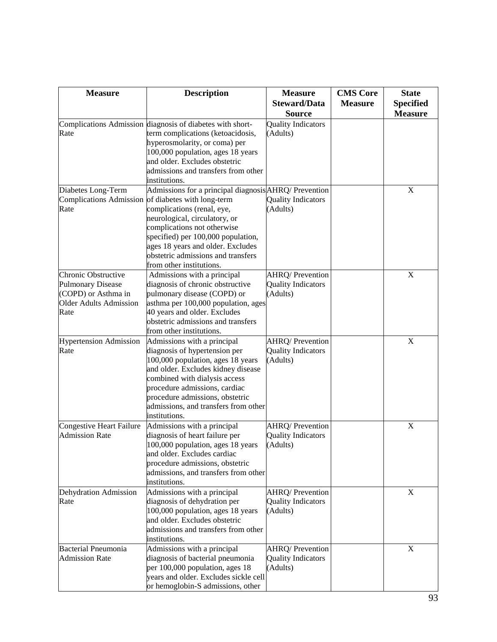| <b>Measure</b>                                       | <b>Description</b>                                                  | <b>Measure</b>                                      | <b>CMS</b> Core | <b>State</b>                       |
|------------------------------------------------------|---------------------------------------------------------------------|-----------------------------------------------------|-----------------|------------------------------------|
|                                                      |                                                                     | <b>Steward/Data</b><br><b>Source</b>                | <b>Measure</b>  | <b>Specified</b><br><b>Measure</b> |
|                                                      | Complications Admission diagnosis of diabetes with short-           | <b>Quality Indicators</b>                           |                 |                                    |
| Rate                                                 | term complications (ketoacidosis,                                   | (Adults)                                            |                 |                                    |
|                                                      | hyperosmolarity, or coma) per                                       |                                                     |                 |                                    |
|                                                      | 100,000 population, ages 18 years                                   |                                                     |                 |                                    |
|                                                      | and older. Excludes obstetric                                       |                                                     |                 |                                    |
|                                                      | admissions and transfers from other<br>institutions.                |                                                     |                 |                                    |
| Diabetes Long-Term                                   | Admissions for a principal diagnosis AHRQ/ Prevention               |                                                     |                 | X                                  |
|                                                      | Complications Admission of diabetes with long-term                  | <b>Quality Indicators</b>                           |                 |                                    |
| Rate                                                 | complications (renal, eye,                                          | (Adults)                                            |                 |                                    |
|                                                      | neurological, circulatory, or                                       |                                                     |                 |                                    |
|                                                      | complications not otherwise                                         |                                                     |                 |                                    |
|                                                      | specified) per 100,000 population,                                  |                                                     |                 |                                    |
|                                                      | ages 18 years and older. Excludes                                   |                                                     |                 |                                    |
|                                                      | obstetric admissions and transfers                                  |                                                     |                 |                                    |
|                                                      | from other institutions.                                            |                                                     |                 |                                    |
| Chronic Obstructive                                  | Admissions with a principal                                         | <b>AHRQ/Prevention</b>                              |                 | $\mathbf X$                        |
| <b>Pulmonary Disease</b>                             | diagnosis of chronic obstructive                                    | <b>Quality Indicators</b>                           |                 |                                    |
| (COPD) or Asthma in<br><b>Older Adults Admission</b> | pulmonary disease (COPD) or                                         | (Adults)                                            |                 |                                    |
| Rate                                                 | asthma per 100,000 population, ages<br>40 years and older. Excludes |                                                     |                 |                                    |
|                                                      | obstetric admissions and transfers                                  |                                                     |                 |                                    |
|                                                      | from other institutions.                                            |                                                     |                 |                                    |
| <b>Hypertension Admission</b>                        | Admissions with a principal                                         | AHRQ/ Prevention                                    |                 | $\mathbf X$                        |
| Rate                                                 | diagnosis of hypertension per                                       | <b>Quality Indicators</b>                           |                 |                                    |
|                                                      | 100,000 population, ages 18 years                                   | (Adults)                                            |                 |                                    |
|                                                      | and older. Excludes kidney disease                                  |                                                     |                 |                                    |
|                                                      | combined with dialysis access                                       |                                                     |                 |                                    |
|                                                      | procedure admissions, cardiac                                       |                                                     |                 |                                    |
|                                                      | procedure admissions, obstetric                                     |                                                     |                 |                                    |
|                                                      | admissions, and transfers from other                                |                                                     |                 |                                    |
|                                                      | institutions.                                                       |                                                     |                 |                                    |
| Congestive Heart Failure                             | Admissions with a principal                                         | <b>AHRQ/Prevention</b>                              |                 | $\mathbf X$                        |
| <b>Admission Rate</b>                                | diagnosis of heart failure per                                      | <b>Quality Indicators</b>                           |                 |                                    |
|                                                      | 100,000 population, ages 18 years                                   | (Adults)                                            |                 |                                    |
|                                                      | and older. Excludes cardiac                                         |                                                     |                 |                                    |
|                                                      | procedure admissions, obstetric                                     |                                                     |                 |                                    |
|                                                      | admissions, and transfers from other                                |                                                     |                 |                                    |
|                                                      | institutions.                                                       |                                                     |                 |                                    |
| Dehydration Admission<br>Rate                        | Admissions with a principal<br>diagnosis of dehydration per         | <b>AHRQ/Prevention</b><br><b>Quality Indicators</b> |                 | X                                  |
|                                                      | 100,000 population, ages 18 years                                   | (Adults)                                            |                 |                                    |
|                                                      | and older. Excludes obstetric                                       |                                                     |                 |                                    |
|                                                      | admissions and transfers from other                                 |                                                     |                 |                                    |
|                                                      | institutions.                                                       |                                                     |                 |                                    |
| <b>Bacterial Pneumonia</b>                           | Admissions with a principal                                         | AHRQ/ Prevention                                    |                 | X                                  |
| <b>Admission Rate</b>                                | diagnosis of bacterial pneumonia                                    | <b>Quality Indicators</b>                           |                 |                                    |
|                                                      | per 100,000 population, ages 18                                     | (Adults)                                            |                 |                                    |
|                                                      | years and older. Excludes sickle cell                               |                                                     |                 |                                    |
|                                                      | or hemoglobin-S admissions, other                                   |                                                     |                 |                                    |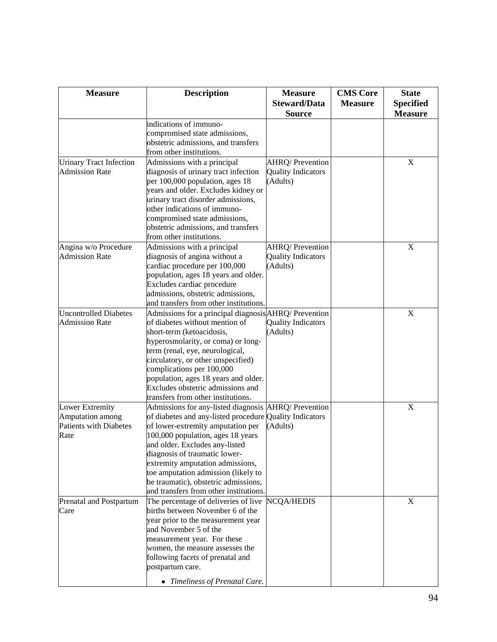| <b>Measure</b>                                                               | <b>Description</b>                                                                                                                                                                                                                                                                                                                                                                                                        | <b>Measure</b><br><b>Steward/Data</b><br><b>Source</b>          | <b>CMS</b> Core<br><b>Measure</b> | <b>State</b><br><b>Specified</b><br><b>Measure</b> |
|------------------------------------------------------------------------------|---------------------------------------------------------------------------------------------------------------------------------------------------------------------------------------------------------------------------------------------------------------------------------------------------------------------------------------------------------------------------------------------------------------------------|-----------------------------------------------------------------|-----------------------------------|----------------------------------------------------|
|                                                                              | indications of immuno-<br>compromised state admissions,<br>obstetric admissions, and transfers<br>from other institutions.                                                                                                                                                                                                                                                                                                |                                                                 |                                   |                                                    |
| <b>Urinary Tract Infection</b><br><b>Admission Rate</b>                      | Admissions with a principal<br>diagnosis of urinary tract infection<br>per 100,000 population, ages 18<br>years and older. Excludes kidney or<br>urinary tract disorder admissions,<br>other indications of immuno-<br>compromised state admissions,<br>obstetric admissions, and transfers<br>from other institutions.                                                                                                   | <b>AHRQ/Prevention</b><br><b>Quality Indicators</b><br>(Adults) |                                   | X                                                  |
| Angina w/o Procedure<br><b>Admission Rate</b>                                | Admissions with a principal<br>diagnosis of angina without a<br>cardiac procedure per 100,000<br>population, ages 18 years and older.<br>Excludes cardiac procedure<br>admissions, obstetric admissions,<br>and transfers from other institutions.                                                                                                                                                                        | <b>AHRQ/Prevention</b><br><b>Quality Indicators</b><br>(Adults) |                                   | $\mathbf X$                                        |
| <b>Uncontrolled Diabetes</b><br><b>Admission Rate</b>                        | Admissions for a principal diagnosis AHRQ/ Prevention<br>of diabetes without mention of<br>short-term (ketoacidosis,<br>hyperosmolarity, or coma) or long-<br>term (renal, eye, neurological,<br>circulatory, or other unspecified)<br>complications per 100,000<br>population, ages 18 years and older.<br>Excludes obstetric admissions and<br>transfers from other institutions.                                       | <b>Quality Indicators</b><br>(Adults)                           |                                   | $\mathbf X$                                        |
| Lower Extremity<br>Amputation among<br><b>Patients with Diabetes</b><br>Rate | Admissions for any-listed diagnosis AHRQ/ Prevention<br>of diabetes and any-listed procedure Quality Indicators<br>of lower-extremity amputation per<br>100,000 population, ages 18 years<br>and older. Excludes any-listed<br>diagnosis of traumatic lower-<br>extremity amputation admissions,<br>toe amputation admission (likely to<br>be traumatic), obstetric admissions,<br>and transfers from other institutions. | (Adults)                                                        |                                   | $\mathbf X$                                        |
| Prenatal and Postpartum<br>Care                                              | The percentage of deliveries of live NCQA/HEDIS<br>births between November 6 of the<br>year prior to the measurement year<br>and November 5 of the<br>measurement year. For these<br>women, the measure assesses the<br>following facets of prenatal and<br>postpartum care.<br>• Timeliness of Prenatal Care.                                                                                                            |                                                                 |                                   | X                                                  |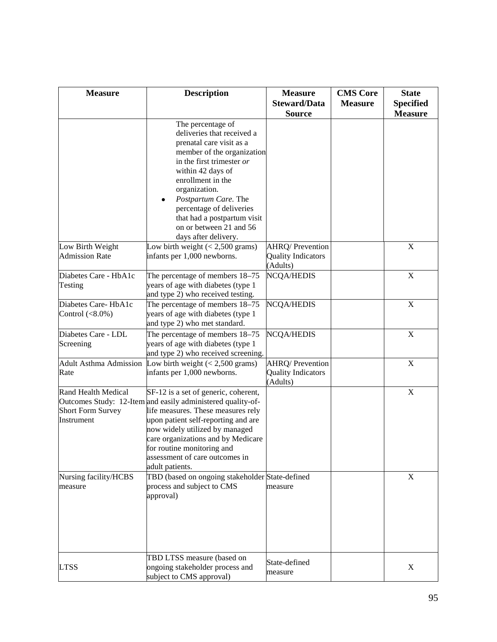| <b>Measure</b>                                                | <b>Description</b>                                                                                                                                                                                                                                                                                                                          | <b>Measure</b><br><b>Steward/Data</b><br><b>Source</b>          | <b>CMS</b> Core<br><b>Measure</b> | <b>State</b><br><b>Specified</b><br><b>Measure</b> |
|---------------------------------------------------------------|---------------------------------------------------------------------------------------------------------------------------------------------------------------------------------------------------------------------------------------------------------------------------------------------------------------------------------------------|-----------------------------------------------------------------|-----------------------------------|----------------------------------------------------|
|                                                               | The percentage of<br>deliveries that received a<br>prenatal care visit as a<br>member of the organization<br>in the first trimester or<br>within 42 days of<br>enrollment in the<br>organization.<br>Postpartum Care. The<br>percentage of deliveries<br>that had a postpartum visit<br>on or between 21 and 56<br>days after delivery.     |                                                                 |                                   |                                                    |
| Low Birth Weight<br><b>Admission Rate</b>                     | Low birth weight $(< 2,500$ grams)<br>infants per 1,000 newborns.                                                                                                                                                                                                                                                                           | <b>AHRQ/Prevention</b><br><b>Quality Indicators</b><br>(Adults) |                                   | $\mathbf X$                                        |
| Diabetes Care - HbA1c<br>Testing                              | The percentage of members 18-75<br>years of age with diabetes (type 1<br>and type 2) who received testing.                                                                                                                                                                                                                                  | NCQA/HEDIS                                                      |                                   | X                                                  |
| Diabetes Care-HbA1c<br>Control $(<8.0\%)$                     | The percentage of members 18–75<br>years of age with diabetes (type 1<br>and type 2) who met standard.                                                                                                                                                                                                                                      | <b>NCQA/HEDIS</b>                                               |                                   | X                                                  |
| Diabetes Care - LDL<br>Screening                              | The percentage of members 18-75<br>years of age with diabetes (type 1<br>and type 2) who received screening.                                                                                                                                                                                                                                | <b>NCQA/HEDIS</b>                                               |                                   | $\mathbf X$                                        |
| <b>Adult Asthma Admission</b><br>Rate                         | Low birth weight $(< 2,500$ grams)<br>infants per 1,000 newborns.                                                                                                                                                                                                                                                                           | AHRQ/ Prevention<br><b>Quality Indicators</b><br>(Adults)       |                                   | $\mathbf X$                                        |
| Rand Health Medical<br><b>Short Form Survey</b><br>Instrument | SF-12 is a set of generic, coherent,<br>Outcomes Study: 12-Item and easily administered quality-of-<br>life measures. These measures rely<br>upon patient self-reporting and are<br>now widely utilized by managed<br>care organizations and by Medicare<br>for routine monitoring and<br>assessment of care outcomes in<br>adult patients. |                                                                 |                                   | $\mathbf X$                                        |
| Nursing facility/HCBS<br>measure                              | TBD (based on ongoing stakeholder State-defined<br>process and subject to CMS<br>approval)                                                                                                                                                                                                                                                  | measure                                                         |                                   | X                                                  |
| <b>LTSS</b>                                                   | TBD LTSS measure (based on<br>ongoing stakeholder process and<br>subject to CMS approval)                                                                                                                                                                                                                                                   | State-defined<br>measure                                        |                                   | X                                                  |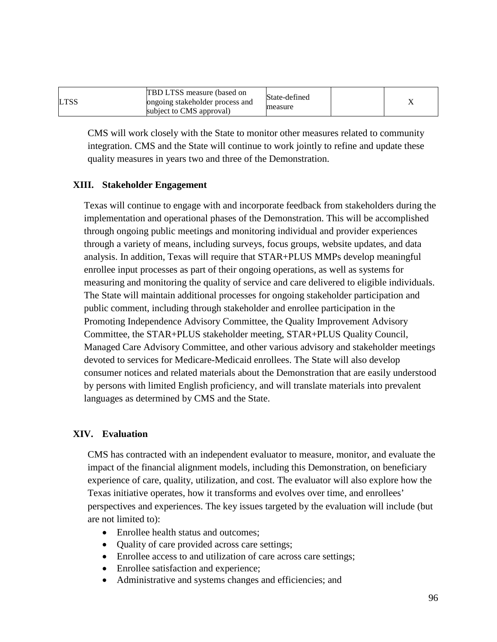| LTSS | TBD LTSS measure (based on<br>ongoing stakeholder process and<br>subject to CMS approval) | State-defined<br>measure |  |  |
|------|-------------------------------------------------------------------------------------------|--------------------------|--|--|
|------|-------------------------------------------------------------------------------------------|--------------------------|--|--|

CMS will work closely with the State to monitor other measures related to community integration. CMS and the State will continue to work jointly to refine and update these quality measures in years two and three of the Demonstration.

### **XIII. Stakeholder Engagement**

Texas will continue to engage with and incorporate feedback from stakeholders during the implementation and operational phases of the Demonstration. This will be accomplished through ongoing public meetings and monitoring individual and provider experiences through a variety of means, including surveys, focus groups, website updates, and data analysis. In addition, Texas will require that STAR+PLUS MMPs develop meaningful enrollee input processes as part of their ongoing operations, as well as systems for measuring and monitoring the quality of service and care delivered to eligible individuals. The State will maintain additional processes for ongoing stakeholder participation and public comment, including through stakeholder and enrollee participation in the Promoting Independence Advisory Committee, the Quality Improvement Advisory Committee, the STAR+PLUS stakeholder meeting, STAR+PLUS Quality Council, Managed Care Advisory Committee, and other various advisory and stakeholder meetings devoted to services for Medicare-Medicaid enrollees. The State will also develop consumer notices and related materials about the Demonstration that are easily understood by persons with limited English proficiency, and will translate materials into prevalent languages as determined by CMS and the State.

### **XIV. Evaluation**

CMS has contracted with an independent evaluator to measure, monitor, and evaluate the impact of the financial alignment models, including this Demonstration, on beneficiary experience of care, quality, utilization, and cost. The evaluator will also explore how the Texas initiative operates, how it transforms and evolves over time, and enrollees' perspectives and experiences. The key issues targeted by the evaluation will include (but are not limited to):

- Enrollee health status and outcomes:
- Quality of care provided across care settings;
- Enrollee access to and utilization of care across care settings;
- Enrollee satisfaction and experience;
- Administrative and systems changes and efficiencies; and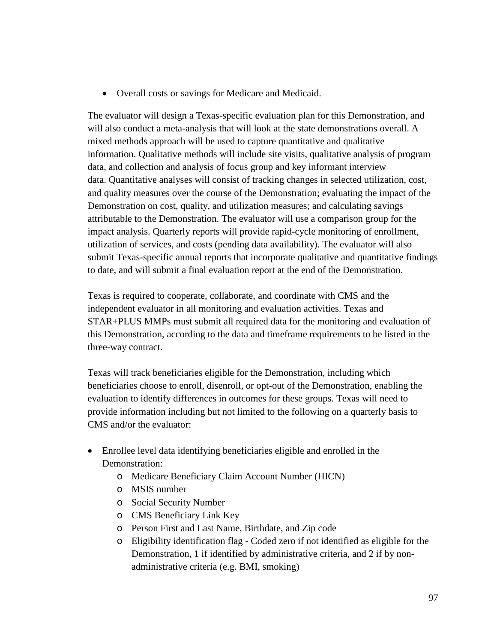• Overall costs or savings for Medicare and Medicaid.

The evaluator will design a Texas-specific evaluation plan for this Demonstration, and will also conduct a meta-analysis that will look at the state demonstrations overall. A mixed methods approach will be used to capture quantitative and qualitative information. Qualitative methods will include site visits, qualitative analysis of program data, and collection and analysis of focus group and key informant interview data. Quantitative analyses will consist of tracking changes in selected utilization, cost, and quality measures over the course of the Demonstration; evaluating the impact of the Demonstration on cost, quality, and utilization measures; and calculating savings attributable to the Demonstration. The evaluator will use a comparison group for the impact analysis. Quarterly reports will provide rapid-cycle monitoring of enrollment, utilization of services, and costs (pending data availability). The evaluator will also submit Texas-specific annual reports that incorporate qualitative and quantitative findings to date, and will submit a final evaluation report at the end of the Demonstration.

Texas is required to cooperate, collaborate, and coordinate with CMS and the independent evaluator in all monitoring and evaluation activities. Texas and STAR+PLUS MMPs must submit all required data for the monitoring and evaluation of this Demonstration, according to the data and timeframe requirements to be listed in the three-way contract.

Texas will track beneficiaries eligible for the Demonstration, including which beneficiaries choose to enroll, disenroll, or opt-out of the Demonstration, enabling the evaluation to identify differences in outcomes for these groups. Texas will need to provide information including but not limited to the following on a quarterly basis to CMS and/or the evaluator:

- Enrollee level data identifying beneficiaries eligible and enrolled in the Demonstration:
	- o Medicare Beneficiary Claim Account Number (HICN)
	- o MSIS number
	- o Social Security Number
	- o CMS Beneficiary Link Key
	- o Person First and Last Name, Birthdate, and Zip code
	- o Eligibility identification flag Coded zero if not identified as eligible for the Demonstration, 1 if identified by administrative criteria, and 2 if by nonadministrative criteria (e.g. BMI, smoking)